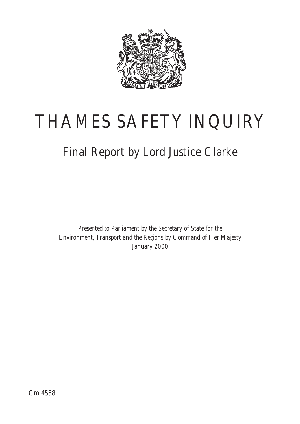

# THAMES SAFETY INQUIRY

## Final Report by Lord Justice Clarke

*Presented to Parliament by the Secretary of State for the Environment, Transport and the Regions by Command of Her Majesty January 2000*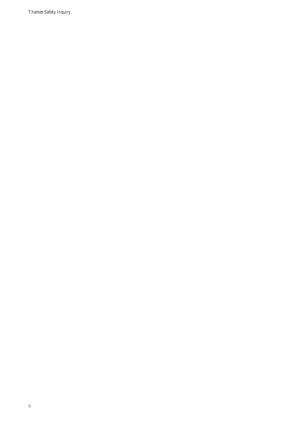Thames Safety Inquiry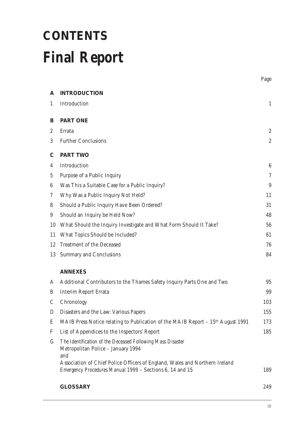## **CONTENTS Final Report**

| A                | <b>INTRODUCTION</b>                                                                                                                     |                  |
|------------------|-----------------------------------------------------------------------------------------------------------------------------------------|------------------|
| $\mathbf{1}$     | Introduction                                                                                                                            | $\mathbf{1}$     |
| B                | <b>PART ONE</b>                                                                                                                         |                  |
| $\boldsymbol{2}$ | Errata                                                                                                                                  | $\boldsymbol{2}$ |
|                  |                                                                                                                                         |                  |
| 3                | <b>Further Conclusions</b>                                                                                                              | $\boldsymbol{2}$ |
| C                | <b>PART TWO</b>                                                                                                                         |                  |
| 4                | Introduction                                                                                                                            | $6\phantom{.}6$  |
| $\sqrt{5}$       | Purpose of a Public Inquiry                                                                                                             | $\tau$           |
| $\boldsymbol{6}$ | Was This a Suitable Case for a Public Inquiry?                                                                                          | 9                |
| 7                | Why Was a Public Inquiry Not Held?                                                                                                      | 11               |
| 8                | Should a Public Inquiry Have Been Ordered?                                                                                              | 31               |
| 9                | Should an Inquiry be Held Now?                                                                                                          | 48               |
| 10               | What Should the Inquiry Investigate and What Form Should It Take?                                                                       | 56               |
| 11               | What Topics Should be Included?                                                                                                         | 61               |
| 12               | Treatment of the Deceased                                                                                                               | 76               |
| 13               | <b>Summary and Conclusions</b>                                                                                                          | 84               |
|                  | <b>ANNEXES</b>                                                                                                                          |                  |
| A                | Additional Contributors to the Thames Safety Inquiry Parts One and Two                                                                  | 95               |
| B                | <b>Interim Report Errata</b>                                                                                                            | 99               |
| $\mathcal{C}$    | Chronology                                                                                                                              | 103              |
| D                | Disasters and the Law: Various Papers                                                                                                   | 155              |
| E                | MAIB Press Notice relating to Publication of the MAIB Report – 15 <sup>th</sup> August 1991                                             | 173              |
| F                | List of Appendices to the Inspectors' Report                                                                                            | 185              |
| G                | The Identification of the Deceased Following Mass Disaster<br>Metropolitan Police - January 1994<br>and                                 |                  |
|                  | Association of Chief Police Officers of England, Wales and Northern Ireland<br>Emergency Procedures Manual 1999 - Sections 6, 14 and 15 | 189              |
|                  | <b>GLOSSARY</b>                                                                                                                         | 249              |

Page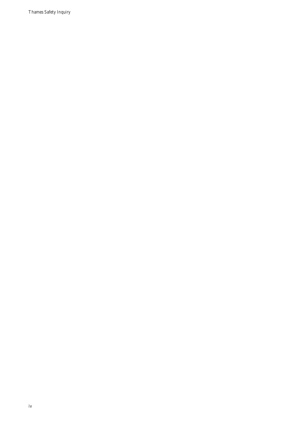Thames Safety Inquiry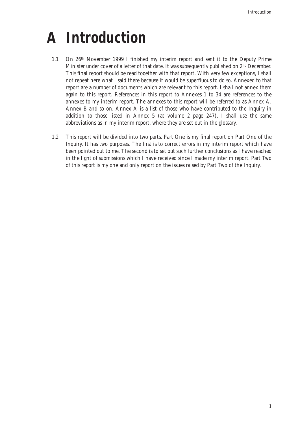## **A Introduction**

- 1.1 On 26th November 1999 I finished my interim report and sent it to the Deputy Prime Minister under cover of a letter of that date. It was subsequently published on 2<sup>nd</sup> December. This final report should be read together with that report. With very few exceptions, I shall not repeat here what I said there because it would be superfluous to do so. Annexed to that report are a number of documents which are relevant to this report. I shall not annex them again to this report. References in this report to Annexes 1 to 34 are references to the annexes to my interim report. The annexes to this report will be referred to as Annex A, Annex B and so on. Annex A is a list of those who have contributed to the Inquiry in addition to those listed in Annex 5 (at volume 2 page 247). I shall use the same abbreviations as in my interim report, where they are set out in the glossary.
- 1.2 This report will be divided into two parts. Part One is my final report on Part One of the Inquiry. It has two purposes. The first is to correct errors in my interim report which have been pointed out to me. The second is to set out such further conclusions as I have reached in the light of submissions which I have received since I made my interim report. Part Two of this report is my one and only report on the issues raised by Part Two of the Inquiry.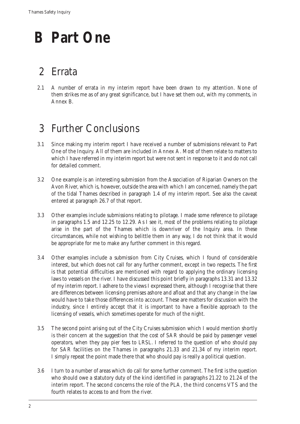## **B Part One**

### 2 Errata

2.1 A number of errata in my interim report have been drawn to my attention. None of them strikes me as of any great significance, but I have set them out, with my comments, in Annex B.

### 3 Further Conclusions

- 3.1 Since making my interim report I have received a number of submissions relevant to Part One of the Inquiry. All of them are included in Annex A. Most of them relate to matters to which I have referred in my interim report but were not sent in response to it and do not call for detailed comment.
- 3.2 One example is an interesting submission from the Association of Riparian Owners on the Avon River, which is, however, outside the area with which I am concerned, namely the part of the tidal Thames described in paragraph 1.4 of my interim report. See also the caveat entered at paragraph 26.7 of that report.
- 3.3 Other examples include submissions relating to pilotage. I made some reference to pilotage in paragraphs 1.5 and 12.25 to 12.29. As I see it, most of the problems relating to pilotage arise in the part of the Thames which is downriver of the Inquiry area. In these circumstances, while not wishing to belittle them in any way, I do not think that it would be appropriate for me to make any further comment in this regard.
- 3.4 Other examples include a submission from City Cruises, which I found of considerable interest, but which does not call for any further comment, except in two respects. The first is that potential difficulties are mentioned with regard to applying the ordinary licensing laws to vessels on the river. I have discussed this point briefly in paragraphs 13.31 and 13.32 of my interim report. I adhere to the views I expressed there, although I recognise that there are differences between licensing premises ashore and afloat and that any change in the law would have to take those differences into account. These are matters for discussion with the industry, since I entirely accept that it is important to have a flexible approach to the licensing of vessels, which sometimes operate for much of the night.
- 3.5 The second point arising out of the City Cruises submission which I would mention shortly is their concern at the suggestion that the cost of SAR should be paid by passenger vessel operators, when they pay pier fees to LRSL. I referred to the question of who should pay for SAR facilities on the Thames in paragraphs 21.33 and 21.34 of my interim report. I simply repeat the point made there that who should pay is really a political question.
- 3.6 I turn to a number of areas which do call for some further comment. The first is the question who should owe a statutory duty of the kind identified in paragraphs 21.22 to 21.24 of the interim report. The second concerns the role of the PLA, the third concerns VTS and the fourth relates to access to and from the river.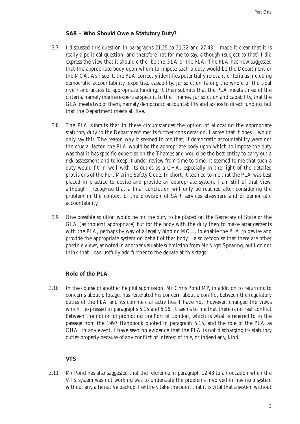### **SAR – Who Should Owe a Statutory Duty?**

- 3.7 I discussed this question in paragraphs 21.25 to 21.32 and 27.43. I made it clear that it is really a political question, and therefore not for me to say, although (subject to that) I did express the view that it should either be the GLA or the PLA. The PLA has now suggested that the appropriate body upon whom to impose such a duty would be the Department or the MCA. As I see it, the PLA correctly identifies potentially relevant criteria as including democratic accountability, expertise, capability, jurisdiction (along the whole of the tidal river) and access to appropriate funding. It then submits that the PLA meets three of the criteria, namely marine expertise specific to the Thames, jurisdiction and capability, that the GLA meets two of them, namely democratic accountability and access to direct funding, but that the Department meets all five.
- 3.8 The PLA submits that in these circumstances the option of allocating the appropriate statutory duty to the Department merits further consideration. I agree that it does. I would only say this. The reason why it seemed to me that, if democratic accountability were not the crucial factor, the PLA would be the appropriate body upon which to impose the duty was that it has specific expertise on the Thames and would be the best entity to carry out a risk assessment and to keep it under review from time to time. It seemed to me that such a duty would fit in well with its duties as a CHA, especially in the light of the detailed provisions of the Port Marine Safety Code. In short, it seemed to me that the PLA was best placed in practice to devise and provide an appropriate system. I am still of that view, although I recognise that a final conclusion will only be reached after considering the problem in the context of the provision of SAR services elsewhere and of democratic accountability.
- 3.9 One possible solution would be for the duty to be placed on the Secretary of State or the GLA (as thought appropriate) but for the body with the duty then to make arrangements with the PLA, perhaps by way of a legally binding MOU, to enable the PLA to devise and provide the appropriate system on behalf of that body. I also recognise that there are other possible views, as noted in another valuable submission from Mr Nigel Spearing, but I do not think that I can usefully add further to the debate at this stage.

### **Role of the PLA**

3.10 In the course of another helpful submission, Mr Chris Pond MP, in addition to returning to concerns about pilotage, has reiterated his concern about a conflict between the regulatory duties of the PLA and its commercial activities. I have not, however, changed the views which I expressed in paragraphs 5.15 and 5.16. It seems to me that there is no real conflict between the notion of promoting the Port of London, which is what is referred to in the passage from the 1997 Handbook quoted in paragraph 5.15, and the role of the PLA as CHA. In any event, I have seen no evidence that the PLA is not discharging its statutory duties properly because of any conflict of interest of this, or indeed any, kind.

### **VTS**

3.11 Mr Pond has also suggested that the reference in paragraph 12.48 to an occasion when the VTS system was not working was to understate the problems involved in having a system without any alternative backup. I entirely take the point that it is vital that a system without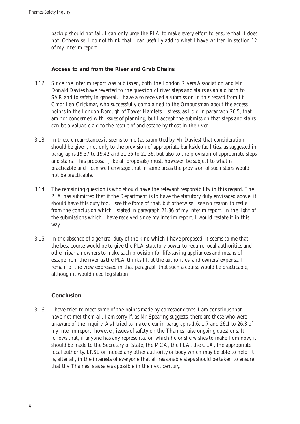backup should not fail. I can only urge the PLA to make every effort to ensure that it does not. Otherwise, I do not think that I can usefully add to what I have written in section 12 of my interim report.

### **Access to and from the River and Grab Chains**

- 3.12 Since the interim report was published, both the London Rivers Association and Mr Donald Davies have reverted to the question of river steps and stairs as an aid both to SAR and to safety in general. I have also received a submission in this regard from Lt Cmdr Len Crickmar, who successfully complained to the Ombudsman about the access points in the London Borough of Tower Hamlets. I stress, as I did in paragraph 26.5, that I am not concerned with issues of planning, but I accept the submission that steps and stairs can be a valuable aid to the rescue of and escape by those in the river.
- 3.13 In these circumstances it seems to me (as submitted by Mr Davies) that consideration should be given, not only to the provision of appropriate bankside facilities, as suggested in paragraphs 19.37 to 19.42 and 21.35 to 21.36, but also to the provision of appropriate steps and stairs. This proposal (like all proposals) must, however, be subject to what is practicable and I can well envisage that in some areas the provision of such stairs would not be practicable.
- 3.14 The remaining question is who should have the relevant responsibility in this regard. The PLA has submitted that if the Department is to have the statutory duty envisaged above, it should have this duty too. I see the force of that, but otherwise I see no reason to resile from the conclusion which I stated in paragraph 21.36 of my interim report. In the light of the submissions which I have received since my interim report, I would restate it in this way.
- 3.15 In the absence of a general duty of the kind which I have proposed, it seems to me that the best course would be to give the PLA statutory power to require local authorities and other riparian owners to make such provision for life-saving appliances and means of escape from the river as the PLA thinks fit, at the authorities' and owners' expense. I remain of the view expressed in that paragraph that such a course would be practicable, although it would need legislation.

### **Conclusion**

3.16 I have tried to meet some of the points made by correspondents. I am conscious that I have not met them all. I am sorry if, as Mr Spearing suggests, there are those who were unaware of the Inquiry. As I tried to make clear in paragraphs 1.6, 1.7 and 26.1 to 26.3 of my interim report, however, issues of safety on the Thames raise ongoing questions. It follows that, if anyone has any representation which he or she wishes to make from now, it should be made to the Secretary of State, the MCA, the PLA, the GLA, the appropriate local authority, LRSL or indeed any other authority or body which may be able to help. It is, after all, in the interests of everyone that all reasonable steps should be taken to ensure that the Thames is as safe as possible in the next century.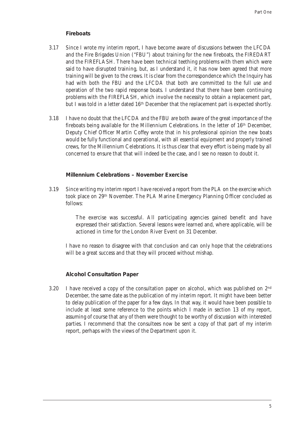### **Fireboats**

- 3.17 Since I wrote my interim report, I have become aware of discussions between the LFCDA and the Fire Brigades Union ("FBU") about training for the new fireboats, the FIREDART and the FIREFLASH. There have been technical teething problems with them which were said to have disrupted training, but, as I understand it, it has now been agreed that more training will be given to the crews. It is clear from the correspondence which the Inquiry has had with both the FBU and the LFCDA that both are committed to the full use and operation of the two rapid response boats. I understand that there have been continuing problems with the FIREFLASH, which involve the necessity to obtain a replacement part, but I was told in a letter dated 16th December that the replacement part is expected shortly.
- 3.18 I have no doubt that the LFCDA and the FBU are both aware of the great importance of the fireboats being available for the Millennium Celebrations. In the letter of  $16<sup>th</sup>$  December, Deputy Chief Officer Martin Coffey wrote that in his professional opinion the new boats would be fully functional and operational, with all essential equipment and properly trained crews, for the Millennium Celebrations. It is thus clear that every effort is being made by all concerned to ensure that that will indeed be the case, and I see no reason to doubt it.

### **Millennium Celebrations – November Exercise**

3.19 Since writing my interim report I have received a report from the PLA on the exercise which took place on 29th November. The PLA Marine Emergency Planning Officer concluded as follows:

> The exercise was successful. All participating agencies gained benefit and have expressed their satisfaction. Several lessons were learned and, where applicable, will be actioned in time for the London River Event on 31 December.

I have no reason to disagree with that conclusion and can only hope that the celebrations will be a great success and that they will proceed without mishap.

### **Alcohol Consultation Paper**

3.20 I have received a copy of the consultation paper on alcohol, which was published on 2nd December, the same date as the publication of my interim report. It might have been better to delay publication of the paper for a few days. In that way, it would have been possible to include at least some reference to the points which I made in section 13 of my report, assuming of course that any of them were thought to be worthy of discussion with interested parties. I recommend that the consultees now be sent a copy of that part of my interim report, perhaps with the views of the Department upon it.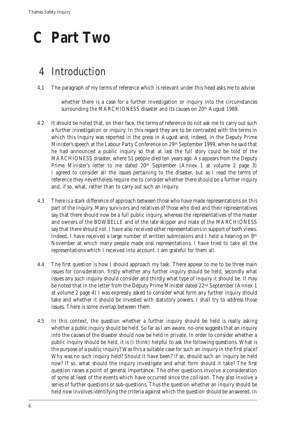## **C Part Two**

### 4 Introduction

4.1 The paragraph of my terms of reference which is relevant under this head asks me to advise

whether there is a case for a further investigation or inquiry into the circumstances surrounding the MARCHIONESS disaster and its causes on 20<sup>th</sup> August 1989.

- 4.2 It should be noted that, on their face, the terms of reference do not ask me to carry out such a further investigation or inquiry. In this regard they are to be contrasted with the terms in which this Inquiry was reported in the press in August and, indeed, in the Deputy Prime Minister's speech at the Labour Party Conference on 29th September 1999, when he said that he had announced a public inquiry so that at last the full story could be told of the MARCHIONESS disaster, where 51 people died ten years ago. As appears from the Deputy Prime Minister's letter to me dated 20th September (Annex 1 at volume 2 page 3) I agreed to consider all the issues pertaining to the disaster, but as I read the terms of reference they nevertheless require me to consider whether there should be a further inquiry and, if so, what, rather than to carry out such an inquiry.
- 4.3 There is a stark difference of approach between those who have made representations on this part of the Inquiry. Many survivors and relatives of those who died and their representatives say that there should now be a full public inquiry, whereas the representatives of the master and owners of the BOWBELLE and of the late skipper and mate of the MARCHIONESS say that there should not. I have also received other representations in support of both views. Indeed, I have received a large number of written submissions and I held a hearing on 8<sup>th</sup> November at which many people made oral representations. I have tried to take all the representations which I received into account. I am grateful for them all.
- 4.4 The first question is how I should approach my task. There appear to me to be three main issues for consideration, firstly whether any further inquiry should be held, secondly what issues any such inquiry should consider and thirdly what type of inquiry it should be. It may be noted that in the letter from the Deputy Prime Minister dated 22nd September (Annex 1 at volume 2 page 4) I was expressly asked to consider what form any further inquiry should take and whether it should be invested with statutory powers. I shall try to address those issues. There is some overlap between them.
- 4.5 In this context, the question whether a further inquiry should be held is really asking whether a *public* inquiry should be held. So far as I am aware, no-one suggests that an inquiry into the causes of the disaster should now be held in private. In order to consider whether a public inquiry should be held, it is (I think) helpful to ask the following questions. What is the purpose of a public inquiry? Was this a suitable case for such an inquiry in the first place? Why was no such inquiry held? Should it have been? If so, should such an inquiry be held now? If so, what should the inquiry investigate and what form should it take? The first question raises a point of general importance. The other questions involve a consideration of some at least of the events which have occurred since the collision. They also involve a series of further questions or sub-questions. Thus the question whether an inquiry should be held now involves identifying the criteria against which the question should be answered. In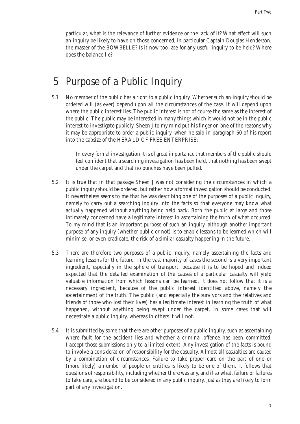particular, what is the relevance of further evidence or the lack of it? What effect will such an inquiry be likely to have on those concerned, in particular Captain Douglas Henderson, the master of the BOWBELLE? Is it now too late for any useful inquiry to be held? Where does the balance lie?

### 5 Purpose of a Public Inquiry

5.1 No member of the public has a right to a public inquiry. Whether such an inquiry should be ordered will (as ever) depend upon all the circumstances of the case. It will depend upon where the public interest lies. The public interest is not of course the same as the interest of the public. The public may be interested in many things which it would not be in the public interest to investigate publicly. Sheen J to my mind put his finger on one of the reasons why it may be appropriate to order a public inquiry, when he said in paragraph 60 of his report into the capsize of the HERALD OF FREE ENTERPRISE:

> In every formal investigation it is of great importance that members of the public should feel confident that a searching investigation has been held, that nothing has been swept under the carpet and that no punches have been pulled.

- 5.2 It is true that in that passage Sheen J was not considering the circumstances in which a public inquiry should be ordered, but rather how a formal investigation should be conducted. It nevertheless seems to me that he was describing one of the purposes of a public inquiry, namely to carry out a searching inquiry into the facts so that everyone may know what actually happened without anything being held back. Both the public at large and those intimately concerned have a legitimate interest in ascertaining the truth of what occurred. To my mind that is an important purpose of such an inquiry, although another important purpose of any inquiry (whether public or not) is to enable lessons to be learned which will minimise, or even eradicate, the risk of a similar casualty happening in the future.
- 5.3 There are therefore two purposes of a public inquiry, namely ascertaining the facts and learning lessons for the future. In the vast majority of cases the second is a very important ingredient, especially in the sphere of transport, because it is to be hoped and indeed expected that the detailed examination of the causes of a particular casualty will yield valuable information from which lessons can be learned. It does not follow that it is a necessary ingredient, because of the public interest identified above, namely the ascertainment of the truth. The public (and especially the survivors and the relatives and friends of those who lost their lives) has a legitimate interest in learning the truth of what happened, without anything being swept under the carpet. In some cases that will necessitate a public inquiry, whereas in others it will not.
- 5.4 It is submitted by some that there are other purposes of a public inquiry, such as ascertaining where fault for the accident lies and whether a criminal offence has been committed. I accept those submissions only to a limited extent. Any investigation of the facts is bound to involve a consideration of responsibility for the casualty. Almost all casualties are caused by a combination of circumstances. Failure to take proper care on the part of one or (more likely) a number of people or entities is likely to be one of them. It follows that questions of responsibility, including whether there was any, and if so what, failure or failures to take care, are bound to be considered in any public inquiry, just as they are likely to form part of any investigation.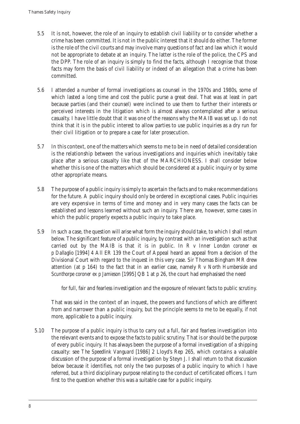- 5.5 It is not, however, the role of an inquiry to establish civil liability or to consider whether a crime has been committed. It is not in the public interest that it should do either. The former is the role of the civil courts and may involve many questions of fact and law which it would not be appropriate to debate at an inquiry. The latter is the role of the police, the CPS and the DPP. The role of an inquiry is simply to find the facts, although I recognise that those facts may form the basis of civil liability or indeed of an allegation that a crime has been committed.
- 5.6 I attended a number of formal investigations as counsel in the 1970s and 1980s, some of which lasted a long time and cost the public purse a great deal. That was at least in part because parties (and their counsel) were inclined to use them to further their interests or perceived interests in the litigation which is almost always contemplated after a serious casualty. I have little doubt that it was one of the reasons why the MAIB was set up. I do not think that it is in the public interest to allow parties to use public inquiries as a dry run for their civil litigation or to prepare a case for later prosecution.
- 5.7 In this context, one of the matters which seems to me to be in need of detailed consideration is the relationship between the various investigations and inquiries which inevitably take place after a serious casualty like that of the MARCHIONESS. I shall consider below whether this is one of the matters which should be considered at a public inquiry or by some other appropriate means.
- 5.8 The purpose of a public inquiry is simply to ascertain the facts and to make recommendations for the future. A public inquiry should only be ordered in exceptional cases. Public inquiries are very expensive in terms of time and money and in very many cases the facts can be established and lessons learned without such an inquiry. There are, however, some cases in which the public properly expects a public inquiry to take place.
- 5.9 In such a case, the question will arise what form the inquiry should take, to which I shall return below. The significant feature of a public inquiry, by contrast with an investigation such as that carried out by the MAIB is that it is in public. In *R v Inner London coroner ex p Dallaglio* [1994] 4 All ER 139 the Court of Appeal heard an appeal from a decision of the Divisional Court with regard to the inquest in this very case. Sir Thomas Bingham MR drew attention (at p 164) to the fact that in an earlier case, namely *R v North Humberside and Scunthorpe coroner ex p Jamieson* [1995] QB 1 at p 26, the court had emphasised the need

for full, fair and fearless investigation and the exposure of relevant facts to public scrutiny.

That was said in the context of an inquest, the powers and functions of which are different from and narrower than a public inquiry, but the principle seems to me to be equally, if not more, applicable to a public inquiry.

5.10 The purpose of a public inquiry is thus to carry out a full, fair and fearless investigation into the relevant events and to expose the facts to public scrutiny. That is or should be the purpose of every public inquiry. It has always been the purpose of a formal investigation of a shipping casualty: see *The Speedlink Vanguard* [1986] 2 Lloyd's Rep 265, which contains a valuable discussion of the purpose of a formal investigation by Steyn J. I shall return to that discussion below because it identifies, not only the two purposes of a public inquiry to which I have referred, but a third disciplinary purpose relating to the conduct of certificated officers. I turn first to the question whether this was a suitable case for a public inquiry.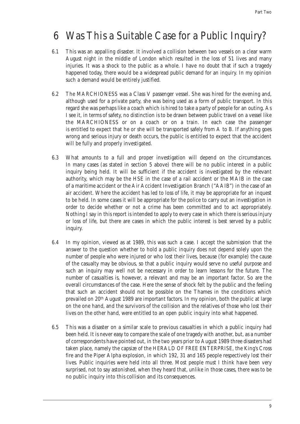### 6 Was This a Suitable Case for a Public Inquiry?

- 6.1 This was an appalling disaster. It involved a collision between two vessels on a clear warm August night in the middle of London which resulted in the loss of 51 lives and many injuries. It was a shock to the public as a whole. I have no doubt that if such a tragedy happened today, there would be a widespread public demand for an inquiry. In my opinion such a demand would be entirely justified.
- 6.2 The MARCHIONESS was a Class V passenger vessel. She was hired for the evening and, although used for a private party, she was being used as a form of public transport. In this regard she was perhaps like a coach which is hired to take a party of people for an outing. As I see it, in terms of safety, no distinction is to be drawn between public travel on a vessel like the MARCHIONESS or on a coach or on a train. In each case the passenger is entitled to expect that he or she will be transported safely from A to B. If anything goes wrong and serious injury or death occurs, the public is entitled to expect that the accident will be fully and properly investigated.
- 6.3 What amounts to a full and proper investigation will depend on the circumstances. In many cases (as stated in section 5 above) there will be no public interest in a public inquiry being held. It will be sufficient if the accident is investigated by the relevant authority, which may be the HSE in the case of a rail accident or the MAIB in the case of a maritime accident or the Air Accident Investigation Branch ("AAIB") in the case of an air accident. Where the accident has led to loss of life, it may be appropriate for an inquest to be held. In some cases it will be appropriate for the police to carry out an investigation in order to decide whether or not a crime has been committed and to act appropriately. Nothing I say in this report is intended to apply to every case in which there is serious injury or loss of life, but there are cases in which the public interest is best served by a public inquiry.
- 6.4 In my opinion, viewed as at 1989, this was such a case. I accept the submission that the answer to the question whether to hold a public inquiry does not depend solely upon the number of people who were injured or who lost their lives, because (for example) the cause of the casualty may be obvious, so that a public inquiry would serve no useful purpose and such an inquiry may well not be necessary in order to learn lessons for the future. The number of casualties is, however, a relevant and may be an important factor. So are the overall circumstances of the case. Here the sense of shock felt by the public and the feeling that such an accident should not be possible on the Thames in the conditions which prevailed on 20th August 1989 are important factors. In my opinion, both the public at large on the one hand, and the survivors of the collision and the relatives of those who lost their lives on the other hand, were entitled to an open public inquiry into what happened.
- 6.5 This was a disaster on a similar scale to previous casualties in which a public inquiry had been held. It is never easy to compare the scale of one tragedy with another, but, as a number of correspondents have pointed out, in the two years prior to August 1989 three disasters had taken place, namely the capsize of the HERALD OF FREE ENTERPRISE, the King's Cross fire and the Piper Alpha explosion, in which 192, 31 and 165 people respectively lost their lives. Public inquiries were held into all three. Most people must I think have been very surprised, not to say astonished, when they heard that, unlike in those cases, there was to be no public inquiry into this collision and its consequences.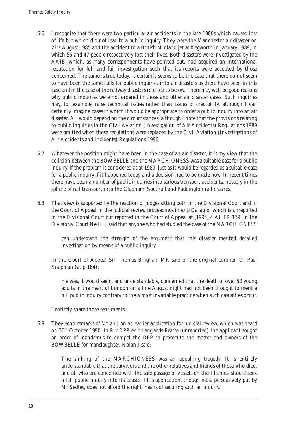- 6.6 I recognise that there were two particular air accidents in the late 1980s which caused loss of life but which did not lead to a public inquiry. They were the Manchester air disaster on 22nd August 1985 and the accident to a British Midland jet at Kegworth in January 1989, in which 55 and 47 people respectively lost their lives. Both disasters were investigated by the AAIB, which, as many correspondents have pointed out, had acquired an international reputation for full and fair investigation such that its reports were accepted by those concerned. The same is true today. It certainly seems to be the case that there do not seem to have been the same calls for public inquiries into air disasters as there have been in this case and in the case of the railway disasters referred to below. There may well be good reasons why public inquiries were not ordered in those and other air disaster cases. Such inquiries may, for example, raise technical issues rather than issues of credibility, although I can certainly imagine cases in which it would be appropriate to order a public inquiry into an air disaster. All would depend on the circumstances, although I note that the provisions relating to public inquiries in the Civil Aviation (Investigation of Air Accidents) Regulations 1989 were omitted when those regulations were replaced by the Civil Aviation (Investigations of Air Accidents and Incidents) Regulations 1996.
- 6.7 Whatever the position might have been in the case of an air disaster, it is my view that the collision between the BOWBELLE and the MARCHIONESS was a suitable case for a public inquiry, if the problem is considered as at 1989, just as it would be regarded as a suitable case for a public inquiry if it happened today and a decision had to be made now. In recent times there have been a number of public inquiries into serious transport accidents, notably in the sphere of rail transport into the Clapham, Southall and Paddington rail crashes.
- 6.8 That view is supported by the reaction of judges sitting both in the Divisional Court and in the Court of Appeal in the judicial review proceedings in *ex p Dallaglio,* which is unreported in the Divisional Court but reported in the Court of Appeal at [1994] 4 All ER 139. In the Divisional Court Neill LJ said that anyone who had studied the case of the MARCHIONESS

can understand the strength of the argument that this disaster merited detailed investigation by means of a public inquiry.

In the Court of Appeal Sir Thomas Bingham MR said of the original coroner, Dr Paul Knapman (at p 164):

He was, it would seem, and understandably, concerned that the death of over 50 young adults in the heart of London on a fine August night had not been thought to merit a full public inquiry contrary to the almost invariable practice when such casualties occur.

I entirely share those sentiments.

6.9 They echo remarks of Nolan J on an earlier application for judicial review, which was heard on 30th October 1990. In *R v DPP ex p Langlands-Pearse* (unreported) the applicant sought an order of mandamus to compel the DPP to prosecute the master and owners of the BOWBELLE for manslaughter. Nolan J said:

> The sinking of the MARCHIONESS was an appalling tragedy. It is entirely understandable that the survivors and the other relatives and friends of those who died, and all who are concerned with the safe passage of vessels on the Thames, should seek a full public inquiry into its causes. This application, though most persuasively put by Mr Sedley, does not afford the right means of securing such an inquiry.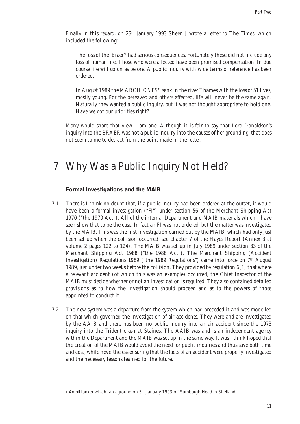Finally in this regard, on 23rd January 1993 Sheen J wrote a letter to The Times, which included the following:

The loss of the 'Braer'1 had serious consequences. Fortunately these did not include any loss of human life. Those who were affected have been promised compensation. In due course life will go on as before. A public inquiry with wide terms of reference has been ordered.

In August 1989 the MARCHIONESS sank in the river Thames with the loss of 51 lives, mostly young. For the bereaved and others affected, life will never be the same again. Naturally they wanted a public inquiry, but it was not thought appropriate to hold one. Have we got our priorities right?

Many would share that view. I am one. Although it is fair to say that Lord Donaldson's inquiry into the BRAER was not a public inquiry into the causes of her grounding, that does not seem to me to detract from the point made in the letter.

### 7 Why Was a Public Inquiry Not Held?

#### **Formal Investigations and the MAIB**

- 7.1 There is I think no doubt that, if a public inquiry had been ordered at the outset, it would have been a formal investigation ("FI") under section 56 of the Merchant Shipping Act 1970 ("the 1970 Act"). All of the internal Department and MAIB materials which I have seen show that to be the case. In fact an FI was not ordered, but the matter was investigated by the MAIB. This was the first investigation carried out by the MAIB, which had only just been set up when the collision occurred: see chapter 7 of the Hayes Report (Annex 3 at volume 2 pages 122 to 124). The MAIB was set up in July 1989 under section 33 of the Merchant Shipping Act 1988 ("the 1988 Act"). The Merchant Shipping (Accident Investigation) Regulations 1989 ("the 1989 Regulations") came into force on 7th August 1989, just under two weeks before the collision. They provided by regulation 6(1) that where a relevant accident (of which this was an example) occurred, the Chief Inspector of the MAIB must decide whether or not an investigation is required. They also contained detailed provisions as to how the investigation should proceed and as to the powers of those appointed to conduct it.
- 7.2 The new system was a departure from the system which had preceded it and was modelled on that which governed the investigation of air accidents. They were and are investigated by the AAIB and there has been no public inquiry into an air accident since the 1973 inquiry into the Trident crash at Staines. The AAIB was and is an independent agency within the Department and the MAIB was set up in the same way. It was I think hoped that the creation of the MAIB would avoid the need for public inquiries and thus save both time and cost, while nevertheless ensuring that the facts of an accident were properly investigated and the necessary lessons learned for the future.

<sup>1</sup> An oil tanker which ran aground on 5th January 1993 off Sumburgh Head in Shetland.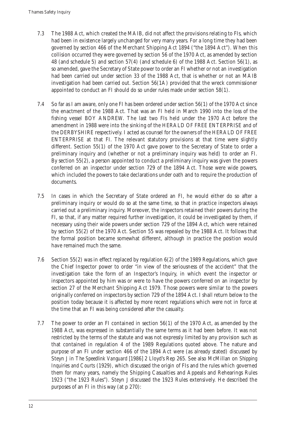- 7.3 The 1988 Act, which created the MAIB, did not affect the provisions relating to FIs, which had been in existence largely unchanged for very many years. For a long time they had been governed by section 466 of the Merchant Shipping Act 1894 ("the 1894 Act"). When this collision occurred they were governed by section 56 of the 1970 Act, as amended by section 48 (and schedule 5) and section 57(4) (and schedule 6) of the 1988 Act. Section 56(1), as so amended, gave the Secretary of State power to order an FI whether or not an investigation had been carried out under section 33 of the 1988 Act, that is whether or not an MAIB investigation had been carried out. Section 56(1A) provided that the wreck commissioner appointed to conduct an FI should do so under rules made under section 58(1).
- 7.4 So far as I am aware, only one FI has been ordered under section 56(1) of the 1970 Act since the enactment of the 1988 Act. That was an FI held in March 1990 into the loss of the fishing vessel BOY ANDREW. The last two FIs held under the 1970 Act before the amendment in 1988 were into the sinking of the HERALD OF FREE ENTERPRISE and of the DERBYSHIRE respectively. I acted as counsel for the owners of the HERALD OF FREE ENTERPRISE at that FI. The relevant statutory provisions at that time were slightly different. Section 55(1) of the 1970 Act gave power to the Secretary of State to order a preliminary inquiry and (whether or not a preliminary inquiry was held) to order an FI. By section 55(2), a person appointed to conduct a preliminary inquiry was given the powers conferred on an inspector under section 729 of the 1894 Act. Those were wide powers, which included the powers to take declarations under oath and to require the production of documents.
- 7.5 In cases in which the Secretary of State ordered an FI, he would either do so after a preliminary inquiry or would do so at the same time, so that in practice inspectors always carried out a preliminary inquiry. Moreover, the inspectors retained their powers during the FI, so that, if any matter required further investigation, it could be investigated by them, if necessary using their wide powers under section 729 of the 1894 Act, which were retained by section 55(2) of the 1970 Act. Section 55 was repealed by the 1988 Act. It follows that the formal position became somewhat different, although in practice the position would have remained much the same.
- 7.6 Section 55(2) was in effect replaced by regulation 6(2) of the 1989 Regulations, which gave the Chief Inspector power to order "in view of the seriousness of the accident" that the investigation take the form of an Inspector's Inquiry, in which event the inspector or inspectors appointed by him was or were to have the powers conferred on an inspector by section 27 of the Merchant Shipping Act 1979. Those powers were similar to the powers originally conferred on inspectors by section 729 of the 1894 Act. I shall return below to the position today because it is affected by more recent regulations which were not in force at the time that an FI was being considered after the casualty.
- 7.7 The power to order an FI contained in section 56(1) of the 1970 Act, as amended by the 1988 Act, was expressed in substantially the same terms as it had been before. It was not restricted by the terms of the statute and was not expressly limited by any provision such as that contained in regulation 4 of the 1989 Regulations quoted above. The nature and purpose of an FI under section 466 of the 1894 Act were (as already stated) discussed by Steyn J in *The Speedlink Vanguard* [1986] 2 Lloyd's Rep 265. See also McMillan on *Shipping Inquiries and Courts* (1929), which discussed the origin of FIs and the rules which governed them for many years, namely the Shipping Casualties and Appeals and Rehearings Rules 1923 ("the 1923 Rules"). Steyn J discussed the 1923 Rules extensively. He described the purposes of an FI in this way (at p 270):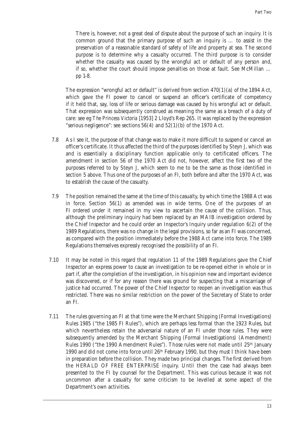There is, however, not a great deal of dispute about the purpose of such an inquiry. It is common ground that the primary purpose of such an inquiry is … to assist in the preservation of a reasonable standard of safety of life and property at sea. The second purpose is to determine why a casualty occurred. The third purpose is to consider whether the casualty was caused by the wrongful act or default of any person and, if so, whether the court should impose penalties on those at fault. See McMillan … pp 1-8.

The expression "wrongful act or default" is derived from section  $470(1)(a)$  of the 1894 Act, which gave the FI power to cancel or suspend an officer's certificate of competency if it held that, say, loss of life or serious damage was caused by his wrongful act or default. That expression was subsequently construed as meaning the same as a breach of a duty of care: see eg *The Princess Victoria* [1953] 2 Lloyd's Rep 265. It was replaced by the expression "serious negligence": see sections  $56(4)$  and  $52(1)(b)$  of the 1970 Act.

- 7.8 As I see it, the purpose of that change was to make it more difficult to suspend or cancel an officer's certificate. It thus affected the third of the purposes identified by Steyn J, which was and is essentially a disciplinary function applicable only to certificated officers. The amendment in section 56 of the 1970 Act did not, however, affect the first two of the purposes referred to by Steyn J, which seem to me to be the same as those identified in section 5 above. Thus one of the purposes of an FI, both before and after the 1970 Act, was to establish the cause of the casualty.
- 7.9 The position remained the same at the time of this casualty, by which time the 1988 Act was in force. Section 56(1) as amended was in wide terms. One of the purposes of an FI ordered under it remained in my view to ascertain the cause of the collision. Thus, although the preliminary inquiry had been replaced by an MAIB investigation ordered by the Chief Inspector and he could order an Inspector's Inquiry under regulation 6(2) of the 1989 Regulations, there was no change in the legal provisions, so far as an FI was concerned, as compared with the position immediately before the 1988 Act came into force. The 1989 Regulations themselves expressly recognised the possibility of an FI.
- 7.10 It may be noted in this regard that regulation 11 of the 1989 Regulations gave the Chief Inspector an express power to cause an investigation to be re-opened either in whole or in part if, after the completion of the investigation, in his opinion new and important evidence was discovered, or if for any reason there was ground for suspecting that a miscarriage of justice had occurred. The power of the Chief Inspector to reopen an investigation was thus restricted. There was no similar restriction on the power of the Secretary of State to order an FI.
- 7.11 The rules governing an FI at that time were the Merchant Shipping (Formal Investigations) Rules 1985 ("the 1985 FI Rules"), which are perhaps less formal than the 1923 Rules, but which nevertheless retain the adversarial nature of an FI under those rules. They were subsequently amended by the Merchant Shipping (Formal Investigations) (Amendment) Rules 1990 ("the 1990 Amendment Rules"). Those rules were not made until 25th January 1990 and did not come into force until 26th February 1990, but they must I think have been in preparation before the collision. They made two principal changes. The first derived from the HERALD OF FREE ENTERPRISE inquiry. Until then the case had always been presented to the FI by counsel for the Department. This was curious because it was not uncommon after a casualty for some criticism to be levelled at some aspect of the Department's own activities.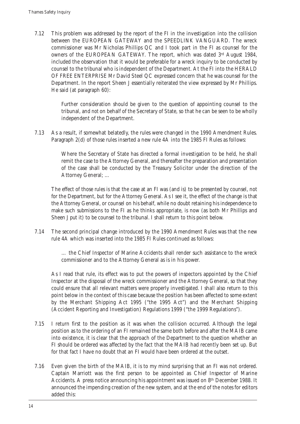7.12 This problem was addressed by the report of the FI in the investigation into the collision between the EUROPEAN GATEWAY and the SPEEDLINK VANGUARD. The wreck commissioner was Mr Nicholas Phillips QC and I took part in the FI as counsel for the owners of the EUROPEAN GATEWAY. The report, which was dated 3rd August 1984, included the observation that it would be preferable for a wreck inquiry to be conducted by counsel to the tribunal who is independent of the Department. At the FI into the HERALD OF FREE ENTERPRISE Mr David Steel QC expressed concern that he was counsel for the Department. In the report Sheen J essentially reiterated the view expressed by Mr Phillips. He said (at paragraph 60):

> Further consideration should be given to the question of appointing counsel to the tribunal, and *not* on behalf of the Secretary of State, so that he can be seen to be wholly independent of the Department.

7.13 As a result, if somewhat belatedly, the rules were changed in the 1990 Amendment Rules. Paragraph 2(d) of those rules inserted a new rule 4A into the 1985 FI Rules as follows:

> Where the Secretary of State has directed a formal investigation to be held, he shall remit the case to the Attorney General, and thereafter the preparation and presentation of the case shall be conducted by the Treasury Solicitor under the direction of the Attorney General; …

The effect of those rules is that the case at an FI was (and is) to be presented by counsel, not for the Department, but for the Attorney General. As I see it, the effect of the change is that the Attorney General, or counsel on his behalf, while no doubt retaining his independence to make such submissions to the FI as he thinks appropriate, is now (as both Mr Phillips and Sheen J put it) to be counsel to the tribunal. I shall return to this point below.

7.14 The second principal change introduced by the 1990 Amendment Rules was that the new rule 4A which was inserted into the 1985 FI Rules continued as follows:

> … the Chief Inspector of Marine Accidents shall render such assistance to the wreck commissioner and to the Attorney General as is in his power.

As I read that rule, its effect was to put the powers of inspectors appointed by the Chief Inspector at the disposal of the wreck commissioner and the Attorney General, so that they could ensure that all relevant matters were properly investigated. I shall also return to this point below in the context of this case because the position has been affected to some extent by the Merchant Shipping Act 1995 ("the 1995 Act") and the Merchant Shipping (Accident Reporting and Investigation) Regulations 1999 ("the 1999 Regulations").

- 7.15 I return first to the position as it was when the collision occurred. Although the legal position as to the ordering of an FI remained the same both before and after the MAIB came into existence, it is clear that the approach of the Department to the question whether an FI should be ordered was affected by the fact that the MAIB had recently been set up. But for that fact I have no doubt that an FI would have been ordered at the outset.
- 7.16 Even given the birth of the MAIB, it is to my mind surprising that an FI was not ordered. Captain Marriott was the first person to be appointed as Chief Inspector of Marine Accidents. A press notice announcing his appointment was issued on 8th December 1988. It announced the impending creation of the new system, and at the end of the notes for editors added this: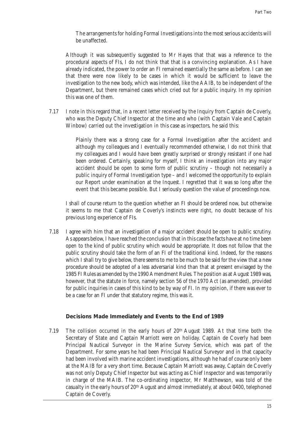The arrangements for holding Formal Investigations into the most serious accidents will be unaffected.

Although it was subsequently suggested to Mr Hayes that that was a reference to the procedural aspects of FIs, I do not think that that is a convincing explanation. As I have already indicated, the power to order an FI remained essentially the same as before. I can see that there were now likely to be cases in which it would be sufficient to leave the investigation to the new body, which was intended, like the AAIB, to be independent of the Department, but there remained cases which cried out for a public inquiry. In my opinion this was one of them.

7.17 I note in this regard that, in a recent letter received by the Inquiry from Captain de Coverly, who was the Deputy Chief Inspector at the time and who (with Captain Vale and Captain Winbow) carried out the investigation in this case as inspectors, he said this:

> Plainly there was a strong case for a Formal Investigation after the accident and although my colleagues and I eventually recommended otherwise, I do not think that my colleagues and I would have been greatly surprised or strongly resistant if one had been ordered. Certainly, speaking for myself, I think an investigation into any major accident should be open to some form of public scrutiny – though not necessarily a public inquiry of Formal Investigation type – and I welcomed the opportunity to explain our Report under examination at the Inquest. I regretted that it was so long after the event that this became possible. But I seriously question the value of proceedings now.

I shall of course return to the question whether an FI should be ordered now, but otherwise it seems to me that Captain de Coverly's instincts were right, no doubt because of his previous long experience of FIs.

7.18 I agree with him that an investigation of a major accident should be open to public scrutiny. As appears below, I have reached the conclusion that in this case the facts have at no time been open to the kind of public scrutiny which would be appropriate. It does not follow that the public scrutiny should take the form of an FI of the traditional kind. Indeed, for the reasons which I shall try to give below, there seems to me to be much to be said for the view that a new procedure should be adopted of a less adversarial kind than that at present envisaged by the 1985 FI Rules as amended by the 1990 Amendment Rules. The position as at August 1989 was, however, that the statute in force, namely section 56 of the 1970 Act (as amended), provided for public inquiries in cases of this kind to be by way of FI. In my opinion, if there was ever to be a case for an FI under that statutory regime, this was it.

#### **Decisions Made Immediately and Events to the End of 1989**

7.19 The collision occurred in the early hours of 20th August 1989. At that time both the Secretary of State and Captain Marriott were on holiday. Captain de Coverly had been Principal Nautical Surveyor in the Marine Survey Service, which was part of the Department. For some years he had been Principal Nautical Surveyor and in that capacity had been involved with marine accident investigations, although he had of course only been at the MAIB for a very short time. Because Captain Marriott was away, Captain de Coverly was not only Deputy Chief Inspector but was acting as Chief Inspector and was temporarily in charge of the MAIB. The co-ordinating inspector, Mr Matthewson, was told of the casualty in the early hours of 20th August and almost immediately, at about 0400, telephoned Captain de Coverly.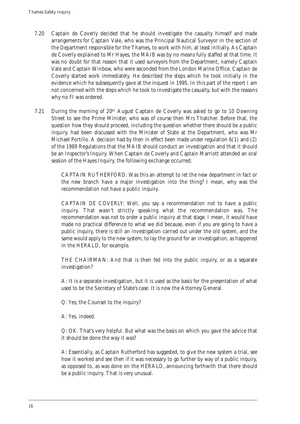- 7.20 Captain de Coverly decided that he should investigate the casualty himself and made arrangements for Captain Vale, who was the Principal Nautical Surveyor in the section of the Department responsible for the Thames, to work with him, at least initially. As Captain de Coverly explained to Mr Hayes, the MAIB was by no means fully staffed at that time. It was no doubt for that reason that it used surveyors from the Department, namely Captain Vale and Captain Winbow, who were seconded from the London Marine Office. Captain de Coverly started work immediately. He described the steps which he took initially in the evidence which he subsequently gave at the inquest in 1995. In this part of the report I am not concerned with the steps which he took to investigate the casualty, but with the reasons why no FI was ordered.
- 7.21 During the morning of 20th August Captain de Coverly was asked to go to 10 Downing Street to see the Prime Minister, who was of course then Mrs Thatcher. Before that, the question how they should proceed, including the question whether there should be a public inquiry, had been discussed with the Minister of State at the Department, who was Mr Michael Portillo. A decision had by then in effect been made under regulation 6(1) and (2) of the 1989 Regulations that the MAIB should conduct an investigation and that it should be an Inspector's Inquiry. When Captain de Coverly and Captain Marriott attended an oral session of the Hayes Inquiry, the following exchange occurred:

CAPTAIN RUTHERFORD: Was this an attempt to let the new department in fact or the new branch have a major investigation into the thing? I mean, why was the recommendation not have a public inquiry.

CAPTAIN DE COVERLY: Well, you say a recommendation not to have a public inquiry. That wasn't strictly speaking what the recommendation was. The recommendation was not to order a public inquiry at that stage. I mean, it would have made no practical difference to what we did because, even if you are going to have a public inquiry, there is still an investigation carried out under the old system, and the same would apply to the new system, to lay the ground for an investigation, as happened in the HERALD, for example.

THE CHAIRMAN: And that is then fed into the public inquiry, or as a separate investigation?

A: It is a separate investigation, but it is used as the basis for the presentation of what used to be the Secretary of State's case. It is now the Attorney General.

Q: Yes; the Counsel to the inquiry?

A: Yes, indeed.

Q: OK. That's very helpful. But what was the basis on which you gave the advice that it should be done the way it was?

A: Essentially, as Captain Rutherford has suggested, to give the new system a trial, see how it worked and see then if it was necessary to go further by way of a public inquiry, as opposed to, as was done on the HERALD, announcing forthwith that there should be a public inquiry. That is very unusual.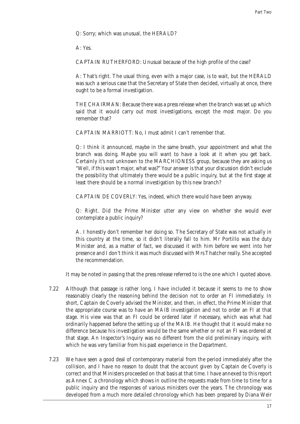Q: Sorry; which was unusual, the HERALD?

A: Yes.

CAPTAIN RUTHERFORD: Unusual because of the high profile of the case?

A: That's right. The usual thing, even with a major case, is to wait, but the HERALD was such a serious case that the Secretary of State then decided, virtually at once, there ought to be a formal investigation.

THE CHAIRMAN: Because there was a press release when the branch was set up which said that it would carry out most investigations, except the most major. Do you remember that?

CAPTAIN MARRIOTT: No, I must admit I can't remember that.

Q: I think it announced, maybe in the same breath, your appointment and what the branch was doing. Maybe you will want to have a look at it when you get back. Certainly it's not unknown to the MARCHIONESS group, because they are asking us "Well, if this wasn't major, what was?" Your answer is that your discussion didn't exclude the possibility that ultimately there would be a public inquiry, but at the first stage at least there should be a normal investigation by this new branch?

CAPTAIN DE COVERLY: Yes, indeed, which there would have been anyway.

Q: Right. Did the Prime Minister utter any view on whether she would ever contemplate a public inquiry?

A. I honestly don't remember her doing so. The Secretary of State was not actually in this country at the time, so it didn't literally fall to him. Mr Portillo was the duty Minister and, as a matter of fact, we discussed it with him before we went into her presence and I don't think it was much discussed with Mrs Thatcher really. She accepted the recommendation.

It may be noted in passing that the press release referred to is the one which I quoted above.

- 7.22 Although that passage is rather long, I have included it because it seems to me to show reasonably clearly the reasoning behind the decision not to order an FI immediately. In short, Captain de Coverly advised the Minister, and then, in effect, the Prime Minister that the appropriate course was to have an MAIB investigation and not to order an FI at that stage. His view was that an FI could be ordered later if necessary, which was what had ordinarily happened before the setting up of the MAIB. He thought that it would make no difference because his investigation would be the same whether or not an FI was ordered at that stage. An Inspector's Inquiry was no different from the old preliminary inquiry, with which he was very familiar from his past experience in the Department.
- 7.23 We have seen a good deal of contemporary material from the period immediately after the collision, and I have no reason to doubt that the account given by Captain de Coverly is correct and that Ministers proceeded on that basis at that time. I have annexed to this report as Annex C a chronology which shows in outline the requests made from time to time for a public inquiry and the responses of various ministers over the years. The chronology was developed from a much more detailed chronology which has been prepared by Diana Weir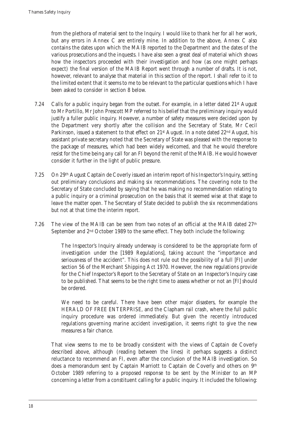from the plethora of material sent to the Inquiry. I would like to thank her for all her work, but any errors in Annex C are entirely mine. In addition to the above, Annex C also contains the dates upon which the MAIB reported to the Department and the dates of the various prosecutions and the inquests. I have also seen a great deal of material which shows how the inspectors proceeded with their investigation and how (as one might perhaps expect) the final version of the MAIB Report went through a number of drafts. It is not, however, relevant to analyse that material in this section of the report. I shall refer to it to the limited extent that it seems to me to be relevant to the particular questions which I have been asked to consider in section 8 below.

- 7.24 Calls for a public inquiry began from the outset. For example, in a letter dated 21st August to Mr Portillo, Mr John Prescott MP referred to his belief that the preliminary inquiry would justify a fuller public inquiry. However, a number of safety measures were decided upon by the Department very shortly after the collision and the Secretary of State, Mr Cecil Parkinson, issued a statement to that effect on 21<sup>st</sup> August. In a note dated 22<sup>nd</sup> August, his assistant private secretary noted that the Secretary of State was pleased with the response to the package of measures, which had been widely welcomed, and that he would therefore resist for the time being any call for an FI beyond the remit of the MAIB. He would however consider it further in the light of public pressure.
- 7.25 On 29th August Captain de Coverly issued an interim report of his Inspector's Inquiry, setting out preliminary conclusions and making six recommendations. The covering note to the Secretary of State concluded by saying that he was making no recommendation relating to a public inquiry or a criminal prosecution on the basis that it seemed wise at that stage to leave the matter open. The Secretary of State decided to publish the six recommendations but not at that time the interim report.
- 7.26 The view of the MAIB can be seen from two notes of an official at the MAIB dated  $27<sup>th</sup>$ September and 2nd October 1989 to the same effect. They both include the following:

The Inspector's Inquiry already underway is considered to be the appropriate form of investigation under the [1989 Regulations], taking account the "importance and seriousness of the accident". This does not rule out the possibility of a full [FI] under section 56 of the Merchant Shipping Act 1970. However, the new regulations provide for the Chief Inspector's Report to the Secretary of State on an Inspector's Inquiry case to be published. That seems to be the right time to assess whether or not an [FI] should be ordered.

We need to be careful. There have been other major disasters, for example the HERALD OF FREE ENTERPRISE, and the Clapham rail crash, where the full public inquiry procedure was ordered immediately. But given the recently introduced regulations governing marine accident investigation, it seems right to give the new measures a fair chance.

That view seems to me to be broadly consistent with the views of Captain de Coverly described above, although (reading between the lines) it perhaps suggests a distinct reluctance to recommend an FI, even after the conclusion of the MAIB investigation. So does a memorandum sent by Captain Marriott to Captain de Coverly and others on 9th October 1989 referring to a proposed response to be sent by the Minister to an MP concerning a letter from a constituent calling for a public inquiry. It included the following: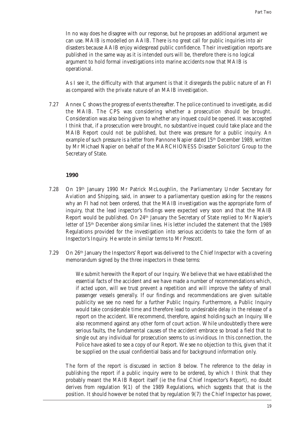In no way does he disagree with our response, but he proposes an additional argument we can use. MAIB is modelled on AAIB. There is no great call for public inquiries into air disasters because AAIB enjoy widespread public confidence. Their investigation reports are published in the same way as it is intended ours will be, therefore there is no logical argument to hold formal investigations into marine accidents now that MAIB is operational.

As I see it, the difficulty with that argument is that it disregards the public nature of an FI as compared with the private nature of an MAIB investigation.

7.27 Annex C shows the progress of events thereafter. The police continued to investigate, as did the MAIB. The CPS was considering whether a prosecution should be brought. Consideration was also being given to whether any inquest could be opened. It was accepted I think that, if a prosecution were brought, no substantive inquest could take place and the MAIB Report could not be published, but there was pressure for a public inquiry. An example of such pressure is a letter from Pannone Napier dated 15th December 1989, written by Mr Michael Napier on behalf of the MARCHIONESS Disaster Solicitors' Group to the Secretary of State.

### **1990**

- 7.28 On 19th January 1990 Mr Patrick McLoughlin, the Parliamentary Under Secretary for Aviation and Shipping, said, in answer to a parliamentary question asking for the reasons why an FI had not been ordered, that the MAIB investigation was the appropriate form of inquiry, that the lead inspector's findings were expected very soon and that the MAIB Report would be published. On 24th January the Secretary of State replied to Mr Napier's letter of 15th December along similar lines. His letter included the statement that the 1989 Regulations provided for the investigation into serious accidents to take the form of an Inspector's Inquiry. He wrote in similar terms to Mr Prescott.
- 7.29 On 26th January the Inspectors' Report was delivered to the Chief Inspector with a covering memorandum signed by the three inspectors in these terms:

We submit herewith the Report of our Inquiry. We believe that we have established the essential facts of the accident and we have made a number of recommendations which, if acted upon, will we trust prevent a repetition and will improve the safety of small passenger vessels generally. If our findings and recommendations are given suitable publicity we see no need for a further Public Inquiry. Furthermore, a Public Inquiry would take considerable time and therefore lead to undesirable delay in the release of a report on the accident. We recommend, therefore, against holding such an Inquiry. We also recommend against any other form of court action. While undoubtedly there were serious faults, the fundamental causes of the accident embrace so broad a field that to single out any individual for prosecution seems to us invidious. In this connection, the Police have asked to see a copy of our Report. We see no objection to this, given that it be supplied on the usual confidential basis and for background information only.

The form of the report is discussed in section 8 below. The reference to the delay in publishing the report if a public inquiry were to be ordered, by which I think that they probably meant the MAIB Report itself (ie the final Chief Inspector's Report), no doubt derives from regulation 9(1) of the 1989 Regulations, which suggests that that is the position. It should however be noted that by regulation 9(7) the Chief Inspector has power,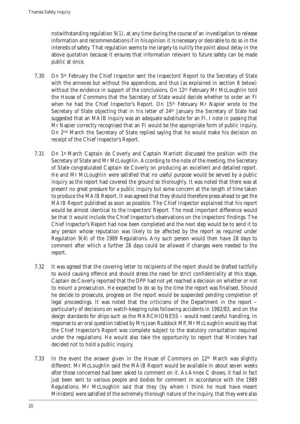notwithstanding regulation 9(1), at any time during the course of an investigation to release information and recommendations if in his opinion it is necessary or desirable to do so in the interests of safety. That regulation seems to me largely to nullify the point about delay in the above quotation because it ensures that information relevant to future safety can be made public at once.

- 7.30 On 5th February the Chief Inspector sent the Inspectors' Report to the Secretary of State with the annexes but without the appendices, and thus (as explained in section 8 below) without the evidence in support of the conclusions. On 12<sup>th</sup> February Mr McLoughlin told the House of Commons that the Secretary of State would decide whether to order an FI when he had the Chief Inspector's Report. On 15th February Mr Napier wrote to the Secretary of State objecting that in his letter of 24<sup>th</sup> January the Secretary of State had suggested that an MAIB inquiry was an adequate substitute for an FI. I note in passing that Mr Napier correctly recognised that an FI would be the appropriate form of public inquiry. On 2nd March the Secretary of State replied saying that he would make his decision on receipt of the Chief Inspector's Report.
- 7.31 On 1st March Captain de Coverly and Captain Marriott discussed the position with the Secretary of State and Mr McLoughlin. According to the note of the meeting, the Secretary of State congratulated Captain de Coverly on producing an excellent and detailed report. He and Mr McLoughlin were satisfied that no useful purpose would be served by a public inquiry as the report had covered the ground so thoroughly. It was noted that there was at present no great pressure for a public inquiry but some concern at the length of time taken to produce the MAIB Report. It was agreed that they should therefore press ahead to get the MAIB Report published as soon as possible. The Chief Inspector explained that his report would be almost identical to the Inspectors' Report. The most important difference would be that it would include the Chief Inspector's observations on the inspectors' findings. The Chief Inspector's Report had now been completed and the next step would be to send it to any person whose reputation was likely to be affected by the report as required under Regulation 9(4) of the 1989 Regulations. Any such person would then have 28 days to comment after which a further 28 days could be allowed if changes were needed to the report.
- 7.32 It was agreed that the covering letter to recipients of the report should be drafted tactfully to avoid causing offence and should stress the need for strict confidentiality at this stage. Captain de Coverly reported that the DPP had not yet reached a decision on whether or not to mount a prosecution. He expected to do so by the time the report was finalised. Should he decide to prosecute, progress on the report would be suspended pending completion of legal proceedings. It was noted that the criticisms of the Department in the report – particularly of decisions on watch-keeping rules following accidents in 1982/83, and on the design standards for ships such as the MARCHIONESS – would need careful handling. In response to an oral question tabled by Mrs Joan Ruddock MP, Mr McLoughlin would say that the Chief Inspector's Report was complete subject to the statutory consultation required under the regulations. He would also take the opportunity to report that Ministers had decided not to hold a public inquiry.
- 7.33 In the event the answer given in the House of Commons on 12th March was slightly different. Mr McLoughlin said the MAIB Report would be available in about seven weeks after those concerned had been asked to comment on it. As Annex C shows, it had in fact just been sent to various people and bodies for comment in accordance with the 1989 Regulations. Mr McLoughlin said that they (by whom I think he must have meant Ministers) were satisfied of the extremely thorough nature of the inquiry, that they were also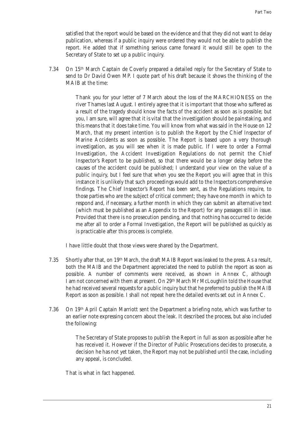satisfied that the report would be based on the evidence and that they did not want to delay publication, whereas if a public inquiry were ordered they would not be able to publish the report. He added that if something serious came forward it would still be open to the Secretary of State to set up a public inquiry.

7.34 On 15th March Captain de Coverly prepared a detailed reply for the Secretary of State to send to Dr David Owen MP. I quote part of his draft because it shows the thinking of the MAIB at the time:

> Thank you for your letter of 7 March about the loss of the MARCHIONESS on the river Thames last August. I entirely agree that it is important that those who suffered as a result of the tragedy should know the facts of the accident as soon as is possible; but you, I am sure, will agree that it is vital that the investigation should be painstaking, and this means that it does take time. You will know from what was said in the House on 12 March, that my present intention is to publish the Report by the Chief Inspector of Marine Accidents as soon as possible. The Report is based upon a very thorough investigation, as you will see when it is made public. If I were to order a Formal Investigation, the Accident Investigation Regulations do not permit the Chief Inspector's Report to be published, so that there would be a longer delay before the causes of the accident could be published; I understand your view on the value of a public inquiry, but I feel sure that when you see the Report you will agree that in this instance it is unlikely that such proceedings would add to the Inspectors comprehensive findings. The Chief Inspector's Report has been sent, as the Regulations require, to those parties who are the subject of critical comment; they have one month in which to respond and, if necessary, a further month in which they can submit an alternative text (which must be published as an Appendix to the Report) for any passages still in issue. Provided that there is no prosecution pending, and that nothing has occurred to decide me after all to order a Formal Investigation, the Report will be published as quickly as is practicable after this process is complete.

I have little doubt that those views were shared by the Department.

- 7.35 Shortly after that, on 19th March, the draft MAIB Report was leaked to the press. As a result, both the MAIB and the Department appreciated the need to publish the report as soon as possible. A number of comments were received, as shown in Annex C, although I am not concerned with them at present. On 29th March Mr McLoughlin told the House that he had received several requests for a public inquiry but that he preferred to publish the MAIB Report as soon as possible. I shall not repeat here the detailed events set out in Annex C.
- 7.36 On 19th April Captain Marriott sent the Department a briefing note, which was further to an earlier note expressing concern about the leak. It described the process, but also included the following:

The Secretary of State proposes to publish the Report in full as soon as possible after he has received it. However if the Director of Public Prosecutions decides to prosecute, a decision he has not yet taken, the Report may not be published until the case, including any appeal, is concluded.

That is what in fact happened.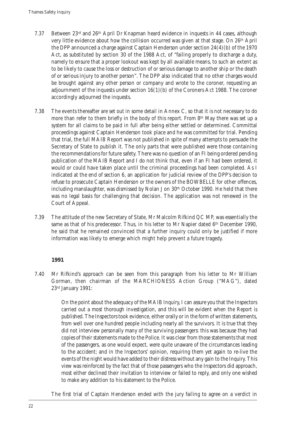- 7.37 Between 23rd and 26th April Dr Knapman heard evidence in inquests in 44 cases, although very little evidence about how the collision occurred was given at that stage. On 26th April the DPP announced a charge against Captain Henderson under section 24(4)(b) of the 1970 Act, as substituted by section 30 of the 1988 Act, of "failing properly to discharge a duty, namely to ensure that a proper lookout was kept by all available means, to such an extent as to be likely to cause the loss or destruction of or serious damage to another ship or the death of or serious injury to another person". The DPP also indicated that no other charges would be brought against any other person or company and wrote to the coroner, requesting an adjournment of the inquests under section  $16(1)(b)$  of the Coroners Act 1988. The coroner accordingly adjourned the inquests.
- 7.38 The events thereafter are set out in some detail in Annex C, so that it is not necessary to do more than refer to them briefly in the body of this report. From 8<sup>th</sup> May there was set up a system for all claims to be paid in full after being either settled or determined. Committal proceedings against Captain Henderson took place and he was committed for trial. Pending that trial, the full MAIB Report was not published in spite of many attempts to persuade the Secretary of State to publish it. The only parts that were published were those containing the recommendations for future safety. There was no question of an FI being ordered pending publication of the MAIB Report and I do not think that, even if an FI had been ordered, it would or could have taken place until the criminal proceedings had been completed. As I indicated at the end of section 6, an application for judicial review of the DPP's decision to refuse to prosecute Captain Henderson or the owners of the BOWBELLE for other offences, including manslaughter, was dismissed by Nolan J on 30th October 1990. He held that there was no legal basis for challenging that decision. The application was not renewed in the Court of Appeal.
- 7.39 The attitude of the new Secretary of State, Mr Malcolm Rifkind QC MP, was essentially the same as that of his predecessor. Thus, in his letter to Mr Napier dated 6<sup>th</sup> December 1990, he said that he remained convinced that a further inquiry could only be justified if more information was likely to emerge which might help prevent a future tragedy.

### **1991**

7.40 Mr Rifkind's approach can be seen from this paragraph from his letter to Mr William Gorman, then chairman of the MARCHIONESS Action Group ("MAG"), dated 23rd January 1991:

> On the point about the adequacy of the MAIB Inquiry, I can assure you that the Inspectors carried out a most thorough investigation, and this will be evident when the Report is published. The Inspectors took evidence, either orally or in the form of written statements, from well over one hundred people including nearly all the survivors. It is true that they did not interview personally many of the surviving passengers: this was because they had copies of their statements made to the Police. It was clear from those statements that most of the passengers, as one would expect, were quite unaware of the circumstances leading to the accident; and in the Inspectors' opinion, requiring them yet again to re-live the events of the night would have added to their distress without any gain to the Inquiry. This view was reinforced by the fact that of those passengers who the Inspectors did approach, most either declined their invitation to interview or failed to reply, and only one wished to make any addition to his statement to the Police.

The first trial of Captain Henderson ended with the jury failing to agree on a verdict in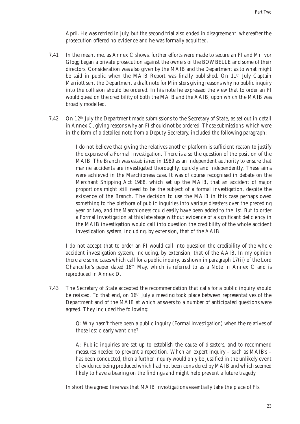April. He was retried in July, but the second trial also ended in disagreement, whereafter the prosecution offered no evidence and he was formally acquitted.

- 7.41 In the meantime, as Annex C shows, further efforts were made to secure an FI and Mr Ivor Glogg began a private prosecution against the owners of the BOWBELLE and some of their directors. Consideration was also given by the MAIB and the Department as to what might be said in public when the MAIB Report was finally published. On 11<sup>th</sup> July Captain Marriott sent the Department a draft note for Ministers giving reasons why no public inquiry into the collision should be ordered. In his note he expressed the view that to order an FI would question the credibility of both the MAIB and the AAIB, upon which the MAIB was broadly modelled.
- 7.42 On 12th July the Department made submissions to the Secretary of State, as set out in detail in Annex C, giving reasons why an FI should not be ordered. Those submissions, which were in the form of a detailed note from a Deputy Secretary, included the following paragraph:

I do not believe that giving the relatives another platform is sufficient reason to justify the expense of a Formal Investigation. There is also the question of the position of the MAIB. The Branch was established in 1989 as an independent authority to ensure that marine accidents are investigated thoroughly, quickly and independently. These aims were achieved in the Marchioness case. It was of course recognised in debate on the Merchant Shipping Act 1988, which set up the MAIB, that an accident of major proportions might still need to be the subject of a formal investigation, despite the existence of the Branch. The decision to use the MAIB in this case perhaps owed something to the plethora of public inquiries into various disasters over the preceding year or two, and the Marchioness could easily have been added to the list. But to order a Formal Investigation at this late stage without evidence of a significant deficiency in the MAIB investigation would call into question the credibility of the whole accident investigation system, including, by extension, that of the AAIB.

I do not accept that to order an FI would call into question the credibility of the whole accident investigation system, including, by extension, that of the AAIB. In my opinion there are some cases which call for a public inquiry, as shown in paragraph 17(ii) of the Lord Chancellor's paper dated  $16<sup>th</sup>$  May, which is referred to as a Note in Annex C and is reproduced in Annex D.

7.43 The Secretary of State accepted the recommendation that calls for a public inquiry should be resisted. To that end, on  $16<sup>th</sup>$  July a meeting took place between representatives of the Department and of the MAIB at which answers to a number of anticipated questions were agreed. They included the following:

> Q: Why hasn't there been a public inquiry (Formal investigation) when the relatives of those lost clearly want one?

> A: Public inquiries are set up to establish the cause of disasters, and to recommend measures needed to prevent a repetition. When an expert inquiry – such as MAIB's – has been conducted, then a further inquiry would only be justified in the unlikely event of evidence being produced which had not been considered by MAIB and which seemed likely to have a bearing on the findings and might help prevent a future tragedy.

In short the agreed line was that MAIB investigations essentially take the place of FIs.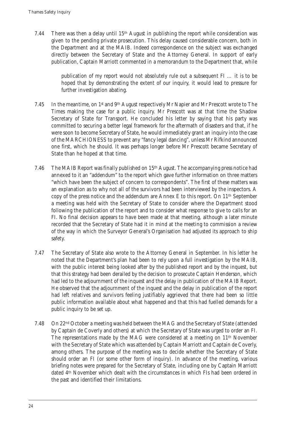7.44 There was then a delay until 15th August in publishing the report while consideration was given to the pending private prosecution. This delay caused considerable concern, both in the Department and at the MAIB. Indeed correspondence on the subject was exchanged directly between the Secretary of State and the Attorney General. In support of early publication, Captain Marriott commented in a memorandum to the Department that, while

> publication of my report would not absolutely rule out a subsequent FI … it is to be hoped that by demonstrating the extent of our inquiry, it would lead to pressure for further investigation abating.

- 7.45 In the meantime, on 1st and 9th August respectively Mr Napier and Mr Prescott wrote to The Times making the case for a public inquiry. Mr Prescott was at that time the Shadow Secretary of State for Transport. He concluded his letter by saying that his party was committed to securing a better legal framework for the aftermath of disasters and that, if he were soon to become Secretary of State, he would immediately grant an inquiry into the case of the MARCHIONESS to prevent any "fancy legal dancing", unless Mr Rifkind announced one first, which he should. It was perhaps longer before Mr Prescott became Secretary of State than he hoped at that time.
- 7.46 The MAIB Report was finally published on 15th August. The accompanying press notice had annexed to it an "addendum" to the report which gave further information on three matters "which have been the subject of concern to correspondents". The first of these matters was an explanation as to why not all of the survivors had been interviewed by the inspectors. A copy of the press notice and the addendum are Annex E to this report. On 11th September a meeting was held with the Secretary of State to consider where the Department stood following the publication of the report and to consider what response to give to calls for an FI. No final decision appears to have been made at that meeting, although a later minute recorded that the Secretary of State had it in mind at the meeting to commission a review of the way in which the Surveyor General's Organisation had adjusted its approach to ship safety.
- 7.47 The Secretary of State also wrote to the Attorney General in September. In his letter he noted that the Department's plan had been to rely upon a full investigation by the MAIB, with the public interest being looked after by the published report and by the inquest, but that this strategy had been derailed by the decision to prosecute Captain Henderson, which had led to the adjournment of the inquest and the delay in publication of the MAIB Report. He observed that the adjournment of the inquest and the delay in publication of the report had left relatives and survivors feeling justifiably aggrieved that there had been so little public information available about what happened and that this had fuelled demands for a public inquiry to be set up.
- 7.48 On 22nd October a meeting was held between the MAG and the Secretary of State (attended by Captain de Coverly and others) at which the Secretary of State was urged to order an FI. The representations made by the MAG were considered at a meeting on 11th November with the Secretary of State which was attended by Captain Marriott and Captain de Coverly, among others. The purpose of the meeting was to decide whether the Secretary of State should order an FI (or some other form of inquiry). In advance of the meeting, various briefing notes were prepared for the Secretary of State, including one by Captain Marriott dated 4th November which dealt with the circumstances in which FIs had been ordered in the past and identified their limitations.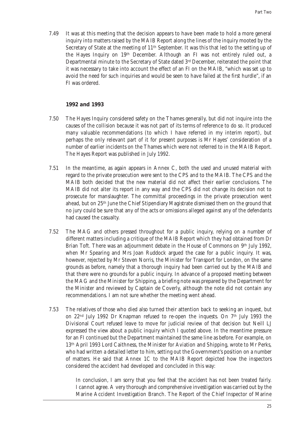7.49 It was at this meeting that the decision appears to have been made to hold a more general inquiry into matters raised by the MAIB Report along the lines of the inquiry mooted by the Secretary of State at the meeting of 11th September. It was this that led to the setting up of the Hayes Inquiry on 19th December. Although an FI was not entirely ruled out, a Departmental minute to the Secretary of State dated 3rd December, reiterated the point that it was necessary to take into account the effect of an FI on the MAIB, "which was set up to avoid the need for such inquiries and would be seen to have failed at the first hurdle", if an FI was ordered.

### **1992 and 1993**

- 7.50 The Hayes Inquiry considered safety on the Thames generally, but did not inquire into the causes of the collision because it was not part of its terms of reference to do so. It produced many valuable recommendations (to which I have referred in my interim report), but perhaps the only relevant part of it for present purposes is Mr Hayes' consideration of a number of earlier incidents on the Thames which were not referred to in the MAIB Report. The Hayes Report was published in July 1992.
- 7.51 In the meantime, as again appears in Annex C, both the used and unused material with regard to the private prosecution were sent to the CPS and to the MAIB. The CPS and the MAIB both decided that the new material did not affect their earlier conclusions. The MAIB did not alter its report in any way and the CPS did not change its decision not to prosecute for manslaughter. The committal proceedings in the private prosecution went ahead, but on 25th June the Chief Stipendiary Magistrate dismissed them on the ground that no jury could be sure that any of the acts or omissions alleged against any of the defendants had caused the casualty.
- 7.52 The MAG and others pressed throughout for a public inquiry, relying on a number of different matters including a critique of the MAIB Report which they had obtained from Dr Brian Toft. There was an adjournment debate in the House of Commons on 9<sup>th</sup> July 1992, when Mr Spearing and Mrs Joan Ruddock argued the case for a public inquiry. It was, however, rejected by Mr Steven Norris, the Minister for Transport for London, on the same grounds as before, namely that a thorough inquiry had been carried out by the MAIB and that there were no grounds for a public inquiry. In advance of a proposed meeting between the MAG and the Minister for Shipping, a briefing note was prepared by the Department for the Minister and reviewed by Captain de Coverly, although the note did not contain any recommendations. I am not sure whether the meeting went ahead.
- 7.53 The relatives of those who died also turned their attention back to seeking an inquest, but on  $22<sup>nd</sup>$  July 1992 Dr Knapman refused to re-open the inquests. On  $7<sup>th</sup>$  July 1993 the Divisional Court refused leave to move for judicial review of that decision but Neill LJ expressed the view about a public inquiry which I quoted above. In the meantime pressure for an FI continued but the Department maintained the same line as before. For example, on 13th April 1993 Lord Caithness, the Minister for Aviation and Shipping, wrote to Mr Perks, who had written a detailed letter to him, setting out the Government's position on a number of matters. He said that Annex 1C to the MAIB Report depicted how the inspectors considered the accident had developed and concluded in this way:

In conclusion, I am sorry that you feel that the accident has not been treated fairly. I cannot agree. A very thorough and comprehensive investigation was carried out by the Marine Accident Investigation Branch. The Report of the Chief Inspector of Marine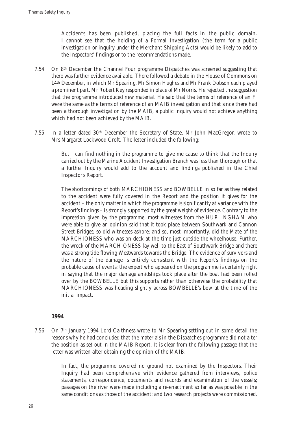Accidents has been published, placing the full facts in the public domain. I cannot see that the holding of a Formal Investigation (the term for a public investigation or inquiry under the Merchant Shipping Acts) would be likely to add to the Inspectors' findings or to the recommendations made.

- 7.54 On 8th December the Channel Four programme Dispatches was screened suggesting that there was further evidence available. There followed a debate in the House of Commons on 14th December, in which Mr Spearing, Mr Simon Hughes and Mr Frank Dobson each played a prominent part. Mr Robert Key responded in place of Mr Norris. He rejected the suggestion that the programme introduced new material. He said that the terms of reference of an FI were the same as the terms of reference of an MAIB investigation and that since there had been a thorough investigation by the MAIB, a public inquiry would not achieve anything which had not been achieved by the MAIB.
- 7.55 In a letter dated 30th December the Secretary of State, Mr John MacGregor, wrote to Mrs Margaret Lockwood Croft. The letter included the following:

But I can find nothing in the programme to give me cause to think that the Inquiry carried out by the Marine Accident Investigation Branch was less than thorough or that a further Inquiry would add to the account and findings published in the Chief Inspector's Report.

The shortcomings of both MARCHIONESS and BOWBELLE in so far as they related to the accident were fully covered in the Report and the position it gives for the accident – the only matter in which the programme is significantly at variance with the Report's findings – is strongly supported by the great weight of evidence. Contrary to the impression given by the programme, most witnesses from the HURLINGHAM who were able to give an opinion said that it took place between Southwark and Cannon Street Bridges; so did witnesses ashore; and so, most importantly, did the Mate of the MARCHIONESS who was on deck at the time just outside the wheelhouse. Further, the wreck of the MARCHIONESS lay well to the East of Southwark Bridge and there was a strong tide flowing Westwards towards the Bridge. The evidence of survivors and the nature of the damage is entirely consistent with the Report's findings on the probable cause of events; the expert who appeared on the programme is certainly right in saying that the major damage amidships took place after the boat had been rolled over by the BOWBELLE but this supports rather than otherwise the probability that MARCHIONESS was heading slightly across BOWBELLE's bow at the time of the initial impact.

### **1994**

7.56 On 7th January 1994 Lord Caithness wrote to Mr Spearing setting out in some detail the reasons why he had concluded that the materials in the Dispatches programme did not alter the position as set out in the MAIB Report. It is clear from the following passage that the letter was written after obtaining the opinion of the MAIB:

> In fact, the programme covered no ground not examined by the Inspectors. Their Inquiry had been comprehensive with evidence gathered from interviews, police statements, correspondence, documents and records and examination of the vessels; passages on the river were made including a re-enactment so far as was possible in the same conditions as those of the accident; and two research projects were commissioned.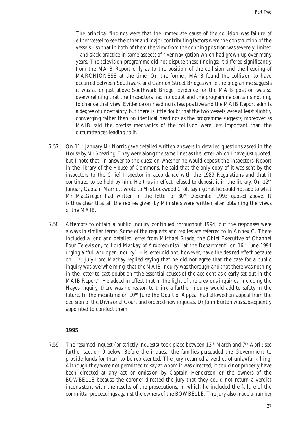The principal findings were that the immediate cause of the collision was failure of either vessel to see the other and major contributing factors were the construction of the vessels – so that in both of them the view from the conning position was severely limited – and slack practice in some aspects of river navigation which had grown up over many years. The television programme did not dispute these findings; it differed significantly from the MAIB Report only as to the position of the collision and the heading of MARCHIONESS at the time. On the former, MAIB found the collision to have occurred between Southwark and Cannon Street Bridges while the programme suggests it was at or just above Southwark Bridge. Evidence for the MAIB position was so overwhelming that the Inspectors had no doubt and the programme contains nothing to change that view. Evidence on heading is less positive and the MAIB Report admits a degree of uncertainty, but there is little doubt that the two vessels were at least slightly converging rather than on identical headings as the programme suggests; moreover as MAIB said the precise mechanics of the collision were less important than the circumstances leading to it.

- 7.57 On 11th January Mr Norris gave detailed written answers to detailed questions asked in the House by Mr Spearing. They were along the same lines as the letter which I have just quoted, but I note that, in answer to the question whether he would deposit the Inspectors' Report in the library of the House of Commons, he said that the only copy of it was sent by the inspectors to the Chief Inspector in accordance with the 1989 Regulations and that it continued to be held by him. He thus in effect refused to deposit it in the library. On 12<sup>th</sup> January Captain Marriott wrote to Mrs Lockwood Croft saying that he could not add to what Mr MacGregor had written in the letter of 30<sup>th</sup> December 1993 quoted above. It is thus clear that all the replies given by Ministers were written after obtaining the views of the MAIB.
- 7.58 Attempts to obtain a public inquiry continued throughout 1994, but the responses were always in similar terms. Some of the requests and replies are referred to in Annex C. These included a long and detailed letter from Michael Grade, the Chief Executive of Channel Four Television, to Lord Mackay of Ardbrecknish (at the Department) on 16<sup>th</sup> June 1994 urging a "full and open inquiry". His letter did not, however, have the desired effect because on 11th July Lord Mackay replied saying that he did not agree that the case for a public inquiry was overwhelming, that the MAIB inquiry was thorough and that there was nothing in the letter to cast doubt on "the essential causes of the accident as clearly set out in the MAIB Report". He added in effect that in the light of the previous inquiries, including the Hayes Inquiry, there was no reason to think a further inquiry would add to safety in the future. In the meantime on  $10<sup>th</sup>$  June the Court of Appeal had allowed an appeal from the decision of the Divisional Court and ordered new inquests. Dr John Burton was subsequently appointed to conduct them.

### **1995**

7.59 The resumed inquest (or strictly inquests) took place between 13th March and 7th April: see further section 9 below. Before the inquest, the families persuaded the Government to provide funds for them to be represented. The jury returned a verdict of unlawful killing. Although they were not permitted to say at whom it was directed, it could not properly have been directed at any act or omission by Captain Henderson or the owners of the BOWBELLE because the coroner directed the jury that they could not return a verdict inconsistent with the results of the prosecutions, in which he included the failure of the committal proceedings against the owners of the BOWBELLE. The jury also made a number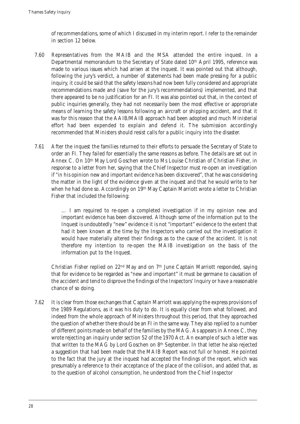of recommendations, some of which I discussed in my interim report. I refer to the remainder in section 12 below.

- 7.60 Representatives from the MAIB and the MSA attended the entire inquest. In a Departmental memorandum to the Secretary of State dated 10th April 1995, reference was made to various issues which had arisen at the inquest. It was pointed out that although, following the jury's verdict, a number of statements had been made pressing for a public inquiry, it could be said that the safety lessons had now been fully considered and appropriate recommendations made and (save for the jury's recommendations) implemented, and that there appeared to be no justification for an FI. It was also pointed out that, in the context of public inquiries generally, they had not necessarily been the most effective or appropriate means of learning the safety lessons following an aircraft or shipping accident, and that it was for this reason that the AAIB/MAIB approach had been adopted and much Ministerial effort had been expended to explain and defend it. The submission accordingly recommended that Ministers should resist calls for a public inquiry into the disaster.
- 7.61 After the inquest the families returned to their efforts to persuade the Secretary of State to order an FI. They failed for essentially the same reasons as before. The details are set out in Annex C. On 10<sup>th</sup> May Lord Goschen wrote to Ms Louise Christian of Christian Fisher, in response to a letter from her, saying that the Chief Inspector must re-open an investigation if "in his opinion new and important evidence has been discovered", that he was considering the matter in the light of the evidence given at the inquest and that he would write to her when he had done so. Accordingly on 19<sup>th</sup> May Captain Marriott wrote a letter to Christian Fisher that included the following:

… I am required to re-open a completed investigation if in my opinion new and important evidence has been discovered. Although some of the information put to the Inquest is undoubtedly "new" evidence it is not "important" evidence to the extent that had it been known at the time by the Inspectors who carried out the investigation it would have materially altered their findings as to the cause of the accident. It is not therefore my intention to re-open the MAIB investigation on the basis of the information put to the Inquest.

Christian Fisher replied on 22nd May and on 7th June Captain Marriott responded, saying that for evidence to be regarded as "new and important" it must be germane to causation of the accident and tend to disprove the findings of the Inspectors' Inquiry or have a reasonable chance of so doing.

7.62 It is clear from those exchanges that Captain Marriott was applying the express provisions of the 1989 Regulations, as it was his duty to do. It is equally clear from what followed, and indeed from the whole approach of Ministers throughout this period, that they approached the question of whether there should be an FI in the same way. They also replied to a number of different points made on behalf of the families by the MAG. As appears in Annex C, they wrote rejecting an inquiry under section 52 of the 1970 Act. An example of such a letter was that written to the MAG by Lord Goschen on 8th September. In that letter he also rejected a suggestion that had been made that the MAIB Report was not full or honest. He pointed to the fact that the jury at the inquest had accepted the findings of the report, which was presumably a reference to their acceptance of the place of the collision, and added that, as to the question of alcohol consumption, he understood from the Chief Inspector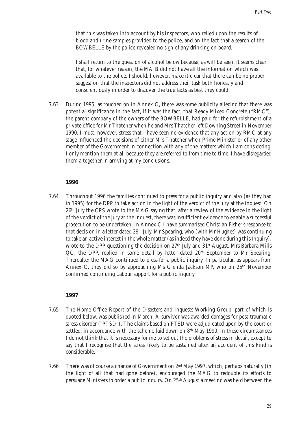that this was taken into account by his Inspectors, who relied upon the results of blood and urine samples provided to the police, and on the fact that a search of the BOWBELLE by the police revealed no sign of any drinking on board.

I shall return to the question of alcohol below because, as will be seen, it seems clear that, for whatever reason, the MAIB did not have all the information which was available to the police. I should, however, make it clear that there can be no proper suggestion that the inspectors did not address their task both honestly and conscientiously in order to discover the true facts as best they could.

7.63 During 1995, as touched on in Annex C, there was some publicity alleging that there was potential significance in the fact, if it was the fact, that Ready Mixed Concrete ("RMC"), the parent company of the owners of the BOWBELLE, had paid for the refurbishment of a private office for Mr Thatcher when he and Mrs Thatcher left Downing Street in November 1990. I must, however, stress that I have seen no evidence that any action by RMC at any stage influenced the decisions of either Mrs Thatcher when Prime Minister or of any other member of the Government in connection with any of the matters which I am considering. I only mention them at all because they are referred to from time to time. I have disregarded them altogether in arriving at my conclusions.

### **1996**

7.64 Throughout 1996 the families continued to press for a public inquiry and also (as they had in 1995) for the DPP to take action in the light of the verdict of the jury at the inquest. On 26th July the CPS wrote to the MAG saying that, after a review of the evidence in the light of the verdict of the jury at the inquest, there was insufficient evidence to enable a successful prosecution to be undertaken. In Annex C I have summarised Christian Fisher's response to that decision in a letter dated 29<sup>th</sup> July. Mr Spearing, who (with Mr Hughes) was continuing to take an active interest in the whole matter (as indeed they have done during this Inquiry), wrote to the DPP questioning the decision on 27<sup>th</sup> July and 31<sup>st</sup> August. Mrs Barbara Mills QC, the DPP, replied in some detail by letter dated 20th September to Mr Spearing. Thereafter the MAG continued to press for a public inquiry. In particular, as appears from Annex C, they did so by approaching Ms Glenda Jackson MP, who on 25<sup>th</sup> November confirmed continuing Labour support for a public inquiry.

### **1997**

- 7.65 The Home Office Report of the Disasters and Inquests Working Group, part of which is quoted below, was published in March. A survivor was awarded damages for post traumatic stress disorder ("PTSD"). The claims based on PTSD were adjudicated upon by the court or settled, in accordance with the scheme laid down on 8th May 1990. In these circumstances I do not think that it is necessary for me to set out the problems of stress in detail, except to say that I recognise that the stress likely to be sustained after an accident of this kind is considerable.
- 7.66 There was of course a change of Government on 2nd May 1997, which, perhaps naturally (in the light of all that had gone before), encouraged the MAG to redouble its efforts to persuade Ministers to order a public inquiry. On 25th August a meeting was held between the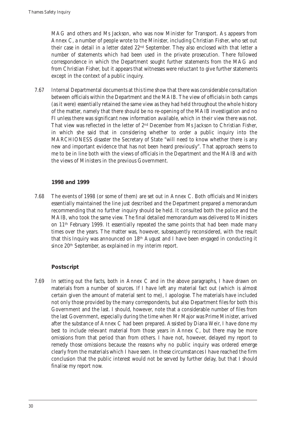MAG and others and Ms Jackson, who was now Minister for Transport. As appears from Annex C, a number of people wrote to the Minister, including Christian Fisher, who set out their case in detail in a letter dated 22nd September. They also enclosed with that letter a number of statements which had been used in the private prosecution. There followed correspondence in which the Department sought further statements from the MAG and from Christian Fisher, but it appears that witnesses were reluctant to give further statements except in the context of a public inquiry.

7.67 Internal Departmental documents at this time show that there was considerable consultation between officials within the Department and the MAIB. The view of officials in both camps (as it were) essentially retained the same view as they had held throughout the whole history of the matter, namely that there should be no re-opening of the MAIB investigation and no FI unless there was significant new information available, which in their view there was not. That view was reflected in the letter of 2nd December from Ms Jackson to Christian Fisher, in which she said that in considering whether to order a public inquiry into the MARCHIONESS disaster the Secretary of State "will need to know whether there is any new and important evidence that has not been heard previously". That approach seems to me to be in line both with the views of officials in the Department and the MAIB and with the views of Ministers in the previous Government.

### **1998 and 1999**

7.68 The events of 1998 (or some of them) are set out in Annex C. Both officials and Ministers essentially maintained the line just described and the Department prepared a memorandum recommending that no further inquiry should be held. It consulted both the police and the MAIB, who took the same view. The final detailed memorandum was delivered to Ministers on 11th February 1999. It essentially repeated the same points that had been made many times over the years. The matter was, however, subsequently reconsidered, with the result that this Inquiry was announced on 18th August and I have been engaged in conducting it since 20th September, as explained in my interim report.

### **Postscript**

7.69 In setting out the facts, both in Annex C and in the above paragraphs, I have drawn on materials from a number of sources. If I have left any material fact out (which is almost certain given the amount of material sent to me), I apologise. The materials have included not only those provided by the many correspondents, but also Department files for both this Government and the last. I should, however, note that a considerable number of files from the last Government, especially during the time when Mr Major was Prime Minister, arrived after the substance of Annex C had been prepared. Assisted by Diana Weir, I have done my best to include relevant material from those years in Annex C, but there may be more omissions from that period than from others. I have not, however, delayed my report to remedy those omissions because the reasons why no public inquiry was ordered emerge clearly from the materials which I have seen. In these circumstances I have reached the firm conclusion that the public interest would not be served by further delay, but that I should finalise my report now.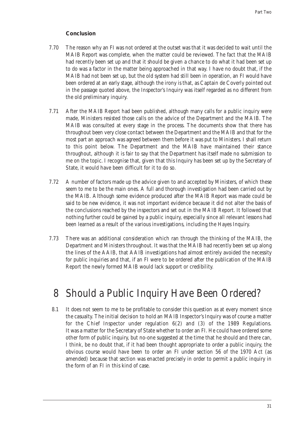### **Conclusion**

- 7.70 The reason why an FI was not ordered at the outset was that it was decided to wait until the MAIB Report was complete, when the matter could be reviewed. The fact that the MAIB had recently been set up and that it should be given a chance to do what it had been set up to do was a factor in the matter being approached in that way. I have no doubt that, if the MAIB had not been set up, but the old system had still been in operation, an FI would have been ordered at an early stage, although the irony is that, as Captain de Coverly pointed out in the passage quoted above, the Inspector's Inquiry was itself regarded as no different from the old preliminary inquiry.
- 7.71 After the MAIB Report had been published, although many calls for a public inquiry were made, Ministers resisted those calls on the advice of the Department and the MAIB. The MAIB was consulted at every stage in the process. The documents show that there has throughout been very close contact between the Department and the MAIB and that for the most part an approach was agreed between them before it was put to Ministers. I shall return to this point below. The Department and the MAIB have maintained their stance throughout, although it is fair to say that the Department has itself made no submission to me on the topic. I recognise that, given that this Inquiry has been set up by the Secretary of State, it would have been difficult for it to do so.
- 7.72 A number of factors made up the advice given to and accepted by Ministers, of which these seem to me to be the main ones. A full and thorough investigation had been carried out by the MAIB. Although some evidence produced after the MAIB Report was made could be said to be new evidence, it was not important evidence because it did not alter the basis of the conclusions reached by the inspectors and set out in the MAIB Report. It followed that nothing further could be gained by a public inquiry, especially since all relevant lessons had been learned as a result of the various investigations, including the Hayes Inquiry.
- 7.73 There was an additional consideration which ran through the thinking of the MAIB, the Department and Ministers throughout. It was that the MAIB had recently been set up along the lines of the AAIB, that AAIB investigations had almost entirely avoided the necessity for public inquiries and that, if an FI were to be ordered after the publication of the MAIB Report the newly formed MAIB would lack support or credibility.

### 8 Should a Public Inquiry Have Been Ordered?

8.1 It does not seem to me to be profitable to consider this question as at every moment since the casualty. The initial decision to hold an MAIB Inspector's Inquiry was of course a matter for the Chief Inspector under regulation 6(2) and (3) of the 1989 Regulations. It was a matter for the Secretary of State whether to order an FI. He could have ordered some other form of public inquiry, but no-one suggested at the time that he should and there can, I think, be no doubt that, if it had been thought appropriate to order a public inquiry, the obvious course would have been to order an FI under section 56 of the 1970 Act (as amended) because that section was enacted precisely in order to permit a public inquiry in the form of an FI in this kind of case.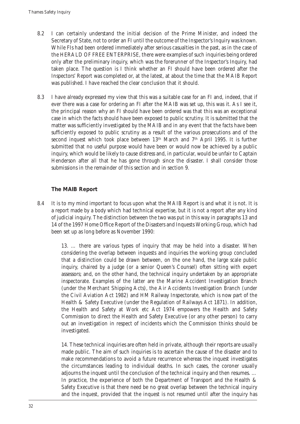- 8.2 I can certainly understand the initial decision of the Prime Minister, and indeed the Secretary of State, not to order an FI until the outcome of the Inspector's Inquiry was known. While FIs had been ordered immediately after serious casualties in the past, as in the case of the HERALD OF FREE ENTERPRISE, there were examples of such inquiries being ordered only after the preliminary inquiry, which was the forerunner of the Inspector's Inquiry, had taken place. The question is I think whether an FI should have been ordered after the Inspectors' Report was completed or, at the latest, at about the time that the MAIB Report was published. I have reached the clear conclusion that it should.
- 8.3 I have already expressed my view that this was a suitable case for an FI and, indeed, that if ever there was a case for ordering an FI after the MAIB was set up, this was it. As I see it, the principal reason why an FI should have been ordered was that this was an exceptional case in which the facts should have been exposed to public scrutiny. It is submitted that the matter was sufficiently investigated by the MAIB and in any event that the facts have been sufficiently exposed to public scrutiny as a result of the various prosecutions and of the second inquest which took place between  $13<sup>th</sup>$  March and  $7<sup>th</sup>$  April 1995. It is further submitted that no useful purpose would have been or would now be achieved by a public inquiry, which would be likely to cause distress and, in particular, would be unfair to Captain Henderson after all that he has gone through since the disaster. I shall consider those submissions in the remainder of this section and in section 9.

### **The MAIB Report**

8.4 It is to my mind important to focus upon what the MAIB Report is and what it is not. It is a report made by a body which had technical expertise, but it is not a report after any kind of judicial inquiry. The distinction between the two was put in this way in paragraphs 13 and 14 of the 1997 Home Office Report of the Disasters and Inquests Working Group, which had been set up as long before as November 1990:

> 13. … there are various types of inquiry that may be held into a disaster. When considering the overlap between inquests and inquiries the working group concluded that a distinction could be drawn between, on the one hand, the large scale public inquiry, chaired by a judge (or a senior Queen's Counsel) often sitting with expert assessors; and, on the other hand, the technical inquiry undertaken by an appropriate inspectorate. Examples of the latter are the Marine Accident Investigation Branch (under the Merchant Shipping Acts), the Air Accidents Investigation Branch (under the Civil Aviation Act 1982) and HM Railway Inspectorate, which is now part of the Health & Safety Executive (under the Regulation of Railways Act 1871). In addition, the Health and Safety at Work etc Act 1974 empowers the Health and Safety Commission to direct the Health and Safety Executive (or any other person) to carry out an investigation in respect of incidents which the Commission thinks should be investigated.

> 14. These technical inquiries are often held in private, although their reports are usually made public. The aim of such inquiries is to ascertain the cause of the disaster and to make recommendations to avoid a future recurrence whereas the inquest investigates the circumstances leading to individual deaths. In such cases, the coroner usually adjourns the inquest until the conclusion of the technical inquiry and then resumes. … In practice, the experience of both the Department of Transport and the Health & Safety Executive is that there need be no great overlap between the technical inquiry and the inquest, provided that the inquest is not resumed until after the inquiry has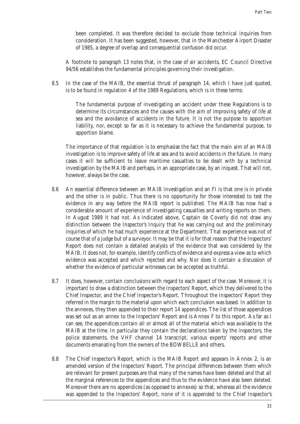been completed. It was therefore decided to exclude those technical inquiries from consideration. It has been suggested, however, that in the Manchester Airport Disaster of 1985, a degree of overlap and consequential confusion did occur.

A footnote to paragraph 13 notes that, in the case of air accidents, EC Council Directive 94/56 establishes the fundamental principles governing their investigation.

8.5 In the case of the MAIB, the essential thrust of paragraph 14, which I have just quoted, is to be found in regulation 4 of the 1989 Regulations, which is in these terms:

> The fundamental purpose of investigating an accident under these Regulations is to determine its circumstances and the causes with the aim of improving safety of life at sea and the avoidance of accidents in the future. It is not the purpose to apportion liability, nor, except so far as it is necessary to achieve the fundamental purpose, to apportion blame.

The importance of that regulation is to emphasise the fact that the main aim of an MAIB investigation is to improve safety of life at sea and to avoid accidents in the future. In many cases it will be sufficient to leave maritime casualties to be dealt with by a technical investigation by the MAIB and perhaps, in an appropriate case, by an inquest. That will not, however, always be the case.

- 8.6 An essential difference between an MAIB investigation and an FI is that one is in private and the other is in public. Thus there is no opportunity for those interested to test the evidence in any way before the MAIB report is published. The MAIB has now had a considerable amount of experience of investigating casualties and writing reports on them. In August 1989 it had not. As indicated above, Captain de Coverly did not draw any distinction between the Inspector's Inquiry that he was carrying out and the preliminary inquiries of which he had much experience at the Department. That experience was not of course that of a judge but of a surveyor. It may be that it is for that reason that the Inspectors' Report does not contain a detailed analysis of the evidence that was considered by the MAIB. It does not, for example, identify conflicts of evidence and express a view as to which evidence was accepted and which rejected and why. Nor does it contain a discussion of whether the evidence of particular witnesses can be accepted as truthful.
- 8.7 It does, however, contain conclusions with regard to each aspect of the case. Moreover, it is important to draw a distinction between the Inspectors' Report, which they delivered to the Chief Inspector, and the Chief Inspector's Report. Throughout the Inspectors' Report they referred in the margin to the material upon which each conclusion was based. In addition to the annexes, they then appended to their report 14 appendices. The list of those appendices was set out as an annex to the Inspectors' Report and is Annex F to this report. As far as I can see, the appendices contain all or almost all of the material which was available to the MAIB at the time. In particular they contain the declarations taken by the inspectors, the police statements, the VHF channel 14 transcript, various experts' reports and other documents emanating from the owners of the BOWBELLE and others.
- 8.8 The Chief Inspector's Report, which is the MAIB Report and appears in Annex 2, is an amended version of the Inspectors' Report. The principal differences between them which are relevant for present purposes are that many of the names have been deleted and that all the marginal references to the appendices and thus to the evidence have also been deleted. Moreover there are no appendices (as opposed to annexes) so that, whereas all the evidence was appended to the Inspectors' Report, none of it is appended to the Chief Inspector's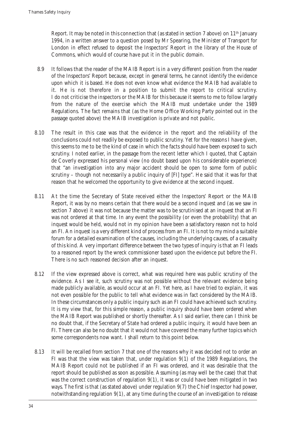Report. It may be noted in this connection that (as stated in section 7 above) on 11th January 1994, in a written answer to a question posed by Mr Spearing, the Minister of Transport for London in effect refused to deposit the Inspectors' Report in the library of the House of Commons, which would of course have put it in the public domain.

- 8.9 It follows that the reader of the MAIB Report is in a very different position from the reader of the Inspectors' Report because, except in general terms, he cannot identify the evidence upon which it is based. He does not even know what evidence the MAIB had available to it. He is not therefore in a position to submit the report to critical scrutiny. I do not criticise the inspectors or the MAIB for this because it seems to me to follow largely from the nature of the exercise which the MAIB must undertake under the 1989 Regulations. The fact remains that (as the Home Office Working Party pointed out in the passage quoted above) the MAIB investigation is private and not public.
- 8.10 The result in this case was that the evidence in the report and the reliability of the conclusions could not readily be exposed to public scrutiny. Yet for the reasons I have given, this seems to me to be the kind of case in which the facts should have been exposed to such scrutiny. I noted earlier, in the passage from the recent letter which I quoted, that Captain de Coverly expressed his personal view (no doubt based upon his considerable experience) that "an investigation into any major accident should be open to some form of public scrutiny – though not necessarily a public inquiry of [FI] type". He said that it was for that reason that he welcomed the opportunity to give evidence at the second inquest.
- 8.11 At the time the Secretary of State received either the Inspectors' Report or the MAIB Report, it was by no means certain that there would be a second inquest and (as we saw in section 7 above) it was not because the matter was to be scrutinised at an inquest that an FI was not ordered at that time. In any event the possibility (or even the probability) that an inquest would be held, would not in my opinion have been a satisfactory reason not to hold an FI. An inquest is a very different kind of process from an FI. It is not to my mind a suitable forum for a detailed examination of the causes, including the underlying causes, of a casualty of this kind. A very important difference between the two types of inquiry is that an FI leads to a reasoned report by the wreck commissioner based upon the evidence put before the FI. There is no such reasoned decision after an inquest.
- 8.12 If the view expressed above is correct, what was required here was public scrutiny of the evidence. As I see it, such scrutiny was not possible without the relevant evidence being made publicly available, as would occur at an FI. Yet here, as I have tried to explain, it was not even possible for the public to tell what evidence was in fact considered by the MAIB. In these circumstances only a public inquiry such as an FI could have achieved such scrutiny. It is my view that, for this simple reason, a public inquiry should have been ordered when the MAIB Report was published or shortly thereafter. As I said earlier, there can I think be no doubt that, if the Secretary of State had ordered a public inquiry, it would have been an FI. There can also be no doubt that it would not have covered the many further topics which some correspondents now want. I shall return to this point below.
- 8.13 It will be recalled from section 7 that one of the reasons why it was decided not to order an FI was that the view was taken that, under regulation 9(1) of the 1989 Regulations, the MAIB Report could not be published if an FI was ordered, and it was desirable that the report should be published as soon as possible. Assuming (as may well be the case) that that was the correct construction of regulation 9(1), it was or could have been mitigated in two ways. The first is that (as stated above) under regulation 9(7) the Chief Inspector had power, notwithstanding regulation 9(1), at any time during the course of an investigation to release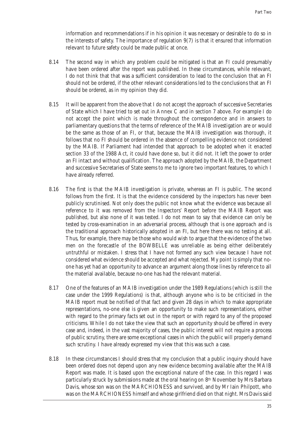information and recommendations if in his opinion it was necessary or desirable to do so in the interests of safety. The importance of regulation 9(7) is that it ensured that information relevant to future safety could be made public at once.

- 8.14 The second way in which any problem could be mitigated is that an FI could presumably have been ordered after the report was published. In these circumstances, while relevant, I do not think that that was a sufficient consideration to lead to the conclusion that an FI should not be ordered, if the other relevant considerations led to the conclusions that an FI should be ordered, as in my opinion they did.
- 8.15 It will be apparent from the above that I do not accept the approach of successive Secretaries of State which I have tried to set out in Annex C and in section 7 above. For example I do not accept the point which is made throughout the correspondence and in answers to parliamentary questions that the terms of reference of the MAIB investigation are or would be the same as those of an FI, or that, because the MAIB investigation was thorough, it follows that no FI should be ordered in the absence of compelling evidence not considered by the MAIB. If Parliament had intended that approach to be adopted when it enacted section 33 of the 1988 Act, it could have done so, but it did not. It left the power to order an FI intact and without qualification. The approach adopted by the MAIB, the Department and successive Secretaries of State seems to me to ignore two important features, to which I have already referred.
- 8.16 The first is that the MAIB investigation is private, whereas an FI is public. The second follows from the first. It is that the evidence considered by the inspectors has never been publicly scrutinised. Not only does the public not know what the evidence was because all reference to it was removed from the Inspectors' Report before the MAIB Report was published, but also none of it was tested. I do not mean to say that evidence can only be tested by cross-examination in an adversarial process, although that is one approach and is the traditional approach historically adopted in an FI, but here there was no testing at all. Thus, for example, there may be those who would wish to argue that the evidence of the two men on the forecastle of the BOWBELLE was unreliable as being either deliberately untruthful or mistaken. I stress that I have not formed any such view because I have not considered what evidence should be accepted and what rejected. My point is simply that noone has yet had an opportunity to advance an argument along those lines by reference to all the material available, because no-one has had the relevant material.
- 8.17 One of the features of an MAIB investigation under the 1989 Regulations (which is still the case under the 1999 Regulations) is that, although anyone who is to be criticised in the MAIB report must be notified of that fact and given 28 days in which to make appropriate representations, no-one else is given an opportunity to make such representations, either with regard to the primary facts set out in the report or with regard to any of the proposed criticisms. While I do not take the view that such an opportunity should be offered in every case and, indeed, in the vast majority of cases, the public interest will not require a process of public scrutiny, there are some exceptional cases in which the public will properly demand such scrutiny. I have already expressed my view that this was such a case.
- 8.18 In these circumstances I should stress that my conclusion that a public inquiry should have been ordered does not depend upon any new evidence becoming available after the MAIB Report was made. It is based upon the exceptional nature of the case. In this regard I was particularly struck by submissions made at the oral hearing on 8th November by Mrs Barbara Davis, whose son was on the MARCHIONESS and survived, and by Mr Iain Philpott, who was on the MARCHIONESS himself and whose girlfriend died on that night. Mrs Davis said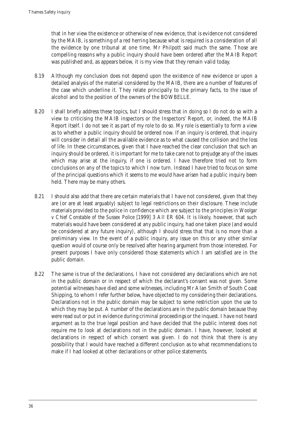that in her view the existence or otherwise of new evidence, that is evidence not considered by the MAIB, is something of a red herring because what is required is a consideration of all the evidence by one tribunal at one time. Mr Philpott said much the same. Those are compelling reasons why a public inquiry should have been ordered after the MAIB Report was published and, as appears below, it is my view that they remain valid today.

- 8.19 Although my conclusion does not depend upon the existence of new evidence or upon a detailed analysis of the material considered by the MAIB, there are a number of features of the case which underline it. They relate principally to the primary facts, to the issue of alcohol and to the position of the owners of the BOWBELLE.
- 8.20 I shall briefly address these topics, but I should stress that in doing so I do not do so with a view to criticising the MAIB inspectors or the Inspectors' Report, or, indeed, the MAIB Report itself. I do not see it as part of my role to do so. My role is essentially to form a view as to whether a public inquiry should be ordered now. If an inquiry is ordered, that inquiry will consider in detail all the available evidence as to what caused the collision and the loss of life. In these circumstances, given that I have reached the clear conclusion that such an inquiry should be ordered, it is important for me to take care not to prejudge any of the issues which may arise at the inquiry, if one is ordered. I have therefore tried not to form conclusions on any of the topics to which I now turn. Instead I have tried to focus on some of the principal questions which it seems to me would have arisen had a public inquiry been held. There may be many others.
- 8.21 I should also add that there are certain materials that I have not considered, given that they are (or are at least arguably) subject to legal restrictions on their disclosure. These include materials provided to the police in confidence which are subject to the principles in *Woolgar v Chief Constable of the Sussex Police* [1999] 3 All ER 604. It is likely, however, that such materials would have been considered at any public inquiry, had one taken place (and would be considered at any future inquiry), although I should stress that that is no more than a preliminary view. In the event of a public inquiry, any issue on this or any other similar question would of course only be resolved after hearing argument from those interested. For present purposes I have only considered those statements which I am satisfied are in the public domain.
- 8.22 The same is true of the declarations. I have not considered any declarations which are not in the public domain or in respect of which the declarant's consent was not given. Some potential witnesses have died and some witnesses, including Mr Alan Smith of South Coast Shipping, to whom I refer further below, have objected to my considering their declarations. Declarations not in the public domain may be subject to some restriction upon the use to which they may be put. A number of the declarations are in the public domain because they were read out or put in evidence during criminal proceedings or the inquest. I have not heard argument as to the true legal position and have decided that the public interest does not require me to look at declarations not in the public domain. I have, however, looked at declarations in respect of which consent was given. I do not think that there is any possibility that I would have reached a different conclusion as to what recommendations to make if I had looked at other declarations or other police statements.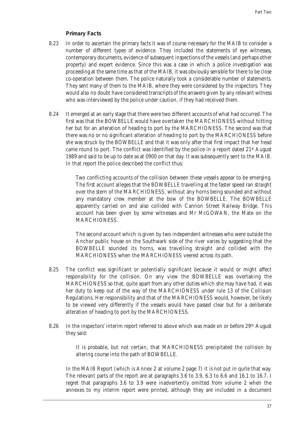#### **Primary Facts**

- 8.23 In order to ascertain the primary facts it was of course necessary for the MAIB to consider a number of different types of evidence. They included the statements of eye witnesses, contemporary documents, evidence of subsequent inspections of the vessels (and perhaps other property) and expert evidence. Since this was a case in which a police investigation was proceeding at the same time as that of the MAIB, it was obviously sensible for there to be close co-operation between them. The police naturally took a considerable number of statements. They sent many of them to the MAIB, where they were considered by the inspectors. They would also no doubt have considered transcripts of the answers given by any relevant witness who was interviewed by the police under caution, if they had received them.
- 8.24 It emerged at an early stage that there were two different accounts of what had occurred. The first was that the BOWBELLE would have overtaken the MARCHIONESS without hitting her but for an alteration of heading to port by the MARCHIONESS. The second was that there was no or no significant alteration of heading to port by the MARCHIONESS before she was struck by the BOWBELLE and that it was only after that first impact that her head came round to port. The conflict was identified by the police in a report dated  $21<sup>st</sup>$  August 1989 and said to be up to date as at 0900 on that day. It was subsequently sent to the MAIB. In that report the police described the conflict thus:

Two conflicting accounts of the collision between these vessels appear to be emerging. The first account alleges that the BOWBELLE travelling at the faster speed ran straight over the stern of the MARCHIONESS, without any horns being sounded and without any mandatory crew member at the bow of the BOWBELLE. The BOWBELLE apparently carried on and also collided with Cannon Street Railway Bridge. This account has been given by some witnesses and Mr McGOWAN, the Mate on the MARCHIONESS.

The second account which is given by two independent witnesses who were outside the Anchor public house on the Southwark side of the river varies by suggesting that the BOWBELLE sounded its horns, was travelling straight and collided with the MARCHIONESS when the MARCHIONESS veered across its path.

- 8.25 The conflict was significant or potentially significant because it would or might affect responsibility for the collision. On any view the BOWBELLE was overtaking the MARCHIONESS so that, quite apart from any other duties which she may have had, it was her duty to keep out of the way of the MARCHIONESS under rule 13 of the Collision Regulations. Her responsibility and that of the MARCHIONESS would, however, be likely to be viewed very differently if the vessels would have passed clear but for a deliberate alteration of heading to port by the MARCHIONESS.
- 8.26 In the inspectors' interim report referred to above which was made on or before 29<sup>th</sup> August they said:

It is probable, but not certain, that MARCHIONESS precipitated the collision by altering course into the path of BOWBELLE.

In the MAIB Report (which is Annex 2 at volume 2 page 7) it is not put in quite that way. The relevant parts of the report are at paragraphs 3.6 to 3.9, 6.3 to 6.6 and 16.1 to 16.7. I regret that paragraphs 3.6 to 3.9 were inadvertently omitted from volume 2 when the annexes to my interim report were printed, although they are included in a document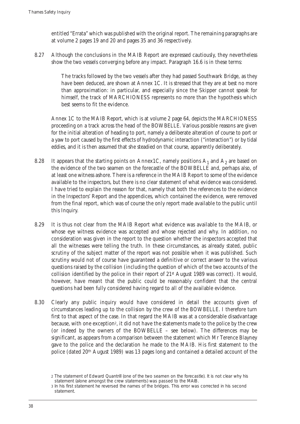entitled "Errata" which was published with the original report. The remaining paragraphs are at volume 2 pages 19 and 20 and pages 35 and 36 respectively.

8.27 Although the conclusions in the MAIB Report are expressed cautiously, they nevertheless show the two vessels converging before any impact. Paragraph 16.6 is in these terms:

> The tracks followed by the two vessels after they had passed Southwark Bridge, as they have been deduced, are shown at Annex 1C. It is stressed that they are at best no more than approximation: in particular, and especially since the Skipper cannot speak for himself, the track of MARCHIONESS represents no more than the hypothesis which best seems to fit the evidence.

Annex 1C to the MAIB Report, which is at volume 2 page 64, depicts the MARCHIONESS proceeding on a track across the head of the BOWBELLE. Various possible reasons are given for the initial alteration of heading to port, namely a deliberate alteration of course to port or a yaw to port caused by the first effects of hydrodynamic interaction ("interaction") or by tidal eddies, and it is then assumed that she steadied on that course, apparently deliberately.

- 8.28 It appears that the starting points on Annex1C, namely positions  $A_1$  and  $A_2$  are based on the evidence of the two seamen on the forecastle of the BOWBELLE and, perhaps also, of at least one witness ashore. There is a reference in the MAIB Report to some of the evidence available to the inspectors, but there is no clear statement of what evidence was considered. I have tried to explain the reason for that, namely that both the references to the evidence in the Inspectors' Report and the appendices, which contained the evidence, were removed from the final report, which was of course the only report made available to the public until this Inquiry.
- 8.29 It is thus not clear from the MAIB Report what evidence was available to the MAIB, or whose eye witness evidence was accepted and whose rejected and why. In addition, no consideration was given in the report to the question whether the inspectors accepted that all the witnesses were telling the truth. In these circumstances, as already stated, public scrutiny of the subject matter of the report was not possible when it was published. Such scrutiny would not of course have guaranteed a definitive or correct answer to the various questions raised by the collision (including the question of which of the two accounts of the collision identified by the police in their report of 21st August 1989 was correct). It would, however, have meant that the public could be reasonably confident that the central questions had been fully considered having regard to all of the available evidence.
- 8.30 Clearly any public inquiry would have considered in detail the accounts given of circumstances leading up to the collision by the crew of the BOWBELLE. I therefore turn first to that aspect of the case. In that regard the MAIB was at a considerable disadvantage because, with one exception<sup>2</sup>, it did not have the statements made to the police by the crew (or indeed by the owners of the BOWBELLE – see below). The differences may be significant, as appears from a comparison between the statement which Mr Terence Blayney gave to the police and the declaration he made to the MAIB. His first statement to the police (dated 20th August 1989) was 13 pages long and contained a detailed account of the

<sup>2</sup> The statement of Edward Quantrill (one of the two seamen on the forecastle). It is not clear why his statement (alone amongst the crew statements) was passed to the MAIB.

<sup>3</sup> In his first statement he reversed the names of the bridges. This error was corrected in his second statement.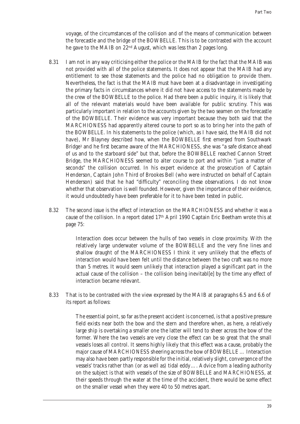voyage, of the circumstances of the collision and of the means of communication between the forecastle and the bridge of the BOWBELLE. This is to be contrasted with the account he gave to the MAIB on 22nd August, which was less than 2 pages long.

- 8.31 I am not in any way criticising either the police or the MAIB for the fact that the MAIB was not provided with all of the police statements. It does not appear that the MAIB had any entitlement to see those statements and the police had no obligation to provide them. Nevertheless, the fact is that the MAIB must have been at a disadvantage in investigating the primary facts in circumstances where it did not have access to the statements made by the crew of the BOWBELLE to the police. Had there been a public inquiry, it is likely that all of the relevant materials would have been available for public scrutiny. This was particularly important in relation to the accounts given by the two seamen on the forecastle of the BOWBELLE. Their evidence was very important because they both said that the MARCHIONESS had apparently altered course to port so as to bring her into the path of the BOWBELLE. In his statements to the police (which, as I have said, the MAIB did not have), Mr Blayney described how, when the BOWBELLE first emerged from Southwark Bridge3 and he first became aware of the MARCHIONESS, she was "a safe distance ahead of us and to the starboard side" but that, before the BOWBELLE reached Cannon Street Bridge, the MARCHIONESS seemed to alter course to port and within "just a matter of seconds" the collision occurred. In his expert evidence at the prosecution of Captain Henderson, Captain John Third of Brookes Bell (who were instructed on behalf of Captain Henderson) said that he had "difficulty" reconciling these observations. I do not know whether that observation is well founded. However, given the importance of their evidence, it would undoubtedly have been preferable for it to have been tested in public.
- 8.32 The second issue is the effect of interaction on the MARCHIONESS and whether it was a cause of the collision. In a report dated 17th April 1990 Captain Eric Beetham wrote this at page 75:

Interaction does occur between the hulls of two vessels in close proximity. With the relatively large underwater volume of the BOWBELLE and the very fine lines and shallow draught of the MARCHIONESS I think it very unlikely that the effects of interaction would have been felt until the distance between the two craft was no more than 5 metres. It would seem unlikely that interaction played a significant part in the actual cause of the collision – the collision being inevitabl[e] by the time any effect of interaction became relevant.

8.33 That is to be contrasted with the view expressed by the MAIB at paragraphs 6.5 and 6.6 of its report as follows:

> The essential point, so far as the present accident is concerned, is that a positive pressure field exists near both the bow and the stern and therefore when, as here, a relatively large ship is overtaking a smaller one the latter will tend to sheer across the bow of the former. Where the two vessels are very close the effect can be so great that the small vessels loses all control. It seems highly likely that this effect was a cause, probably the major cause of MARCHIONESS sheering across the bow of BOWBELLE … Interaction may also have been partly responsible for the initial, relatively slight, convergence of the vessels' tracks rather than (or as well as) tidal eddy…. Advice from a leading authority on the subject is that with vessels of the size of BOWBELLE and MARCHIONESS, at their speeds through the water at the time of the accident, there would be some effect on the smaller vessel when they were 40 to 50 metres apart.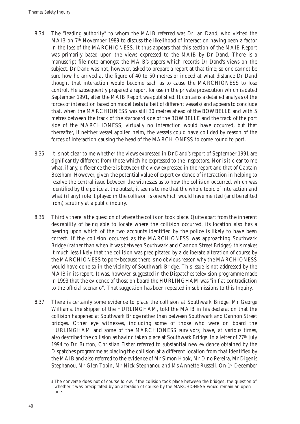- 8.34 The "leading authority" to whom the MAIB referred was Dr Ian Dand, who visited the MAIB on 7th November 1989 to discuss the likelihood of interaction having been a factor in the loss of the MARCHIONESS. It thus appears that this section of the MAIB Report was primarily based upon the views expressed to the MAIB by Dr Dand. There is a manuscript file note amongst the MAIB's papers which records Dr Dand's views on the subject. Dr Dand was not, however, asked to prepare a report at that time; so one cannot be sure how he arrived at the figure of 40 to 50 metres or indeed at what distance Dr Dand thought that interaction would become such as to cause the MARCHIONESS to lose control. He subsequently prepared a report for use in the private prosecution which is dated September 1991, after the MAIB Report was published. It contains a detailed analysis of the forces of interaction based on model tests (albeit of different vessels) and appears to conclude that, when the MARCHIONESS was still 30 metres ahead of the BOWBELLE and with 5 metres between the track of the starboard side of the BOWBELLE and the track of the port side of the MARCHIONESS, virtually no interaction would have occurred, but that thereafter, if neither vessel applied helm, the vessels could have collided by reason of the forces of interaction causing the head of the MARCHIONESS to come round to port.
- 8.35 It is not clear to me whether the views expressed in Dr Dand's report of September 1991 are significantly different from those which he expressed to the inspectors. Nor is it clear to me what, if any, difference there is between the view expressed in the report and that of Captain Beetham. However, given the potential value of expert evidence of interaction in helping to resolve the central issue between the witnesses as to how the collision occurred, which was identified by the police at the outset, it seems to me that the whole topic of interaction and what (if any) role it played in the collision is one which would have merited (and benefited from) scrutiny at a public inquiry.
- 8.36 Thirdly there is the question of where the collision took place. Quite apart from the inherent desirability of being able to locate where the collision occurred, its location also has a bearing upon which of the two accounts identified by the police is likely to have been correct. If the collision occurred as the MARCHIONESS was approaching Southwark Bridge (rather than when it was between Southwark and Cannon Street Bridges) this makes it much less likely that the collision was precipitated by a deliberate alteration of course by the MARCHIONESS to port<sup>4</sup> because there is no obvious reason why the MARCHIONESS would have done so in the vicinity of Southwark Bridge. This issue is not addressed by the MAIB in its report. It was, however, suggested in the Dispatches television programme made in 1993 that the evidence of those on board the HURLINGHAM was "in flat contradiction to the official scenario". That suggestion has been repeated in submissions to this Inquiry.
- 8.37 There is certainly some evidence to place the collision at Southwark Bridge. Mr George Williams, the skipper of the HURLINGHAM, told the MAIB in his declaration that the collision happened at Southwark Bridge rather than between Southwark and Cannon Street bridges. Other eye witnesses, including some of those who were on board the HURLINGHAM and some of the MARCHIONESS survivors, have, at various times, also described the collision as having taken place at Southwark Bridge. In a letter of 27th July 1994 to Dr. Burton, Christian Fisher referred to substantial new evidence obtained by the Dispatches programme as placing the collision at a different location from that identified by the MAIB and also referred to the evidence of Mr Simon Hook, Mr Dino Pereira, Mr Digenis Stephanou, Mr Glen Tobin, Mr Nick Stephanou and Ms Annette Russell. On 1st December

<sup>4</sup> The converse does not of course follow. If the collision took place between the bridges, the question of whether it was precipitated by an alteration of course by the MARCHIONESS would remain an open one.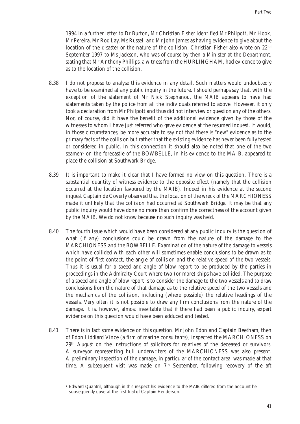1994 in a further letter to Dr Burton, Mr Christian Fisher identified Mr Philpott, Mr Hook, Mr Pereira, Mr Rod Lay, Ms Russell and Mr John James as having evidence to give about the location of the disaster or the nature of the collision. Christian Fisher also wrote on 22nd September 1997 to Ms Jackson, who was of course by then a Minister at the Department, stating that Mr Anthony Phillips, a witness from the HURLINGHAM, had evidence to give as to the location of the collision.

- 8.38 I do not propose to analyse this evidence in any detail. Such matters would undoubtedly have to be examined at any public inquiry in the future. I should perhaps say that, with the exception of the statement of Mr Nick Stephanou, the MAIB appears to have had statements taken by the police from all the individuals referred to above. However, it only took a declaration from Mr Philpott and thus did not interview or question any of the others. Nor, of course, did it have the benefit of the additional evidence given by those of the witnesses to whom I have just referred who gave evidence at the resumed inquest. It would, in those circumstances, be more accurate to say not that there is "new" evidence as to the primary facts of the collision but rather that the existing evidence has never been fully tested or considered in public. In this connection it should also be noted that one of the two seamen<sup>5</sup> on the forecastle of the BOWBELLE, in his evidence to the MAIB, appeared to place the collision at Southwark Bridge.
- 8.39 It is important to make it clear that I have formed no view on this question. There is a substantial quantity of witness evidence to the opposite effect (namely that the collision occurred at the location favoured by the MAIB). Indeed in his evidence at the second inquest Captain de Coverly observed that the location of the wreck of the MARCHIONESS made it unlikely that the collision had occurred at Southwark Bridge. It may be that any public inquiry would have done no more than confirm the correctness of the account given by the MAIB. We do not know because no such inquiry was held.
- 8.40 The fourth issue which would have been considered at any public inquiry is the question of what (if any) conclusions could be drawn from the nature of the damage to the MARCHIONESS and the BOWBELLE. Examination of the nature of the damage to vessels which have collided with each other will sometimes enable conclusions to be drawn as to the point of first contact, the angle of collision and the relative speed of the two vessels. Thus it is usual for a speed and angle of blow report to be produced by the parties in proceedings in the Admiralty Court where two (or more) ships have collided. The purpose of a speed and angle of blow report is to consider the damage to the two vessels and to draw conclusions from the nature of that damage as to the relative speed of the two vessels and the mechanics of the collision, including (where possible) the relative headings of the vessels. Very often it is not possible to draw any firm conclusions from the nature of the damage. It is, however, almost inevitable that if there had been a public inquiry, expert evidence on this question would have been adduced and tested.
- 8.41 There is in fact some evidence on this question. Mr John Edon and Captain Beetham, then of Edon Liddiard Vince (a firm of marine consultants), inspected the MARCHIONESS on 29th August on the instructions of solicitors for relatives of the deceased or survivors. A surveyor representing hull underwriters of the MARCHIONESS was also present. A preliminary inspection of the damage, in particular of the contact area, was made at that time. A subsequent visit was made on 7th September, following recovery of the aft

<sup>5</sup> Edward Quantrill, although in this respect his evidence to the MAIB differed from the account he subsequently gave at the first trial of Captain Henderson.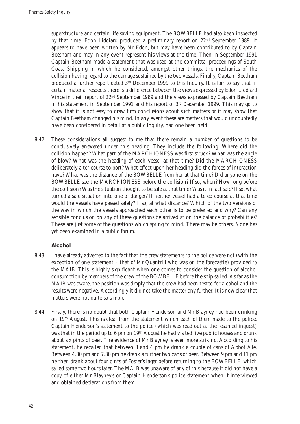superstructure and certain life saving equipment. The BOWBELLE had also been inspected by that time. Edon Liddiard produced a preliminary report on 22nd September 1989. It appears to have been written by Mr Edon, but may have been contributed to by Captain Beetham and may in any event represent his views at the time. Then in September 1991 Captain Beetham made a statement that was used at the committal proceedings of South Coast Shipping in which he considered, amongst other things, the mechanics of the collision having regard to the damage sustained by the two vessels. Finally, Captain Beetham produced a further report dated 3rd December 1999 to this Inquiry. It is fair to say that in certain material respects there is a difference between the views expressed by Edon Liddiard Vince in their report of 22nd September 1989 and the views expressed by Captain Beetham in his statement in September 1991 and his report of 3rd December 1999. This may go to show that it is not easy to draw firm conclusions about such matters or it may show that Captain Beetham changed his mind. In any event these are matters that would undoubtedly have been considered in detail at a public inquiry, had one been held.

8.42 These considerations all suggest to me that there remain a number of questions to be conclusively answered under this heading. They include the following. Where did the collision happen? What part of the MARCHIONESS was first struck? What was the angle of blow? What was the heading of each vessel at that time? Did the MARCHIONESS deliberately alter course to port? What effect upon her heading did the forces of interaction have? What was the distance of the BOWBELLE from her at that time? Did anyone on the BOWBELLE see the MARCHIONESS before the collision? If so, when? How long before the collision? Was the situation thought to be safe at that time? Was it in fact safe? If so, what turned a safe situation into one of danger? If neither vessel had altered course at that time would the vessels have passed safely? If so, at what distance? Which of the two versions of the way in which the vessels approached each other is to be preferred and why? Can any sensible conclusion on any of these questions be arrived at on the balance of probabilities? These are just some of the questions which spring to mind. There may be others. None has yet been examined in a public forum.

#### **Alcohol**

- 8.43 I have already adverted to the fact that the crew statements to the police were not (with the exception of one statement – that of Mr Quantrill who was on the forecastle) provided to the MAIB. This is highly significant when one comes to consider the question of alcohol consumption by members of the crew of the BOWBELLE before the ship sailed. As far as the MAIB was aware, the position was simply that the crew had been tested for alcohol and the results were negative. Accordingly it did not take the matter any further. It is now clear that matters were not quite so simple.
- 8.44 Firstly, there is no doubt that both Captain Henderson and Mr Blayney had been drinking on 19th August. This is clear from the statement which each of them made to the police. Captain Henderson's statement to the police (which was read out at the resumed inquest) was that in the period up to 6 pm on 19th August he had visited five public houses and drunk about six pints of beer. The evidence of Mr Blayney is even more striking. According to his statement, he recalled that between 3 and 4 pm he drank a couple of cans of Abbot Ale. Between 4.30 pm and 7.30 pm he drank a further two cans of beer. Between 9 pm and 11 pm he then drank about four pints of Foster's lager before returning to the BOWBELLE, which sailed some two hours later. The MAIB was unaware of any of this because it did not have a copy of either Mr Blayney's or Captain Henderson's police statement when it interviewed and obtained declarations from them.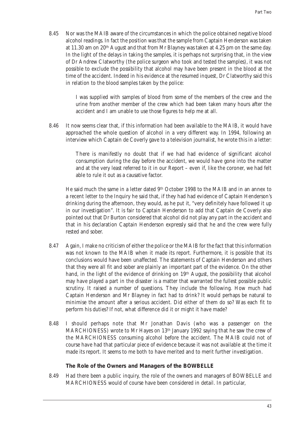8.45 Nor was the MAIB aware of the circumstances in which the police obtained negative blood alcohol readings. In fact the position was that the sample from Captain Henderson was taken at 11.30 am on 20th August and that from Mr Blayney was taken at 4.25 pm on the same day. In the light of the delays in taking the samples, it is perhaps not surprising that, in the view of Dr Andrew Clatworthy (the police surgeon who took and tested the samples), it was not possible to exclude the possibility that alcohol may have been present in the blood at the time of the accident. Indeed in his evidence at the resumed inquest, Dr Clatworthy said this in relation to the blood samples taken by the police:

> I was supplied with samples of blood from some of the members of the crew and the urine from another member of the crew which had been taken many hours after the accident and I am unable to use those figures to help me at all.

8.46 It now seems clear that, if this information had been available to the MAIB, it would have approached the whole question of alcohol in a very different way. In 1994, following an interview which Captain de Coverly gave to a television journalist, he wrote this in a letter:

> There is manifestly no doubt that if we had had evidence of significant alcohol consumption during the day before the accident, we would have gone into the matter and at the very least referred to it in our Report – even if, like the coroner, we had felt able to rule it out as a causative factor.

He said much the same in a letter dated 9th October 1998 to the MAIB and in an annex to a recent letter to the Inquiry he said that, if they had had evidence of Captain Henderson's drinking during the afternoon, they would, as he put it, "very definitely have followed it up in our investigation". It is fair to Captain Henderson to add that Captain de Coverly also pointed out that Dr Burton considered that alcohol did not play any part in the accident and that in his declaration Captain Henderson expressly said that he and the crew were fully rested and sober.

- 8.47 Again, I make no criticism of either the police or the MAIB for the fact that this information was not known to the MAIB when it made its report. Furthermore, it is possible that its conclusions would have been unaffected. The statements of Captain Henderson and others that they were all fit and sober are plainly an important part of the evidence. On the other hand, in the light of the evidence of drinking on 19<sup>th</sup> August, the possibility that alcohol may have played a part in the disaster is a matter that warranted the fullest possible public scrutiny. It raised a number of questions. They include the following. How much had Captain Henderson and Mr Blayney in fact had to drink? It would perhaps be natural to minimise the amount after a serious accident. Did either of them do so? Was each fit to perform his duties? If not, what difference did it or might it have made?
- 8.48 I should perhaps note that Mr Jonathan Davis (who was a passenger on the MARCHIONESS) wrote to Mr Hayes on 13th January 1992 saying that he saw the crew of the MARCHIONESS consuming alcohol before the accident. The MAIB could not of course have had that particular piece of evidence because it was not available at the time it made its report. It seems to me both to have merited and to merit further investigation.

**The Role of the Owners and Managers of the BOWBELLE**

8.49 Had there been a public inquiry, the role of the owners and managers of BOWBELLE and MARCHIONESS would of course have been considered in detail. In particular,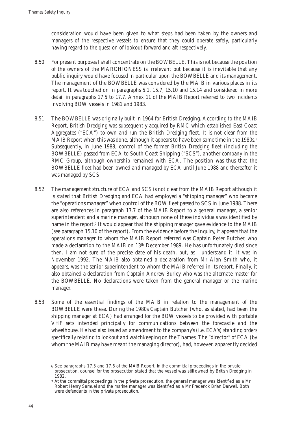consideration would have been given to what steps had been taken by the owners and managers of the respective vessels to ensure that they could operate safely, particularly having regard to the question of lookout forward and aft respectively.

- 8.50 For present purposes I shall concentrate on the BOWBELLE. This is not because the position of the owners of the MARCHIONESS is irrelevant but because it is inevitable that any public inquiry would have focused in particular upon the BOWBELLE and its management. The management of the BOWBELLE was considered by the MAIB in various places in its report. It was touched on in paragraphs 5.1, 15.7, 15.10 and 15.14 and considered in more detail in paragraphs 17.5 to 17.7. Annex 11 of the MAIB Report referred to two incidents involving BOW vessels in 1981 and 1983.
- 8.51 The BOWBELLE was originally built in 1964 for British Dredging. According to the MAIB Report, British Dredging was subsequently acquired by RMC which established East Coast Aggregates ("ECA") to own and run the British Dredging fleet. It is not clear from the MAIB Report when this was done, although it appears to have been some time in the 1980s.<sup>6</sup> Subsequently, in June 1988, control of the former British Dredging fleet (including the BOWBELLE) passed from ECA to South Coast Shipping ("SCS"), another company in the RMC Group, although ownership remained with ECA. The position was thus that the BOWBELLE fleet had been owned and managed by ECA until June 1988 and thereafter it was managed by SCS.
- 8.52 The management structure of ECA and SCS is not clear from the MAIB Report although it is stated that British Dredging and ECA had employed a "shipping manager" who became the "operations manager" when control of the BOW fleet passed to SCS in June 1988. There are also references in paragraph 17.7 of the MAIB Report to a general manager, a senior superintendent and a marine manager, although none of these individuals was identified by name in the report.7 It would appear that the shipping manager gave evidence to the MAIB (see paragraph 15.10 of the report). From the evidence before the Inquiry, it appears that the operations manager to whom the MAIB Report referred was Captain Peter Butcher, who made a declaration to the MAIB on 13th December 1989. He has unfortunately died since then. I am not sure of the precise date of his death, but, as I understand it, it was in November 1992. The MAIB also obtained a declaration from Mr Alan Smith who, it appears, was the senior superintendent to whom the MAIB referred in its report. Finally, it also obtained a declaration from Captain Andrew Burley who was the alternate master for the BOWBELLE. No declarations were taken from the general manager or the marine manager.
- 8.53 Some of the essential findings of the MAIB in relation to the management of the BOWBELLE were these. During the 1980s Captain Butcher (who, as stated, had been the shipping manager at ECA) had arranged for the BOW vessels to be provided with portable VHF sets intended principally for communications between the forecastle and the wheelhouse. He had also issued an amendment to the company's (i.e. ECA's) standing orders specifically relating to lookout and watchkeeping on the Thames. The "director" of ECA (by whom the MAIB may have meant the managing director), had, however, apparently decided

<sup>6</sup> See paragraphs 17.5 and 17.6 of the MAIB Report. In the committal proceedings in the private prosecution, counsel for the prosecution stated that the vessel was still owned by British Dredging in 1982.

<sup>7</sup> At the committal proceedings in the private prosecution, the general manager was identified as a Mr Robert Henry Samuel and the marine manager was identified as a Mr Frederick Brian Darwell. Both were defendants in the private prosecution.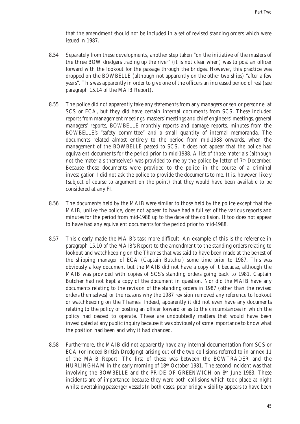that the amendment should not be included in a set of revised standing orders which were issued in 1987.

- 8.54 Separately from these developments, another step taken "on the initiative of the masters of the three BOW dredgers trading up the river" (it is not clear when) was to post an officer forward with the lookout for the passage through the bridges. However, this practice was dropped on the BOWBELLE (although not apparently on the other two ships) "after a few years". This was apparently in order to give one of the officers an increased period of rest (see paragraph 15.14 of the MAIB Report).
- 8.55 The police did not apparently take any statements from any managers or senior personnel at SCS or ECA, but they did have certain internal documents from SCS. These included reports from management meetings, masters' meetings and chief engineers' meetings, general managers' reports, BOWBELLE monthly reports and damage reports, minutes from the BOWBELLE's "safety committee" and a small quantity of internal memoranda. The documents related almost entirely to the period from mid-1988 onwards, when the management of the BOWBELLE passed to SCS. It does not appear that the police had equivalent documents for the period prior to mid-1988. A list of those materials (although not the materials themselves) was provided to me by the police by letter of 7<sup>th</sup> December. Because those documents were provided to the police in the course of a criminal investigation I did not ask the police to provide the documents to me. It is, however, likely (subject of course to argument on the point) that they would have been available to be considered at any FI.
- 8.56 The documents held by the MAIB were similar to those held by the police except that the MAIB, unlike the police, does not appear to have had a full set of the various reports and minutes for the period from mid-1988 up to the date of the collision. It too does not appear to have had any equivalent documents for the period prior to mid-1988.
- 8.57 This clearly made the MAIB's task more difficult. An example of this is the reference in paragraph 15.10 of the MAIB's Report to the amendment to the standing orders relating to lookout and watchkeeping on the Thames that was said to have been made at the behest of the shipping manager of ECA (Captain Butcher) some time prior to 1987. This was obviously a key document but the MAIB did not have a copy of it because, although the MAIB was provided with copies of SCS's standing orders going back to 1981, Captain Butcher had not kept a copy of the document in question. Nor did the MAIB have any documents relating to the revision of the standing orders in 1987 (other than the revised orders themselves) or the reasons why the 1987 revision removed any reference to lookout or watchkeeping on the Thames. Indeed, apparently it did not even have any documents relating to the policy of posting an officer forward or as to the circumstances in which the policy had ceased to operate. These are undoubtedly matters that would have been investigated at any public inquiry because it was obviously of some importance to know what the position had been and why it had changed.
- 8.58 Furthermore, the MAIB did not apparently have any internal documentation from SCS or ECA (or indeed British Dredging) arising out of the two collisions referred to in annex 11 of the MAIB Report. The first of these was between the BOWTRADER and the HURLINGHAM in the early morning of  $18<sup>th</sup>$  October 1981. The second incident was that involving the BOWBELLE and the PRIDE OF GREENWICH on 8<sup>th</sup> June 1983. These incidents are of importance because they were both collisions which took place at night whilst overtaking passenger vessels In both cases, poor bridge visibility appears to have been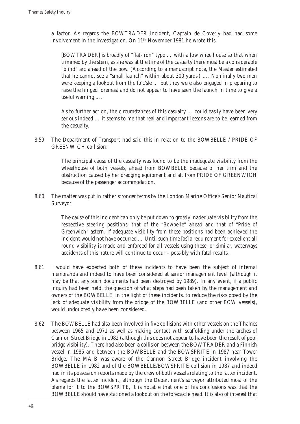a factor. As regards the BOWTRADER incident, Captain de Coverly had had some involvement in the investigation. On 11th November 1981 he wrote this:

[BOWTRADER] is broadly of "flat-iron" type … with a low wheelhouse so that when trimmed by the stern, as she was at the time of the casualty there must be a considerable "blind" arc ahead of the bow. (According to a manuscript note, the Master estimated that he cannot see a "small launch" within about 300 yards.) …. Nominally two men were keeping a lookout from the fo'c'sle … but they were also engaged in preparing to raise the hinged foremast and do not appear to have seen the launch in time to give a useful warning ….

As to further action, the circumstances of this casualty … could easily have been very serious indeed … it seems to me that real and important lessons are to be learned from the casualty.

8.59 The Department of Transport had said this in relation to the BOWBELLE / PRIDE OF GREENWICH collision:

> The principal cause of the casualty was found to be the inadequate visibility from the wheelhouse of both vessels, ahead from BOWBELLE because of her trim and the obstruction caused by her dredging equipment and aft from PRIDE OF GREENWICH because of the passenger accommodation.

8.60 The matter was put in rather stronger terms by the London Marine Office's Senior Nautical Surveyor:

> The cause of this incident can only be put down to grossly inadequate visibility from the respective steering positions, that of the "Bowbelle" ahead and that of "Pride of Greenwich" astern. If adequate visibility from these positions had been achieved the incident would not have occurred … Until such time [as] a requirement for excellent all round visibility is made and enforced for all vessels using these, or similar, waterways accidents of this nature will continue to occur – possibly with fatal results.

- 8.61 I would have expected both of these incidents to have been the subject of internal memoranda and indeed to have been considered at senior management level (although it may be that any such documents had been destroyed by 1989). In any event, if a public inquiry had been held, the question of what steps had been taken by the management and owners of the BOWBELLE, in the light of these incidents, to reduce the risks posed by the lack of adequate visibility from the bridge of the BOWBELLE (and other BOW vessels), would undoubtedly have been considered.
- 8.62 The BOWBELLE had also been involved in five collisions with other vessels on the Thames between 1965 and 1971 as well as making contact with scaffolding under the arches of Cannon Street Bridge in 1982 (although this does not appear to have been the result of poor bridge visibility). There had also been a collision between the BOWTRADER and a Finnish vessel in 1985 and between the BOWBELLE and the BOWSPRITE in 1987 near Tower Bridge. The MAIB was aware of the Cannon Street Bridge incident involving the BOWBELLE in 1982 and of the BOWBELLE/BOWSPRITE collision in 1987 and indeed had in its possession reports made by the crew of both vessels relating to the latter incident. As regards the latter incident, although the Department's surveyor attributed most of the blame for it to the BOWSPRITE, it is notable that one of his conclusions was that the BOWBELLE should have stationed a lookout on the forecastle head. It is also of interest that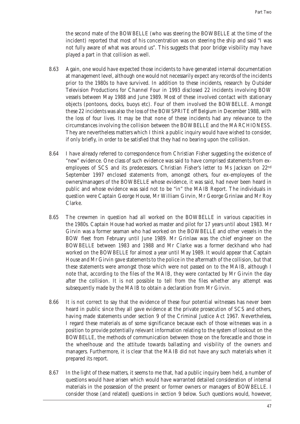the second mate of the BOWBELLE (who was steering the BOWBELLE at the time of the incident) reported that most of his concentration was on steering the ship and said "I was not fully aware of what was around us". This suggests that poor bridge visibility may have played a part in that collision as well.

- 8.63 Again, one would have expected those incidents to have generated internal documentation at management level, although one would not necessarily expect any records of the incidents prior to the 1980s to have survived. In addition to these incidents, research by Outsider Television Productions for Channel Four in 1993 disclosed 22 incidents involving BOW vessels between May 1988 and June 1989. Most of these involved contact with stationary objects (pontoons, docks, buoys etc). Four of them involved the BOWBELLE. Amongst these 22 incidents was also the loss of the BOWSPRITE off Belgium in December 1988, with the loss of four lives. It may be that none of these incidents had any relevance to the circumstances involving the collision between the BOWBELLE and the MARCHIONESS. They are nevertheless matters which I think a public inquiry would have wished to consider, if only briefly, in order to be satisfied that they had no bearing upon the collision.
- 8.64 I have already referred to correspondence from Christian Fisher suggesting the existence of "new" evidence. One class of such evidence was said to have comprised statements from exemployees of SCS and its predecessors. Christian Fisher's letter to Ms Jackson on 22nd September 1997 enclosed statements from, amongst others, four ex-employees of the owners/managers of the BOWBELLE whose evidence, it was said, had never been heard in public and whose evidence was said not to be "in" the MAIB Report. The individuals in question were Captain George House, Mr William Girvin, Mr George Grinlaw and Mr Roy Clarke.
- 8.65 The crewmen in question had all worked on the BOWBELLE in various capacities in the 1980s. Captain House had worked as master and pilot for 17 years until about 1983. Mr Girvin was a former seaman who had worked on the BOWBELLE and other vessels in the BOW fleet from February until June 1989. Mr Grinlaw was the chief engineer on the BOWBELLE between 1983 and 1988 and Mr Clarke was a former deckhand who had worked on the BOWBELLE for almost a year until May 1989. It would appear that Captain House and Mr Girvin gave statements to the police in the aftermath of the collision, but that these statements were amongst those which were not passed on to the MAIB, although I note that, according to the files of the MAIB, they were contacted by Mr Girvin the day after the collision. It is not possible to tell from the files whether any attempt was subsequently made by the MAIB to obtain a declaration from Mr Girvin.
- 8.66 It is not correct to say that the evidence of these four potential witnesses has never been heard in public since they all gave evidence at the private prosecution of SCS and others, having made statements under section 9 of the Criminal Justice Act 1967. Nevertheless, I regard these materials as of some significance because each of those witnesses was in a position to provide potentially relevant information relating to the system of lookout on the BOWBELLE, the methods of communication between those on the forecastle and those in the wheelhouse and the attitude towards ballasting and visibility of the owners and managers. Furthermore, it is clear that the MAIB did not have any such materials when it prepared its report.
- 8.67 In the light of these matters, it seems to me that, had a public inquiry been held, a number of questions would have arisen which would have warranted detailed consideration of internal materials in the possession of the present or former owners or managers of BOWBELLE. I consider those (and related) questions in section 9 below. Such questions would, however,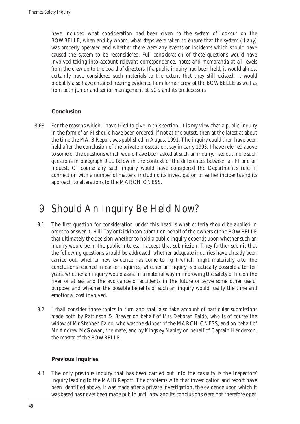have included what consideration had been given to the system of lookout on the BOWBELLE, when and by whom, what steps were taken to ensure that the system (if any) was properly operated and whether there were any events or incidents which should have caused the system to be reconsidered. Full consideration of these questions would have involved taking into account relevant correspondence, notes and memoranda at all levels from the crew up to the board of directors. If a public inquiry had been held, it would almost certainly have considered such materials to the extent that they still existed. It would probably also have entailed hearing evidence from former crew of the BOWBELLE as well as from both junior and senior management at SCS and its predecessors.

#### **Conclusion**

8.68 For the reasons which I have tried to give in this section, it is my view that a public inquiry in the form of an FI should have been ordered, if not at the outset, then at the latest at about the time the MAIB Report was published in August 1991. The inquiry could then have been held after the conclusion of the private prosecution, say in early 1993. I have referred above to some of the questions which would have been asked at such an inquiry. I set out more such questions in paragraph 9.11 below in the context of the differences between an FI and an inquest. Of course any such inquiry would have considered the Department's role in connection with a number of matters, including its investigation of earlier incidents and its approach to alterations to the MARCHIONESS.

## 9 Should An Inquiry Be Held Now?

- 9.1 The first question for consideration under this head is what criteria should be applied in order to answer it. Hill Taylor Dickinson submit on behalf of the owners of the BOWBELLE that ultimately the decision whether to hold a public inquiry depends upon whether such an inquiry would be in the public interest. I accept that submission. They further submit that the following questions should be addressed: whether adequate inquiries have already been carried out, whether new evidence has come to light which might materially alter the conclusions reached in earlier inquiries, whether an inquiry is practically possible after ten years, whether an inquiry would assist in a material way in improving the safety of life on the river or at sea and the avoidance of accidents in the future or serve some other useful purpose, and whether the possible benefits of such an inquiry would justify the time and emotional cost involved.
- 9.2 I shall consider those topics in turn and shall also take account of particular submissions made both by Pattinson & Brewer on behalf of Mrs Deborah Faldo, who is of course the widow of Mr Stephen Faldo, who was the skipper of the MARCHIONESS, and on behalf of Mr Andrew McGowan, the mate, and by Kingsley Napley on behalf of Captain Henderson, the master of the BOWBELLE.

## **Previous Inquiries**

9.3 The only previous inquiry that has been carried out into the casualty is the Inspectors' Inquiry leading to the MAIB Report. The problems with that investigation and report have been identified above. It was made after a private investigation, the evidence upon which it was based has never been made public until now and its conclusions were not therefore open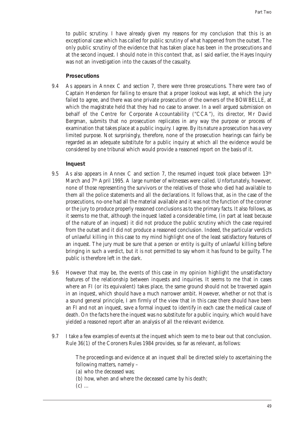to public scrutiny. I have already given my reasons for my conclusion that this is an exceptional case which has called for public scrutiny of what happened from the outset. The only public scrutiny of the evidence that has taken place has been in the prosecutions and at the second inquest. I should note in this context that, as I said earlier, the Hayes Inquiry was not an investigation into the causes of the casualty.

#### **Prosecutions**

9.4 As appears in Annex C and section 7, there were three prosecutions. There were two of Captain Henderson for failing to ensure that a proper lookout was kept, at which the jury failed to agree, and there was one private prosecution of the owners of the BOWBELLE, at which the magistrate held that they had no case to answer. In a well argued submission on behalf of the Centre for Corporate Accountability ("CCA"), its director, Mr David Bergman, submits that no prosecution replicates in any way the purpose or process of examination that takes place at a public inquiry. I agree. By its nature a prosecution has a very limited purpose. Not surprisingly, therefore, none of the prosecution hearings can fairly be regarded as an adequate substitute for a public inquiry at which all the evidence would be considered by one tribunal which would provide a reasoned report on the basis of it.

#### **Inquest**

- 9.5 As also appears in Annex C and section 7, the resumed inquest took place between  $13<sup>th</sup>$ March and 7<sup>th</sup> April 1995. A large number of witnesses were called. Unfortunately, however, none of those representing the survivors or the relatives of those who died had available to them all the police statements and all the declarations. It follows that, as in the case of the prosecutions, no-one had all the material available and it was not the function of the coroner or the jury to produce properly reasoned conclusions as to the primary facts. It also follows, as it seems to me that, although the inquest lasted a considerable time, (in part at least because of the nature of an inquest) it did not produce the public scrutiny which the case required from the outset and it did not produce a reasoned conclusion. Indeed, the particular verdicts of unlawful killing in this case to my mind highlight one of the least satisfactory features of an inquest. The jury must be sure that a person or entity is guilty of unlawful killing before bringing in such a verdict, but it is not permitted to say whom it has found to be guilty. The public is therefore left in the dark.
- 9.6 However that may be, the events of this case in my opinion highlight the unsatisfactory features of the relationship between inquests and inquiries. It seems to me that in cases where an FI (or its equivalent) takes place, the same ground should not be traversed again in an inquest, which should have a much narrower ambit. However, whether or not that is a sound general principle, I am firmly of the view that in this case there should have been an FI and not an inquest, save a formal inquest to identify in each case the medical cause of death. On the facts here the inquest was no substitute for a public inquiry, which would have yielded a reasoned report after an analysis of all the relevant evidence.
- 9.7 I take a few examples of events at the inquest which seem to me to bear out that conclusion. Rule 36(1) of the Coroners Rules 1984 provides, so far as relevant, as follows:

The proceedings and evidence at an inquest shall be directed solely to ascertaining the following matters, namely –

- (a) who the deceased was;
- (b) how, when and where the deceased came by his death;
- $(c)$  ...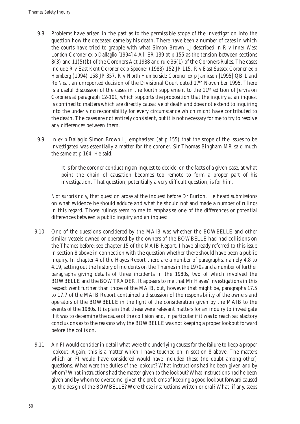- 9.8 Problems have arisen in the past as to the permissible scope of the investigation into the question how the deceased came by his death. There have been a number of cases in which the courts have tried to grapple with what Simon Brown LJ described in *R v Inner West London Coroner ex p Dallaglio* [1994] 4 All ER 139 at p 155 as the tension between sections 8(3) and 11(5)(b) of the Coroners Act 1988 and rule 36(1) of the Coroners Rules. The cases include *R v East Kent Coroner ex p Spooner* (1988) 152 JP 115*, R v East Sussex Coroner ex p Homberg* (1994) 158 JP 357, *R v North Humberside Coroner ex p Jamieson* [1995] QB 1 and *Re Neal*, an unreported decision of the Divisional Court dated 17th November 1995. There is a useful discussion of the cases in the fourth supplement to the  $11<sup>th</sup>$  edition of Jervis on C*oroners* at paragraph 12-101, which supports the proposition that the inquiry at an inquest is confined to matters which are directly causative of death and does not extend to inquiring into the underlying responsibility for every circumstance which might have contributed to the death. The cases are not entirely consistent, but it is not necessary for me to try to resolve any differences between them.
- 9.9 In *ex p Dallaglio* Simon Brown LJ emphasised (at p 155) that the scope of the issues to be investigated was essentially a matter for the coroner. Sir Thomas Bingham MR said much the same at p 164. He said:

It is for the coroner conducting an inquest to decide, on the facts of a given case, at what point the chain of causation becomes too remote to form a proper part of his investigation. That question, potentially a very difficult question, is for him.

Not surprisingly, that question arose at the inquest before Dr Burton. He heard submissions on what evidence he should adduce and what he should not and made a number of rulings in this regard. Those rulings seem to me to emphasise one of the differences or potential differences between a public inquiry and an inquest.

- 9.10 One of the questions considered by the MAIB was whether the BOWBELLE and other similar vessels owned or operated by the owners of the BOWBELLE had had collisions on the Thames before: see chapter 15 of the MAIB Report. I have already referred to this issue in section 8 above in connection with the question whether there should have been a public inquiry. In chapter 4 of the Hayes Report there are a number of paragraphs, namely 4.8 to 4.19, setting out the history of incidents on the Thames in the 1970s and a number of further paragraphs giving details of three incidents in the 1980s, two of which involved the BOWBELLE and the BOWTRADER. It appears to me that Mr Hayes' investigations in this respect went further than those of the MAIB, but, however that might be, paragraphs 17.5 to 17.7 of the MAIB Report contained a discussion of the responsibility of the owners and operators of the BOWBELLE in the light of the consideration given by the MAIB to the events of the 1980s. It is plain that these were relevant matters for an inquiry to investigate if it was to determine the cause of the collision and, in particular if it was to reach satisfactory conclusions as to the reasons why the BOWBELLE was not keeping a proper lookout forward before the collision.
- 9.11 An FI would consider in detail what were the underlying causes for the failure to keep a proper lookout. Again, this is a matter which I have touched on in section 8 above. The matters which an FI would have considered would have included these (no doubt among other) questions. What were the duties of the lookout? What instructions had he been given and by whom? What instructions had the master given to the lookout? What instructions had he been given and by whom to overcome, given the problems of keeping a good lookout forward caused by the design of the BOWBELLE? Were those instructions written or oral? What, if any, steps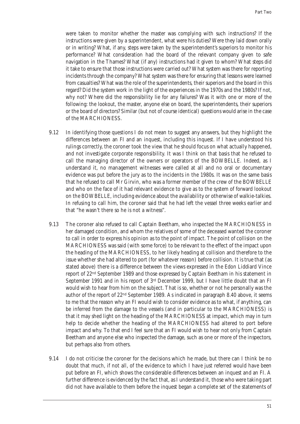were taken to monitor whether the master was complying with such instructions? If the instructions were given by a superintendent, what were his duties? Were they laid down orally or in writing? What, if any, steps were taken by the superintendent's superiors to monitor his performance? What consideration had the board of the relevant company given to safe navigation in the Thames? What (if any) instructions had it given to whom? What steps did it take to ensure that those instructions were carried out? What system was there for reporting incidents through the company? What system was there for ensuring that lessons were learned from casualties? What was the role of the superintendents, their superiors and the board in this regard? Did the system work in the light of the experiences in the 1970s and the 1980s? If not, why not? Where did the responsibility lie for any failures? Was it with one or more of the following: the lookout, the master, anyone else on board, the superintendents, their superiors or the board of directors? Similar (but not of course identical) questions would arise in the case of the MARCHIONESS.

- 9.12 In identifying those questions I do not mean to suggest any answers, but they highlight the differences between an FI and an inquest, including this inquest. If I have understood his rulings correctly, the coroner took the view that he should focus on what actually happened, and not investigate corporate responsibility. It was I think on that basis that he refused to call the managing director of the owners or operators of the BOWBELLE. Indeed, as I understand it, no management witnesses were called at all and no oral or documentary evidence was put before the jury as to the incidents in the 1980s. It was on the same basis that he refused to call Mr Girvin, who was a former member of the crew of the BOWBELLE and who on the face of it had relevant evidence to give as to the system of forward lookout on the BOWBELLE, including evidence about the availability or otherwise of walkie-talkies. In refusing to call him, the coroner said that he had left the vessel three weeks earlier and that "he wasn't there so he is not a witness".
- 9.13 The coroner also refused to call Captain Beetham, who inspected the MARCHIONESS in her damaged condition, and whom the relatives of some of the deceased wanted the coroner to call in order to express his opinion as to the point of impact. The point of collision on the MARCHIONESS was said (with some force) to be relevant to the effect of the impact upon the heading of the MARCHIONESS, to her likely heading at collision and therefore to the issue whether she had altered to port (for whatever reason) before collision. It is true that (as stated above) there is a difference between the views expressed in the Edon Liddiard Vince report of 22nd September 1989 and those expressed by Captain Beetham in his statement in September 1991 and in his report of 3rd December 1999, but I have little doubt that an FI would wish to hear from him on the subject. That is so, whether or not he personally was the author of the report of 22nd September 1989. As indicated in paragraph 8.40 above, it seems to me that the reason why an FI would wish to consider evidence as to what, if anything, can be inferred from the damage to the vessels (and in particular to the MARCHIONESS) is that it may shed light on the heading of the MARCHIONESS at impact, which may in turn help to decide whether the heading of the MARCHIONESS had altered to port before impact and why. To that end I feel sure that an FI would wish to hear not only from Captain Beetham and anyone else who inspected the damage, such as one or more of the inspectors, but perhaps also from others.
- 9.14 I do not criticise the coroner for the decisions which he made, but there can I think be no doubt that much, if not all, of the evidence to which I have just referred would have been put before an FI, which shows the considerable differences between an inquest and an FI. A further difference is evidenced by the fact that, as I understand it, those who were taking part did not have available to them before the inquest began a complete set of the statements of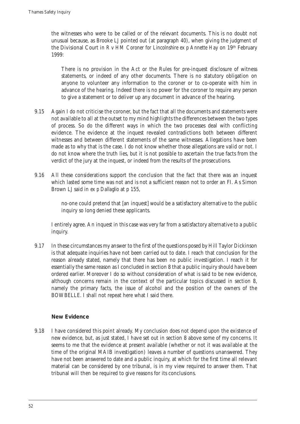the witnesses who were to be called or of the relevant documents. This is no doubt not unusual because, as Brooke LJ pointed out (at paragraph 40), when giving the judgment of the Divisional Court in *R v HM Coroner for Lincolnshire ex p Annette Hay* on 19th February 1999:

There is no provision in the Act or the Rules for pre-inquest disclosure of witness statements, or indeed of any other documents. There is no statutory obligation on anyone to volunteer any information to the coroner or to co-operate with him in advance of the hearing. Indeed there is no power for the coroner to require any person to give a statement or to deliver up any document in advance of the hearing.

- 9.15 Again I do not criticise the coroner, but the fact that all the documents and statements were not available to all at the outset to my mind highlights the differences between the two types of process. So do the different ways in which the two processes deal with conflicting evidence. The evidence at the inquest revealed contradictions both between different witnesses and between different statements of the same witnesses. Allegations have been made as to why that is the case. I do not know whether those allegations are valid or not. I do not know where the truth lies, but it is not possible to ascertain the true facts from the verdict of the jury at the inquest, or indeed from the results of the prosecutions.
- 9.16 All these considerations support the conclusion that the fact that there was an inquest which lasted some time was not and is not a sufficient reason not to order an FI. As Simon Brown LJ said in *ex p Dallaglio* at p 155,

no-one could pretend that [an inquest] would be a satisfactory alternative to the public inquiry so long denied these applicants.

I entirely agree. An inquest in this case was very far from a satisfactory alternative to a public inquiry.

9.17 In these circumstances my answer to the first of the questions posed by Hill Taylor Dickinson is that adequate inquiries have not been carried out to date. I reach that conclusion for the reason already stated, namely that there has been no public investigation. I reach it for essentially the same reason as I concluded in section 8 that a public inquiry should have been ordered earlier. Moreover I do so without consideration of what is said to be new evidence, although concerns remain in the context of the particular topics discussed in section 8, namely the primary facts, the issue of alcohol and the position of the owners of the BOWBELLE. I shall not repeat here what I said there.

#### **New Evidence**

9.18 I have considered this point already. My conclusion does not depend upon the existence of new evidence, but, as just stated, I have set out in section 8 above some of my concerns. It seems to me that the evidence at present available (whether or not it was available at the time of the original MAIB investigation) leaves a number of questions unanswered. They have not been answered to date and a public inquiry, at which for the first time all relevant material can be considered by one tribunal, is in my view required to answer them. That tribunal will then be required to give reasons for its conclusions.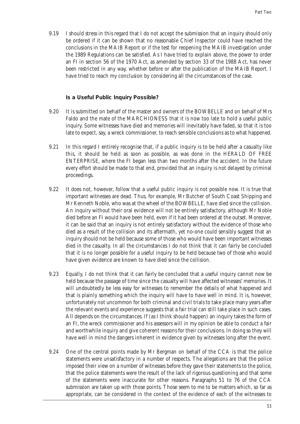9.19 I should stress in this regard that I do not accept the submission that an inquiry should only be ordered if it can be shown that no reasonable Chief Inspector could have reached the conclusions in the MAIB Report or if the test for reopening the MAIB investigation under the 1989 Regulations can be satisfied. As I have tried to explain above, the power to order an FI in section 56 of the 1970 Act, as amended by section 33 of the 1988 Act, has never been restricted in any way, whether before or after the publication of the MAIB Report. I have tried to reach my conclusion by considering all the circumstances of the case.

#### **Is a Useful Public Inquiry Possible?**

- 9.20 It is submitted on behalf of the master and owners of the BOWBELLE and on behalf of Mrs Faldo and the mate of the MARCHIONESS that it is now too late to hold a useful public inquiry. Some witnesses have died and memories will inevitably have faded, so that it is too late to expect, say, a wreck commissioner, to reach sensible conclusions as to what happened.
- 9.21 In this regard I entirely recognise that, if a public inquiry is to be held after a casualty like this, it should be held as soon as possible, as was done in the HERALD OF FREE ENTERPRISE, where the FI began less than two months after the accident. In the future every effort should be made to that end, provided that an inquiry is not delayed by criminal proceedings.
- 9.22 It does not, however, follow that a useful public inquiry is not possible now. It is true that important witnesses are dead. Thus, for example, Mr Butcher of South Coast Shipping and Mr Kenneth Noble, who was at the wheel of the BOWBELLE, have died since the collision. An inquiry without their oral evidence will not be entirely satisfactory, although Mr Noble died before an FI would have been held, even if it had been ordered at the outset. Moreover, it can be said that an inquiry is not entirely satisfactory without the evidence of those who died as a result of the collision and its aftermath, yet no-one could sensibly suggest that an inquiry should not be held because some of those who would have been important witnesses died in the casualty. In all the circumstances I do not think that it can fairly be concluded that it is no longer possible for a useful inquiry to be held because two of those who would have given evidence are known to have died since the collision.
- 9.23 Equally, I do not think that it can fairly be concluded that a useful inquiry cannot now be held because the passage of time since the casualty will have affected witnesses' memories. It will undoubtedly be less easy for witnesses to remember the details of what happened and that is plainly something which the inquiry will have to have well in mind. It is, however, unfortunately not uncommon for both criminal and civil trials to take place many years after the relevant events and experience suggests that a fair trial can still take place in such cases. All depends on the circumstances. If (as I think should happen) an inquiry takes the form of an FI, the wreck commissioner and his assessors will in my opinion be able to conduct a fair and worthwhile inquiry and give coherent reasons for their conclusions. In doing so they will have well in mind the dangers inherent in evidence given by witnesses long after the event.
- 9.24 One of the central points made by Mr Bergman on behalf of the CCA is that the police statements were unsatisfactory in a number of respects. The allegations are that the police imposed their view on a number of witnesses before they gave their statements to the police, that the police statements were the result of the lack of rigorous questioning and that some of the statements were inaccurate for other reasons. Paragraphs 51 to 76 of the CCA submission are taken up with those points. Those seem to me to be matters which, so far as appropriate, can be considered in the context of the evidence of each of the witnesses to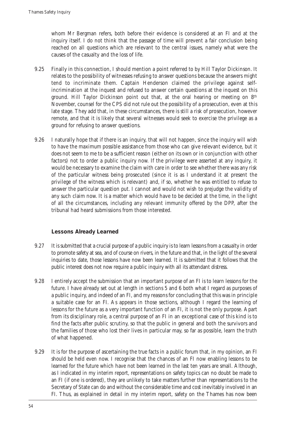whom Mr Bergman refers, both before their evidence is considered at an FI and at the inquiry itself. I do not think that the passage of time will prevent a fair conclusion being reached on all questions which are relevant to the central issues, namely what were the causes of the casualty and the loss of life.

- 9.25 Finally in this connection, I should mention a point referred to by Hill Taylor Dickinson. It relates to the possibility of witnesses refusing to answer questions because the answers might tend to incriminate them. Captain Henderson claimed the privilege against selfincrimination at the inquest and refused to answer certain questions at the inquest on this ground. Hill Taylor Dickinson point out that, at the oral hearing or meeting on 8th November, counsel for the CPS did not rule out the possibility of a prosecution, even at this late stage. They add that, in these circumstances, there is still a risk of prosecution, however remote, and that it is likely that several witnesses would seek to exercise the privilege as a ground for refusing to answer questions.
- 9.26 I naturally hope that if there is an inquiry, that will not happen, since the inquiry will wish to have the maximum possible assistance from those who can give relevant evidence, but it does not seem to me to be a sufficient reason (either on its own or in conjunction with other factors) not to order a public inquiry now. If the privilege were asserted at any inquiry, it would be necessary to examine the claim with care in order to see whether there was any risk of the particular witness being prosecuted (since it is as I understand it at present the privilege of the witness which is relevant) and, if so, whether he was entitled to refuse to answer the particular question put. I cannot and would not wish to prejudge the validity of any such claim now. It is a matter which would have to be decided at the time, in the light of all the circumstances, including any relevant immunity offered by the DPP, after the tribunal had heard submissions from those interested.

## **Lessons Already Learned**

- 9.27 It is submitted that a crucial purpose of a public inquiry is to learn lessons from a casualty in order to promote safety at sea, and of course on rivers, in the future and that, in the light of the several inquiries to date, those lessons have now been learned. It is submitted that it follows that the public interest does not now require a public inquiry with all its attendant distress.
- 9.28 I entirely accept the submission that an important purpose of an FI is to learn lessons for the future. I have already set out at length in sections 5 and 6 both what I regard as purposes of a public inquiry, and indeed of an FI, and my reasons for concluding that this was in principle a suitable case for an FI. As appears in those sections, although I regard the learning of lessons for the future as a very important function of an FI, it is not the only purpose. Apart from its disciplinary role, a central purpose of an FI in an exceptional case of this kind is to find the facts after public scrutiny, so that the public in general and both the survivors and the families of those who lost their lives in particular may, so far as possible, learn the truth of what happened.
- 9.29 It is for the purpose of ascertaining the true facts in a public forum that, in my opinion, an FI should be held even now. I recognise that the chances of an FI now enabling lessons to be learned for the future which have not been learned in the last ten years are small. Although, as I indicated in my interim report, representations on safety topics can no doubt be made to an FI (if one is ordered), they are unlikely to take matters further than representations to the Secretary of State can do and without the considerable time and cost inevitably involved in an FI. Thus, as explained in detail in my interim report, safety on the Thames has now been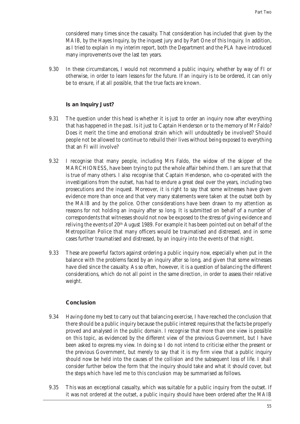considered many times since the casualty. That consideration has included that given by the MAIB, by the Hayes Inquiry, by the inquest jury and by Part One of this Inquiry. In addition, as I tried to explain in my interim report, both the Department and the PLA have introduced many improvements over the last ten years.

9.30 In these circumstances, I would not recommend a public inquiry, whether by way of FI or otherwise, in order to learn lessons for the future. If an inquiry is to be ordered, it can only be to ensure, if at all possible, that the true facts are known.

#### **Is an Inquiry Just?**

- 9.31 The question under this head is whether it is just to order an inquiry now after everything that has happened in the past. Is it just to Captain Henderson or to the memory of Mr Faldo? Does it merit the time and emotional strain which will undoubtedly be involved? Should people not be allowed to continue to rebuild their lives without being exposed to everything that an FI will involve?
- 9.32 I recognise that many people, including Mrs Faldo, the widow of the skipper of the MARCHIONESS, have been trying to put the whole affair behind them. I am sure that that is true of many others. I also recognise that Captain Henderson, who co-operated with the investigations from the outset, has had to endure a great deal over the years, including two prosecutions and the inquest. Moreover, it is right to say that some witnesses have given evidence more than once and that very many statements were taken at the outset both by the MAIB and by the police. Other considerations have been drawn to my attention as reasons for not holding an inquiry after so long. It is submitted on behalf of a number of correspondents that witnesses should not now be exposed to the stress of giving evidence and reliving the events of  $20<sup>th</sup>$  August 1989. For example it has been pointed out on behalf of the Metropolitan Police that many officers would be traumatised and distressed, and in some cases further traumatised and distressed, by an inquiry into the events of that night.
- 9.33 These are powerful factors against ordering a public inquiry now, especially when put in the balance with the problems faced by an inquiry after so long, and given that some witnesses have died since the casualty. As so often, however, it is a question of balancing the different considerations, which do not all point in the same direction, in order to assess their relative weight.

#### **Conclusion**

- 9.34 Having done my best to carry out that balancing exercise, I have reached the conclusion that there should be a public inquiry because the public interest requires that the facts be properly proved and analysed in the public domain. I recognise that more than one view is possible on this topic, as evidenced by the different view of the previous Government, but I have been asked to express my view. In doing so I do not intend to criticise either the present or the previous Government, but merely to say that it is my firm view that a public inquiry should now be held into the causes of the collision and the subsequent loss of life. I shall consider further below the form that the inquiry should take and what it should cover, but the steps which have led me to this conclusion may be summarised as follows.
- 9.35 This was an exceptional casualty, which was suitable for a public inquiry from the outset. If it was not ordered at the outset, a public inquiry should have been ordered after the MAIB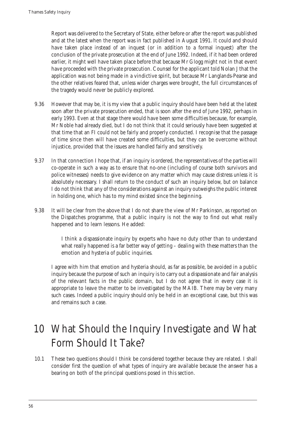Report was delivered to the Secretary of State, either before or after the report was published and at the latest when the report was in fact published in August 1991. It could and should have taken place instead of an inquest (or in addition to a formal inquest) after the conclusion of the private prosecution at the end of June 1992. Indeed, if it had been ordered earlier, it might well have taken place before that because Mr Glogg might not in that event have proceeded with the private prosecution. Counsel for the applicant told Nolan J that the application was not being made in a vindictive spirit, but because Mr Langlands-Pearse and the other relatives feared that, unless wider charges were brought, the full circumstances of the tragedy would never be publicly explored.

- 9.36 However that may be, it is my view that a public inquiry should have been held at the latest soon after the private prosecution ended, that is soon after the end of June 1992, perhaps in early 1993. Even at that stage there would have been some difficulties because, for example, Mr Noble had already died, but I do not think that it could seriously have been suggested at that time that an FI could not be fairly and properly conducted. I recognise that the passage of time since then will have created some difficulties, but they can be overcome without injustice, provided that the issues are handled fairly and sensitively.
- 9.37 In that connection I hope that, if an inquiry is ordered, the representatives of the parties will co-operate in such a way as to ensure that no-one (including of course both survivors and police witnesses) needs to give evidence on any matter which may cause distress unless it is absolutely necessary. I shall return to the conduct of such an inquiry below, but on balance I do not think that any of the considerations against an inquiry outweighs the public interest in holding one, which has to my mind existed since the beginning.
- 9.38 It will be clear from the above that I do not share the view of Mr Parkinson, as reported on the Dispatches programme, that a public inquiry is not the way to find out what really happened and to learn lessons. He added:

I think a dispassionate inquiry by experts who have no duty other than to understand what really happened is a far better way of getting – dealing with these matters than the emotion and hysteria of public inquiries.

I agree with him that emotion and hysteria should, as far as possible, be avoided in a public inquiry because the purpose of such an inquiry is to carry out a dispassionate and fair analysis of the relevant facts in the public domain, but I do not agree that in every case it is appropriate to leave the matter to be investigated by the MAIB. There may be very many such cases. Indeed a public inquiry should only be held in an exceptional case, but this was and remains such a case.

# 10 What Should the Inquiry Investigate and What Form Should It Take?

10.1 These two questions should I think be considered together because they are related. I shall consider first the question of what types of inquiry are available because the answer has a bearing on both of the principal questions posed in this section.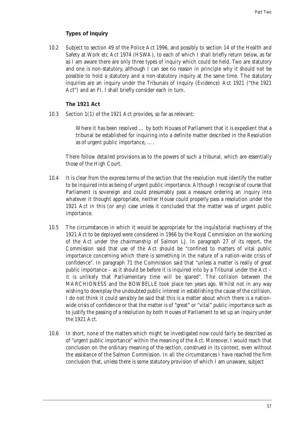## **Types of Inquiry**

10.2 Subject to section 49 of the Police Act 1996, and possibly to section 14 of the Health and Safety at Work etc Act 1974 (HSWA), to each of which I shall briefly return below, as far as I am aware there are only three types of inquiry which could be held. Two are statutory and one is non-statutory, although I can see no reason in principle why it should not be possible to hold a statutory and a non-statutory inquiry at the same time. The statutory inquiries are an inquiry under the Tribunals of Inquiry (Evidence) Act 1921 ("the 1921 Act") and an FI. I shall briefly consider each in turn.

**The 1921 Act**

10.3 Section 1(1) of the 1921 Act provides, so far as relevant:

Where it has been resolved … by both Houses of Parliament that it is expedient that a tribunal be established for inquiring into a definite matter described in the Resolution as of urgent public importance, ….

There follow detailed provisions as to the powers of such a tribunal, which are essentially those of the High Court.

- 10.4 It is clear from the express terms of the section that the resolution must identify the matter to be inquired into as being of urgent public importance. Although I recognise of course that Parliament is sovereign and could presumably pass a measure ordering an inquiry into whatever it thought appropriate, neither House could properly pass a resolution under the 1921 Act in this (or any) case unless it concluded that the matter was of urgent public importance.
- 10.5 The circumstances in which it would be appropriate for the inquisitorial machinery of the 1921 Act to be deployed were considered in 1966 by the Royal Commission on the working of the Act under the chairmanship of Salmon LJ. In paragraph 27 of its report, the Commission said that use of the Act should be "confined to matters of vital public importance concerning which there is something in the nature of a nation-wide crisis of confidence". In paragraph 71 the Commission said that "unless a matter is really of great public importance – as it should be before it is inquired into by a Tribunal under the Act – it is unlikely that Parliamentary time will be spared". The collision between the MARCHIONESS and the BOWBELLE took place ten years ago. Whilst not in any way wishing to downplay the undoubted public interest in establishing the cause of the collision, I do not think it could sensibly be said that this is a matter about which there is a nationwide crisis of confidence or that the matter is of "great" or "vital" public importance such as to justify the passing of a resolution by both Houses of Parliament to set up an inquiry under the 1921 Act.
- 10.6 In short, none of the matters which might be investigated now could fairly be described as of "urgent public importance" within the meaning of the Act. Moreover, I would reach that conclusion on the ordinary meaning of the section, construed in its context, even without the assistance of the Salmon Commission. In all the circumstances I have reached the firm conclusion that, unless there is some statutory provision of which I am unaware, subject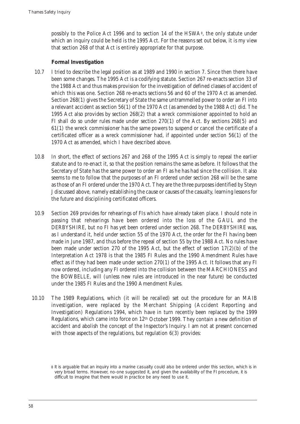possibly to the Police Act 1996 and to section 14 of the HSWA8, the only statute under which an inquiry could be held is the 1995 Act. For the reasons set out below, it is my view that section 268 of that Act is entirely appropriate for that purpose.

#### **Formal Investigation**

- 10.7 I tried to describe the legal position as at 1989 and 1990 in section 7. Since then there have been some changes. The 1995 Act is a codifying statute. Section 267 re-enacts section 33 of the 1988 Act and thus makes provision for the investigation of defined classes of accident of which this was one. Section 268 re-enacts sections 56 and 60 of the 1970 Act as amended. Section 268(1) gives the Secretary of State the same untrammelled power to order an FI into a relevant accident as section 56(1) of the 1970 Act (as amended by the 1988 Act) did. The 1995 Act also provides by section 268(2) that a wreck commissioner appointed to hold an FI shall do so under rules made under section 270(1) of the Act. By sections 268(5) and 61(1) the wreck commissioner has the same powers to suspend or cancel the certificate of a certificated officer as a wreck commissioner had, if appointed under section 56(1) of the 1970 Act as amended, which I have described above.
- 10.8 In short, the effect of sections 267 and 268 of the 1995 Act is simply to repeal the earlier statute and to re-enact it, so that the position remains the same as before. It follows that the Secretary of State has the same power to order an FI as he has had since the collision. It also seems to me to follow that the purposes of an FI ordered under section 268 will be the same as those of an FI ordered under the 1970 Act. They are the three purposes identified by Steyn J discussed above, namely establishing the cause or causes of the casualty, learning lessons for the future and disciplining certificated officers.
- 10.9 Section 269 provides for rehearings of FIs which have already taken place. I should note in passing that rehearings have been ordered into the loss of the GAUL and the DERBYSHIRE, but no FI has yet been ordered under section 268. The DERBYSHIRE was, as I understand it, held under section 55 of the 1970 Act, the order for the FI having been made in June 1987, and thus before the repeal of section 55 by the 1988 Act. No rules have been made under section 270 of the 1995 Act, but the effect of section 17(2)(b) of the Interpretation Act 1978 is that the 1985 FI Rules and the 1990 Amendment Rules have effect as if they had been made under section 270(1) of the 1995 Act. It follows that any FI now ordered, including any FI ordered into the collision between the MARCHIONESS and the BOWBELLE, will (unless new rules are introduced in the near future) be conducted under the 1985 FI Rules and the 1990 Amendment Rules.
- 10.10 The 1989 Regulations, which (it will be recalled) set out the procedure for an MAIB investigation, were replaced by the Merchant Shipping (Accident Reporting and Investigation) Regulations 1994, which have in turn recently been replaced by the 1999 Regulations, which came into force on 12th October 1999. They contain a new definition of accident and abolish the concept of the Inspector's Inquiry. I am not at present concerned with those aspects of the regulations, but regulation 6(3) provides:

<sup>8</sup> It is arguable that an inquiry into a marine casualty could also be ordered under this section, which is in very broad terms. However, no-one suggested it, and given the availability of the FI procedure, it is difficult to imagine that there would in practice be any need to use it.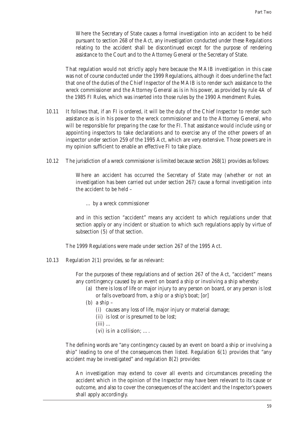Where the Secretary of State causes a formal investigation into an accident to be held pursuant to section 268 of the Act, any investigation conducted under these Regulations relating to the accident shall be discontinued except for the purpose of rendering assistance to the Court and to the Attorney General or the Secretary of State.

That regulation would not strictly apply here because the MAIB investigation in this case was not of course conducted under the 1999 Regulations, although it does underline the fact that one of the duties of the Chief Inspector of the MAIB is to render such assistance to the wreck commissioner and the Attorney General as is in his power, as provided by rule 4A of the 1985 FI Rules, which was inserted into those rules by the 1990 Amendment Rules.

- 10.11 It follows that, if an FI is ordered, it will be the duty of the Chief Inspector to render such assistance as is in his power to the wreck commissioner and to the Attorney General, who will be responsible for preparing the case for the FI. That assistance would include using or appointing inspectors to take declarations and to exercise any of the other powers of an inspector under section 259 of the 1995 Act, which are very extensive. Those powers are in my opinion sufficient to enable an effective FI to take place.
- 10.12 The jurisdiction of a wreck commissioner is limited because section 268(1) provides as follows:

Where an accident has occurred the Secretary of State may (whether or not an investigation has been carried out under section 267) cause a formal investigation into the accident to be held –

… by a wreck commissioner

and in this section "accident" means any accident to which regulations under that section apply or any incident or situation to which such regulations apply by virtue of subsection (5) of that section.

The 1999 Regulations were made under section 267 of the 1995 Act.

10.13 Regulation 2(1) provides, so far as relevant:

For the purposes of these regulations and of section 267 of the Act, "accident" means any contingency caused by an event on board a ship or involving a ship whereby:

- (a) there is loss of life or major injury to any person on board, or any person is lost or falls overboard from, a ship or a ship's boat; [or]
- (b) a ship
	- (i) causes any loss of life, major injury or material damage;
	- (ii) is lost or is presumed to be lost;
	- $(iii)$  ...
	- (vi) is in a collision; ….

The defining words are "any contingency caused by an event on board a ship or involving a ship" leading to one of the consequences then listed. Regulation 6(1) provides that "any accident may be investigated" and regulation 8(2) provides:

An investigation may extend to cover all events and circumstances preceding the accident which in the opinion of the Inspector may have been relevant to its cause or outcome, and also to cover the consequences of the accident and the Inspector's powers shall apply accordingly.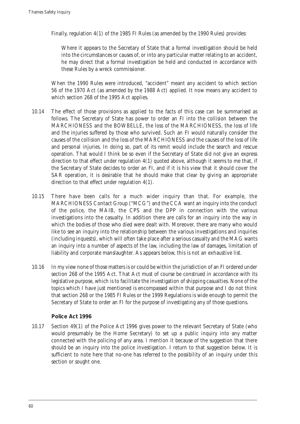Finally, regulation 4(1) of the 1985 FI Rules (as amended by the 1990 Rules) provides:

Where it appears to the Secretary of State that a formal investigation should be held into the circumstances or causes of, or into any particular matter relating to an accident, he may direct that a formal investigation be held and conducted in accordance with these Rules by a wreck commissioner.

When the 1990 Rules were introduced, "accident" meant any accident to which section 56 of the 1970 Act (as amended by the 1988 Act) applied. It now means any accident to which section 268 of the 1995 Act applies.

- 10.14 The effect of those provisions as applied to the facts of this case can be summarised as follows. The Secretary of State has power to order an FI into the collision between the MARCHIONESS and the BOWBELLE, the loss of the MARCHIONESS, the loss of life and the injuries suffered by those who survived. Such an FI would naturally consider the causes of the collision and the loss of the MARCHIONESS and the causes of the loss of life and personal injuries. In doing so, part of its remit would include the search and rescue operation. That would I think be so even if the Secretary of State did not give an express direction to that effect under regulation 4(1) quoted above, although it seems to me that, if the Secretary of State decides to order an FI, and if it is his view that it should cover the SAR operation, it is desirable that he should make that clear by giving an appropriate direction to that effect under regulation 4(1).
- 10.15 There have been calls for a much wider inquiry than that. For example, the MARCHIONESS Contact Group ("MCG") and the CCA want an inquiry into the conduct of the police, the MAIB, the CPS and the DPP in connection with the various investigations into the casualty. In addition there are calls for an inquiry into the way in which the bodies of those who died were dealt with. Moreover, there are many who would like to see an inquiry into the relationship between the various investigations and inquiries (including inquests), which will often take place after a serious casualty and the MAG wants an inquiry into a number of aspects of the law, including the law of damages, limitation of liability and corporate manslaughter. As appears below, this is not an exhaustive list.
- 10.16 In my view none of those matters is or could be within the jurisdiction of an FI ordered under section 268 of the 1995 Act. That Act must of course be construed in accordance with its legislative purpose, which is to facilitate the investigation of shipping casualties. None of the topics which I have just mentioned is encompassed within that purpose and I do not think that section 268 or the 1985 FI Rules or the 1999 Regulations is wide enough to permit the Secretary of State to order an FI for the purpose of investigating any of those questions.

#### **Police Act 1996**

10.17 Section 49(1) of the Police Act 1996 gives power to the relevant Secretary of State (who would presumably be the Home Secretary) to set up a public inquiry into any matter connected with the policing of any area. I mention it because of the suggestion that there should be an inquiry into the police investigation. I return to that suggestion below. It is sufficient to note here that no-one has referred to the possibility of an inquiry under this section or sought one.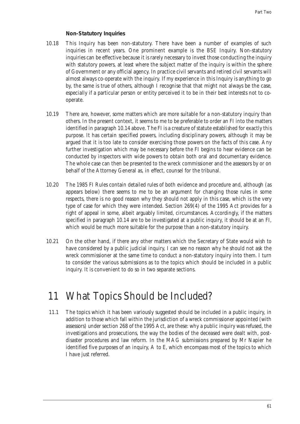#### **Non-Statutory Inquiries**

- 10.18 This Inquiry has been non-statutory. There have been a number of examples of such inquiries in recent years. One prominent example is the BSE Inquiry. Non-statutory inquiries can be effective because it is rarely necessary to invest those conducting the inquiry with statutory powers, at least where the subject matter of the inquiry is within the sphere of Government or any official agency. In practice civil servants and retired civil servants will almost always co-operate with the inquiry. If my experience in this Inquiry is anything to go by, the same is true of others, although I recognise that that might not always be the case, especially if a particular person or entity perceived it to be in their best interests not to cooperate.
- 10.19 There are, however, some matters which are more suitable for a non-statutory inquiry than others. In the present context, it seems to me to be preferable to order an FI into the matters identified in paragraph 10.14 above. The FI is a creature of statute established for exactly this purpose. It has certain specified powers, including disciplinary powers, although it may be argued that it is too late to consider exercising those powers on the facts of this case. Any further investigation which may be necessary before the FI begins to hear evidence can be conducted by inspectors with wide powers to obtain both oral and documentary evidence. The whole case can then be presented to the wreck commissioner and the assessors by or on behalf of the Attorney General as, in effect, counsel for the tribunal.
- 10.20 The 1985 FI Rules contain detailed rules of both evidence and procedure and, although (as appears below) there seems to me to be an argument for changing those rules in some respects, there is no good reason why they should not apply in this case, which is the very type of case for which they were intended. Section 269(4) of the 1995 Act provides for a right of appeal in some, albeit arguably limited, circumstances. Accordingly, if the matters specified in paragraph 10.14 are to be investigated at a public inquiry, it should be at an FI, which would be much more suitable for the purpose than a non-statutory inquiry.
- 10.21 On the other hand, if there any other matters which the Secretary of State would wish to have considered by a public judicial inquiry, I can see no reason why he should not ask the wreck commissioner at the same time to conduct a non-statutory inquiry into them. I turn to consider the various submissions as to the topics which should be included in a public inquiry. It is convenient to do so in two separate sections.

## 11 What Topics Should be Included?

11.1 The topics which it has been variously suggested should be included in a public inquiry, in addition to those which fall within the jurisdiction of a wreck commissioner appointed (with assessors) under section 268 of the 1995 Act, are these: why a public inquiry was refused, the investigations and prosecutions, the way the bodies of the deceased were dealt with, postdisaster procedures and law reform. In the MAG submissions prepared by Mr Napier he identified five purposes of an inquiry, A to E, which encompass most of the topics to which I have just referred.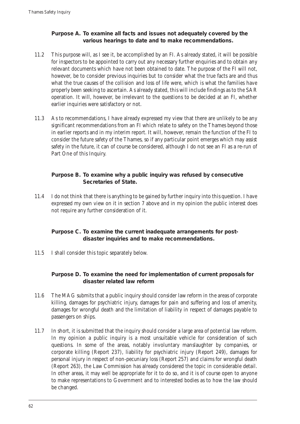## **Purpose A. To examine all facts and issues not adequately covered by the various hearings to date and to make recommendations.**

- 11.2 This purpose will, as I see it, be accomplished by an FI. As already stated, it will be possible for inspectors to be appointed to carry out any necessary further enquiries and to obtain any relevant documents which have not been obtained to date. The purpose of the FI will not, however, be to consider previous inquiries but to consider what the true facts are and thus what the true causes of the collision and loss of life were, which is what the families have properly been seeking to ascertain. As already stated, this will include findings as to the SAR operation. It will, however, be irrelevant to the questions to be decided at an FI, whether earlier inquiries were satisfactory or not.
- 11.3 As to recommendations, I have already expressed my view that there are unlikely to be any significant recommendations from an FI which relate to safety on the Thames beyond those in earlier reports and in my interim report. It will, however, remain the function of the FI to consider the future safety of the Thames, so if any particular point emerges which may assist safety in the future, it can of course be considered, although I do not see an FI as a re-run of Part One of this Inquiry.

## **Purpose B. To examine why a public inquiry was refused by consecutive Secretaries of State.**

11.4 I do not think that there is anything to be gained by further inquiry into this question. I have expressed my own view on it in section 7 above and in my opinion the public interest does not require any further consideration of it.

## **Purpose C. To examine the current inadequate arrangements for postdisaster inquiries and to make recommendations.**

11.5 I shall consider this topic separately below.

## **Purpose D. To examine the need for implementation of current proposals for disaster related law reform**

- 11.6 The MAG submits that a public inquiry should consider law reform in the areas of corporate killing, damages for psychiatric injury, damages for pain and suffering and loss of amenity, damages for wrongful death and the limitation of liability in respect of damages payable to passengers on ships.
- 11.7 In short, it is submitted that the inquiry should consider a large area of potential law reform. In my opinion a public inquiry is a most unsuitable vehicle for consideration of such questions. In some of the areas, notably involuntary manslaughter by companies, or corporate killing (Report 237), liability for psychiatric injury (Report 249), damages for personal injury in respect of non-pecuniary loss (Report 257) and claims for wrongful death (Report 263), the Law Commission has already considered the topic in considerable detail. In other areas, it may well be appropriate for it to do so, and it is of course open to anyone to make representations to Government and to interested bodies as to how the law should be changed.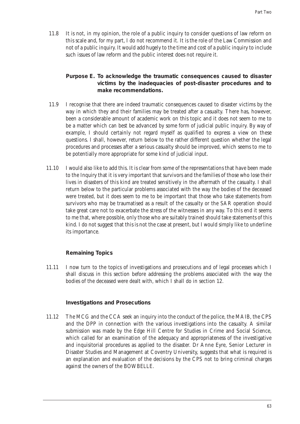11.8 It is not, in my opinion, the role of a public inquiry to consider questions of law reform on this scale and, for my part, I do not recommend it. It is the role of the Law Commission and not of a public inquiry. It would add hugely to the time and cost of a public inquiry to include such issues of law reform and the public interest does not require it.

## **Purpose E. To acknowledge the traumatic consequences caused to disaster victims by the inadequacies of post-disaster procedures and to make recommendations.**

- 11.9 I recognise that there are indeed traumatic consequences caused to disaster victims by the way in which they and their families may be treated after a casualty. There has, however, been a considerable amount of academic work on this topic and it does not seem to me to be a matter which can best be advanced by some form of judicial public inquiry. By way of example, I should certainly not regard myself as qualified to express a view on these questions. I shall, however, return below to the rather different question whether the legal procedures and processes after a serious casualty should be improved, which seems to me to be potentially more appropriate for some kind of judicial input.
- 11.10 I would also like to add this. It is clear from some of the representations that have been made to the Inquiry that it is very important that survivors and the families of those who lose their lives in disasters of this kind are treated sensitively in the aftermath of the casualty. I shall return below to the particular problems associated with the way the bodies of the deceased were treated, but it does seem to me to be important that those who take statements from survivors who may be traumatised as a result of the casualty or the SAR operation should take great care not to exacerbate the stress of the witnesses in any way. To this end it seems to me that, where possible, only those who are suitably trained should take statements of this kind. I do not suggest that this is not the case at present, but I would simply like to underline its importance.

## **Remaining Topics**

11.11 I now turn to the topics of investigations and prosecutions and of legal processes which I shall discuss in this section before addressing the problems associated with the way the bodies of the deceased were dealt with, which I shall do in section 12.

## **Investigations and Prosecutions**

11.12 The MCG and the CCA seek an inquiry into the conduct of the police, the MAIB, the CPS and the DPP in connection with the various investigations into the casualty. A similar submission was made by the Edge Hill Centre for Studies in Crime and Social Science, which called for an examination of the adequacy and appropriateness of the investigative and inquisitorial procedures as applied to the disaster. Dr Anne Eyre, Senior Lecturer in Disaster Studies and Management at Coventry University, suggests that what is required is an explanation and evaluation of the decisions by the CPS not to bring criminal charges against the owners of the BOWBELLE.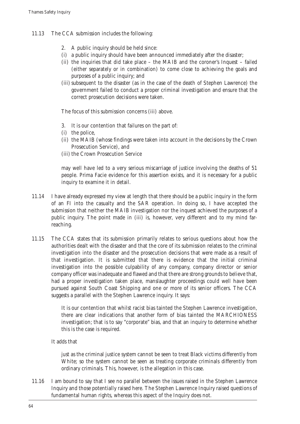- 11.13 The CCA submission includes the following:
	- 2. A public inquiry should be held since:
	- (i) a public inquiry should have been announced immediately after the disaster;
	- (ii) the inquiries that did take place the MAIB and the coroner's Inquest failed (either separately or in combination) to come close to achieving the goals and purposes of a public inquiry; and
	- (iii) subsequent to the disaster (as in the case of the death of Stephen Lawrence) the government failed to conduct a proper criminal investigation and ensure that the correct prosecution decisions were taken.

The focus of this submission concerns (iii) above.

- 3. It is our contention that failures on the part of:
- (i) the police,
- (ii) the MAIB (whose findings were taken into account in the decisions by the Crown Prosecution Service), and
- (iii) the Crown Prosecution Service

may well have led to a very serious miscarriage of justice involving the deaths of 51 people. Prima Facie evidence for this assertion exists, and it is necessary for a public inquiry to examine it in detail.

- 11.14 I have already expressed my view at length that there should be a public inquiry in the form of an FI into the casualty and the SAR operation. In doing so, I have accepted the submission that neither the MAIB investigation nor the inquest achieved the purposes of a public inquiry. The point made in (iii) is, however, very different and to my mind farreaching.
- 11.15 The CCA states that its submission primarily relates to serious questions about how the authorities dealt with the disaster and that the core of its submission relates to the criminal investigation into the disaster and the prosecution decisions that were made as a result of that investigation. It is submitted that there is evidence that the initial criminal investigation into the possible culpability of any company, company director or senior company officer was inadequate and flawed and that there are strong grounds to believe that, had a proper investigation taken place, manslaughter proceedings could well have been pursued against South Coast Shipping and one or more of its senior officers. The CCA suggests a parallel with the Stephen Lawrence inquiry. It says:

It is our contention that whilst racist bias tainted the Stephen Lawrence investigation, there are clear indications that another form of bias tainted the MARCHIONESS investigation; that is to say "corporate" bias, and that an inquiry to determine whether this is the case is required.

It adds that

just as the criminal justice system cannot be seen to treat Black victims differently from White; so the system cannot be seen as treating corporate criminals differently from ordinary criminals. This, however, is the allegation in this case.

11.16 I am bound to say that I see no parallel between the issues raised in the Stephen Lawrence Inquiry and those potentially raised here. The Stephen Lawrence Inquiry raised questions of fundamental human rights, whereas this aspect of the Inquiry does not.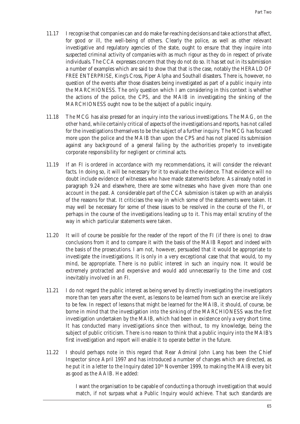- 11.17 I recognise that companies can and do make far-reaching decisions and take actions that affect, for good or ill, the well-being of others. Clearly the police, as well as other relevant investigative and regulatory agencies of the state, ought to ensure that they inquire into suspected criminal activity of companies with as much rigour as they do in respect of private individuals. The CCA expresses concern that they do not do so. It has set out in its submission a number of examples which are said to show that that is the case, notably the HERALD OF FREE ENTERPRISE, King's Cross, Piper Alpha and Southall disasters. There is, however, no question of the events after those disasters being investigated as part of a public inquiry into the MARCHIONESS. The only question which I am considering in this context is whether the actions of the police, the CPS, and the MAIB in investigating the sinking of the MARCHIONESS ought now to be the subject of a public inquiry.
- 11.18 The MCG has also pressed for an inquiry into the various investigations. The MAG, on the other hand, while certainly critical of aspects of the investigations and reports, has not called for the investigations themselves to be the subject of a further inquiry. The MCG has focused more upon the police and the MAIB than upon the CPS and has not placed its submission against any background of a general failing by the authorities properly to investigate corporate responsibility for negligent or criminal acts.
- 11.19 If an FI is ordered in accordance with my recommendations, it will consider the relevant facts. In doing so, it will be necessary for it to evaluate the evidence. That evidence will no doubt include evidence of witnesses who have made statements before. As already noted in paragraph 9.24 and elsewhere, there are some witnesses who have given more than one account in the past. A considerable part of the CCA submission is taken up with an analysis of the reasons for that. It criticises the way in which some of the statements were taken. It may well be necessary for some of these issues to be resolved in the course of the FI, or perhaps in the course of the investigations leading up to it. This may entail scrutiny of the way in which particular statements were taken.
- 11.20 It will of course be possible for the reader of the report of the FI (if there is one) to draw conclusions from it and to compare it with the basis of the MAIB Report and indeed with the basis of the prosecutions. I am not, however, persuaded that it would be appropriate to investigate the investigations. It is only in a very exceptional case that that would, to my mind, be appropriate. There is no public interest in such an inquiry now. It would be extremely protracted and expensive and would add unnecessarily to the time and cost inevitably involved in an FI.
- 11.21 I do not regard the public interest as being served by directly investigating the investigators more than ten years after the event, as lessons to be learned from such an exercise are likely to be few. In respect of lessons that might be learned for the MAIB, it should, of course, be borne in mind that the investigation into the sinking of the MARCHIONESS was the first investigation undertaken by the MAIB, which had been in existence only a very short time. It has conducted many investigations since then without, to my knowledge, being the subject of public criticism. There is no reason to think that a public inquiry into the MAIB's first investigation and report will enable it to operate better in the future.
- 11.22 I should perhaps note in this regard that Rear Admiral John Lang has been the Chief Inspector since April 1997 and has introduced a number of changes which are directed, as he put it in a letter to the Inquiry dated 10<sup>th</sup> November 1999, to making the MAIB every bit as good as the AAIB. He added:

I want the organisation to be capable of conducting a thorough investigation that would match, if not surpass what a Public Inquiry would achieve. That such standards are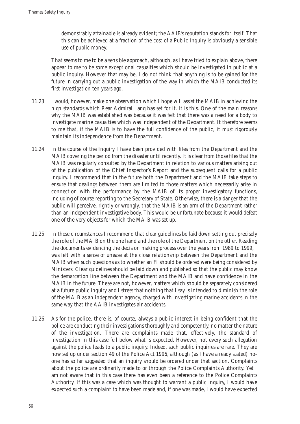demonstrably attainable is already evident; the AAIB's reputation stands for itself. That this can be achieved at a fraction of the cost of a Public Inquiry is obviously a sensible use of public money.

That seems to me to be a sensible approach, although, as I have tried to explain above, there appear to me to be some exceptional casualties which should be investigated in public at a public inquiry. However that may be, I do not think that anything is to be gained for the future in carrying out a public investigation of the way in which the MAIB conducted its first investigation ten years ago.

- 11.23 I would, however, make one observation which I hope will assist the MAIB in achieving the high standards which Rear Admiral Lang has set for it. It is this. One of the main reasons why the MAIB was established was because it was felt that there was a need for a body to investigate marine casualties which was independent of the Department. It therefore seems to me that, if the MAIB is to have the full confidence of the public, it must rigorously maintain its independence from the Department.
- 11.24 In the course of the Inquiry I have been provided with files from the Department and the MAIB covering the period from the disaster until recently. It is clear from those files that the MAIB was regularly consulted by the Department in relation to various matters arising out of the publication of the Chief Inspector's Report and the subsequent calls for a public inquiry. I recommend that in the future both the Department and the MAIB take steps to ensure that dealings between them are limited to those matters which necessarily arise in connection with the performance by the MAIB of its proper investigatory functions, including of course reporting to the Secretary of State. Otherwise, there is a danger that the public will perceive, rightly or wrongly, that the MAIB is an arm of the Department rather than an independent investigative body. This would be unfortunate because it would defeat one of the very objects for which the MAIB was set up.
- 11.25 In these circumstances I recommend that clear guidelines be laid down setting out precisely the role of the MAIB on the one hand and the role of the Department on the other. Reading the documents evidencing the decision making process over the years from 1989 to 1999, I was left with a sense of unease at the close relationship between the Department and the MAIB when such questions as to whether an FI should be ordered were being considered by Ministers. Clear guidelines should be laid down and published so that the public may know the demarcation line between the Department and the MAIB and have confidence in the MAIB in the future. These are not, however, matters which should be separately considered at a future public inquiry and I stress that nothing that I say is intended to diminish the role of the MAIB as an independent agency, charged with investigating marine accidents in the same way that the AAIB investigates air accidents.
- 11.26 As for the police, there is, of course, always a public interest in being confident that the police are conducting their investigations thoroughly and competently, no matter the nature of the investigation. There are complaints made that, effectively, the standard of investigation in this case fell below what is expected. However, not every such allegation against the police leads to a public inquiry. Indeed, such public inquiries are rare. They are now set up under section 49 of the Police Act 1996, although (as I have already stated) noone has so far suggested that an inquiry should be ordered under that section. Complaints about the police are ordinarily made to or through the Police Complaints Authority. Yet I am not aware that in this case there has even been a reference to the Police Complaints Authority. If this was a case which was thought to warrant a public inquiry, I would have expected such a complaint to have been made and, if one was made, I would have expected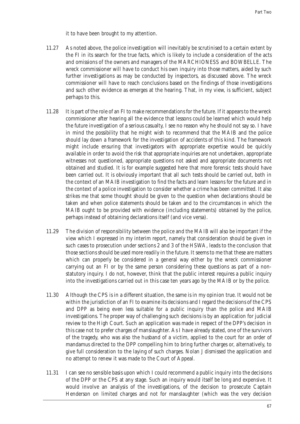it to have been brought to my attention.

- 11.27 As noted above, the police investigation will inevitably be scrutinised to a certain extent by the FI in its search for the true facts, which is likely to include a consideration of the acts and omissions of the owners and managers of the MARCHIONESS and BOWBELLE. The wreck commissioner will have to conduct his own inquiry into those matters, aided by such further investigations as may be conducted by inspectors, as discussed above. The wreck commissioner will have to reach conclusions based on the findings of those investigations and such other evidence as emerges at the hearing. That, in my view, is sufficient, subject perhaps to this.
- 11.28 It is part of the role of an FI to make recommendations for the future. If it appears to the wreck commissioner after hearing all the evidence that lessons could be learned which would help the future investigation of a serious casualty, I see no reason why he should not say so. I have in mind the possibility that he might wish to recommend that the MAIB and the police should lay down a framework for the investigation of accidents of this kind. The framework might include ensuring that investigators with appropriate expertise would be quickly available in order to avoid the risk that appropriate inquiries are not undertaken, appropriate witnesses not questioned, appropriate questions not asked and appropriate documents not obtained and studied. It is for example suggested here that more forensic tests should have been carried out. It is obviously important that all such tests should be carried out, both in the context of an MAIB investigation to find the facts and learn lessons for the future and in the context of a police investigation to consider whether a crime has been committed. It also strikes me that some thought should be given to the question when declarations should be taken and when police statements should be taken and to the circumstances in which the MAIB ought to be provided with evidence (including statements) obtained by the police, perhaps instead of obtaining declarations itself (and vice versa).
- 11.29 The division of responsibility between the police and the MAIB will also be important if the view which I expressed in my interim report, namely that consideration should be given in such cases to prosecution under sections 2 and 3 of the HSWA, leads to the conclusion that those sections should be used more readily in the future. It seems to me that these are matters which can properly be considered in a general way either by the wreck commissioner carrying out an FI or by the same person considering these questions as part of a nonstatutory inquiry. I do not, however, think that the public interest requires a public inquiry into the investigations carried out in this case ten years ago by the MAIB or by the police.
- 11.30 Although the CPS is in a different situation, the same is in my opinion true. It would not be within the jurisdiction of an FI to examine its decisions and I regard the decisions of the CPS and DPP as being even less suitable for a public inquiry than the police and MAIB investigations. The proper way of challenging such decisions is by an application for judicial review to the High Court. Such an application was made in respect of the DPP's decision in this case not to prefer charges of manslaughter. As I have already stated, one of the survivors of the tragedy, who was also the husband of a victim, applied to the court for an order of mandamus directed to the DPP compelling him to bring further charges or, alternatively, to give full consideration to the laying of such charges. Nolan J dismissed the application and no attempt to renew it was made to the Court of Appeal.
- 11.31 I can see no sensible basis upon which I could recommend a public inquiry into the decisions of the DPP or the CPS at any stage. Such an inquiry would itself be long and expensive. It would involve an analysis of the investigations, of the decision to prosecute Captain Henderson on limited charges and not for manslaughter (which was the very decision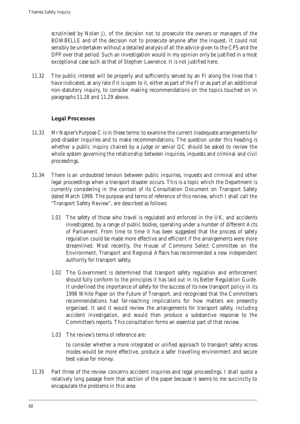scrutinised by Nolan J), of the decision not to prosecute the owners or managers of the BOWBELLE and of the decision not to prosecute anyone after the inquest. It could not sensibly be undertaken without a detailed analysis of all the advice given to the CPS and the DPP over that period. Such an investigation would in my opinion only be justified in a most exceptional case such as that of Stephen Lawrence. It is not justified here.

11.32 The public interest will be properly and sufficiently served by an FI along the lines that I have indicated, at any rate if it is open to it, either as part of the FI or as part of an additional non-statutory inquiry, to consider making recommendations on the topics touched on in paragraphs 11.28 and 11.29 above.

#### **Legal Processes**

- 11.33 Mr Napier's Purpose C is in these terms: to examine the current inadequate arrangements for post-disaster inquiries and to make recommendations. The question under this heading is whether a public inquiry chaired by a judge or senior QC should be asked to review the whole system governing the relationship between inquiries, inquests and criminal and civil proceedings.
- 11.34 There is an undoubted tension between public inquiries, inquests and criminal and other legal proceedings when a transport disaster occurs. This is a topic which the Department is currently considering in the context of its Consultation Document on Transport Safety dated March 1999. The purpose and terms of reference of this review, which I shall call the "Transport Safety Review", are described as follows:
	- 1.01 The safety of those who travel is regulated and enforced in the UK, and accidents investigated, by a range of public bodies, operating under a number of different Acts of Parliament. From time to time it has been suggested that the process of safety regulation could be made more effective and efficient if the arrangements were more streamlined. Most recently, the House of Commons Select Committee on the Environment, Transport and Regional Affairs has recommended a new independent authority for transport safety.
	- 1.02 The Government is determined that transport safety regulation and enforcement should fully conform to the principles it has laid out in its Better Regulation Guide. It underlined the importance of safety for the success of its new transport policy in its 1998 White Paper on the Future of Transport, and recognised that the Committee's recommendations had far-reaching implications for how matters are presently organised. It said it would review the arrangements for transport safety, including accident investigation, and would then produce a substantive response to the Committee's reports. This consultation forms an essential part of that review.
	- 1.03 The review's terms of reference are:

to consider whether a more integrated or unified approach to transport safety across modes would be more effective, produce a safer travelling environment and secure best value for money.

11.35 Part three of the review concerns accident inquiries and legal proceedings. I shall quote a relatively long passage from that section of the paper because it seems to me succinctly to encapsulate the problems in this area: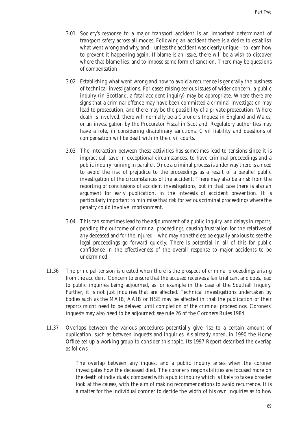- 3.01 Society's response to a major transport accident is an important determinant of transport safety across all modes. Following an accident there is a desire to establish what went wrong and why, and – unless the accident was clearly unique – to learn how to prevent it happening again. If blame is an issue, there will be a wish to discover where that blame lies, and to impose some form of sanction. There may be questions of compensation.
- 3.02 Establishing what went wrong and how to avoid a recurrence is generally the business of technical investigations. For cases raising serious issues of wider concern, a public inquiry (in Scotland, a fatal accident inquiry) may be appropriate. Where there are signs that a criminal offence may have been committed a criminal investigation may lead to prosecution, and there may be the possibility of a private prosecution. Where death is involved, there will normally be a Coroner's Inquest in England and Wales, or an investigation by the Procurator Fiscal in Scotland. Regulatory authorities may have a role, in considering disciplinary sanctions. Civil liability and questions of compensation will be dealt with in the civil courts.
- 3.03 The interaction between these activities has sometimes lead to tensions since it is impractical, save in exceptional circumstances, to have criminal proceedings and a public inquiry running in parallel. Once a criminal process is under way there is a need to avoid the risk of prejudice to the proceedings as a result of a parallel public investigation of the circumstances of the accident. There may also be a risk from the reporting of conclusions of accident investigations, but in that case there is also an argument for early publication, in the interests of accident prevention. It is particularly important to minimise that risk for serious criminal proceedings where the penalty could involve imprisonment.
- 3.04 This can sometimes lead to the adjournment of a public inquiry, and delays in reports, pending the outcome of criminal proceedings, causing frustration for the relatives of any deceased and for the injured – who may nonetheless be equally anxious to see the legal proceedings go forward quickly. There is potential in all of this for public confidence in the effectiveness of the overall response to major accidents to be undermined.
- 11.36 The principal tension is created when there is the prospect of criminal proceedings arising from the accident. Concern to ensure that the accused receives a fair trial can, and does, lead to public inquiries being adjourned, as for example in the case of the Southall Inquiry. Further, it is not just inquiries that are affected. Technical investigations undertaken by bodies such as the MAIB, AAIB or HSE may be affected in that the publication of their reports might need to be delayed until completion of the criminal proceedings. Coroners' inquests may also need to be adjourned: see rule 26 of the Coroners Rules 1984.
- 11.37 Overlaps between the various procedures potentially give rise to a certain amount of duplication, such as between inquests and inquiries. As already noted, in 1990 the Home Office set up a working group to consider this topic. Its 1997 Report described the overlap as follows:

The overlap between any inquest and a public inquiry arises when the coroner investigates how the deceased died. The coroner's responsibilities are focused more on the death of individuals, compared with a public inquiry which is likely to take a broader look at the causes, with the aim of making recommendations to avoid recurrence. It is a matter for the individual coroner to decide the width of his own inquiries as to how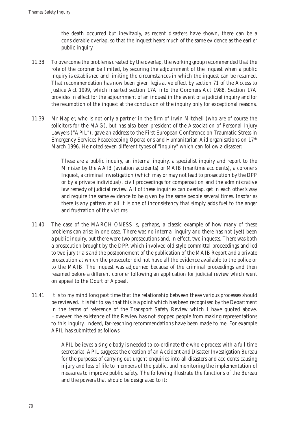the death occurred but inevitably, as recent disasters have shown, there can be a considerable overlap, so that the inquest hears much of the same evidence as the earlier public inquiry.

- 11.38 To overcome the problems created by the overlap, the working group recommended that the role of the coroner be limited, by securing the adjournment of the inquest when a public inquiry is established and limiting the circumstances in which the inquest can be resumed. That recommendation has now been given legislative effect by section 71 of the Access to Justice Act 1999, which inserted section 17A into the Coroners Act 1988. Section 17A provides in effect for the adjournment of an inquest in the event of a judicial inquiry and for the resumption of the inquest at the conclusion of the inquiry only for exceptional reasons.
- 11.39 Mr Napier, who is not only a partner in the firm of Irwin Mitchell (who are of course the solicitors for the MAG), but has also been president of the Association of Personal Injury Lawyers ("APIL"), gave an address to the First European Conference on Traumatic Stress in Emergency Services Peacekeeping Operations and Humanitarian Aid organisations on 17th March 1996. He noted seven different types of "inquiry" which can follow a disaster:

These are a public inquiry, an internal inquiry, a specialist inquiry and report to the Minister by the AAIB (aviation accidents) or MAIB (maritime accidents), a coroner's Inquest, a criminal investigation (which may or may not lead to prosecution by the DPP or by a private individual), civil proceedings for compensation and the administrative law remedy of judicial review. All of these inquiries can overlap, get in each other's way and require the same evidence to be given by the same people several times. Insofar as there is any pattern at all it is one of inconsistency that simply adds fuel to the anger and frustration of the victims.

- 11.40 The case of the MARCHIONESS is, perhaps, a classic example of how many of these problems can arise in one case. There was no internal inquiry and there has not (yet) been a public inquiry, but there were two prosecutions and, in effect, two inquests. There was both a prosecution brought by the DPP, which involved old style committal proceedings and led to two jury trials and the postponement of the publication of the MAIB Report and a private prosecution at which the prosecutor did not have all the evidence available to the police or to the MAIB. The inquest was adjourned because of the criminal proceedings and then resumed before a different coroner following an application for judicial review which went on appeal to the Court of Appeal.
- 11.41 It is to my mind long past time that the relationship between these various processes should be reviewed. It is fair to say that this is a point which has been recognised by the Department in the terms of reference of the Transport Safety Review which I have quoted above. However, the existence of the Review has not stopped people from making representations to this Inquiry. Indeed, far-reaching recommendations have been made to me. For example APIL has submitted as follows:

APIL believes a single body is needed to co-ordinate the whole process with a full time secretariat. APIL suggests the creation of an Accident and Disaster Investigation Bureau for the purposes of carrying out urgent enquiries into all disasters and accidents causing injury and loss of life to members of the public, and monitoring the implementation of measures to improve public safety. The following illustrate the functions of the Bureau and the powers that should be designated to it: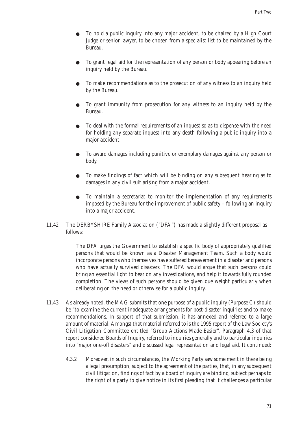- To hold a public inquiry into any major accident, to be chaired by a High Court Judge or senior lawyer, to be chosen from a specialist list to be maintained by the Bureau.
- To grant legal aid for the representation of any person or body appearing before an inquiry held by the Bureau.
- To make recommendations as to the prosecution of any witness to an inquiry held by the Bureau.
- To grant immunity from prosecution for any witness to an inquiry held by the Bureau.
- To deal with the formal requirements of an inquest so as to dispense with the need for holding any separate inquest into any death following a public inquiry into a major accident.
- To award damages including punitive or exemplary damages against any person or body.
- To make findings of fact which will be binding on any subsequent hearing as to damages in any civil suit arising from a major accident.
- To maintain a secretariat to monitor the implementation of any requirements imposed by the Bureau for the improvement of public safety – following an inquiry into a major accident.
- 11.42 The DERBYSHIRE Family Association ("DFA") has made a slightly different proposal as follows:

The DFA urges the Government to establish a specific body of appropriately qualified persons that would be known as a Disaster Management Team. Such a body would incorporate persons who themselves have suffered bereavement in a disaster and persons who have actually survived disasters. The DFA would argue that such persons could bring an essential light to bear on any investigations, and help it towards fully rounded completion. The views of such persons should be given due weight particularly when deliberating on the need or otherwise for a public inquiry.

- 11.43 As already noted, the MAG submits that one purpose of a public inquiry (Purpose C) should be "to examine the current inadequate arrangements for post-disaster inquiries and to make recommendations. In support of that submission, it has annexed and referred to a large amount of material. Amongst that material referred to is the 1995 report of the Law Society's Civil Litigation Committee entitled "Group Actions Made Easier". Paragraph 4.3 of that report considered Boards of Inquiry, referred to inquiries generally and to particular inquiries into "major one-off disasters" and discussed legal representation and legal aid. It continued:
	- 4.3.2 Moreover, in such circumstances, the Working Party saw some merit in there being a legal presumption, subject to the agreement of the parties, that, in any subsequent civil litigation, findings of fact by a board of inquiry are binding, subject perhaps to the right of a party to give notice in its first pleading that it challenges a particular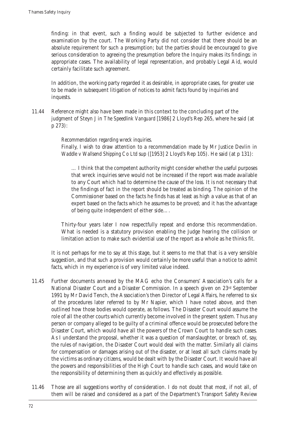finding: in that event, such a finding would be subjected to further evidence and examination by the court. The Working Party did not consider that there should be an absolute requirement for such a presumption; but the parties should be encouraged to give serious consideration to agreeing the presumption before the Inquiry makes its findings: in appropriate cases. The availability of legal representation, and probably Legal Aid, would certainly facilitate such agreement.

In addition, the working party regarded it as desirable, in appropriate cases, for greater use to be made in subsequent litigation of notices to admit facts found by inquiries and inquests.

11.44 Reference might also have been made in this context to the concluding part of the judgment of Steyn J in *The Speedlink Vanguard* [1986] 2 Lloyd's Rep 265, where he said (at p 273):

#### *Recommendation regarding wreck inquiries.*

Finally, I wish to draw attention to a recommendation made by Mr Justice Devlin in *Waddle v Wallsend Shipping Co Ltd* sup ([1953] 2 Lloyd's Rep 105). He said (at p 131):

… I think that the competent authority might consider whether the useful purposes that wreck inquiries serve would not be increased if the report was made available to any Court which had to determine the cause of the loss. It is not necessary that the findings of fact in the report should be treated as binding. The opinion of the Commissioner based on the facts he finds has at least as high a value as that of an expert based on the facts which he assumes to be proved; and it has the advantage of being quite independent of either side….

Thirty-four years later I now respectfully repeat and endorse this recommendation. What is needed is a statutory provision enabling the Judge hearing the collision or limitation action to make such evidential use of the report as a whole as he thinks fit.

It is not perhaps for me to say at this stage, but it seems to me that that is a very sensible suggestion, and that such a provision would certainly be more useful than a notice to admit facts, which in my experience is of very limited value indeed.

- 11.45 Further documents annexed by the MAG echo the Consumers' Association's calls for a National Disaster Court and a Disaster Commission. In a speech given on 23rd September 1991 by Mr David Tench, the Association's then Director of Legal Affairs, he referred to six of the procedures later referred to by Mr Napier, which I have noted above, and then outlined how those bodies would operate, as follows. The Disaster Court would assume the role of all the other courts which currently become involved in the present system. Thus any person or company alleged to be guilty of a criminal offence would be prosecuted before the Disaster Court, which would have all the powers of the Crown Court to handle such cases. As I understand the proposal, whether it was a question of manslaughter, or breach of, say, the rules of navigation, the Disaster Court would deal with the matter. Similarly all claims for compensation or damages arising out of the disaster, or at least all such claims made by the victims as ordinary citizens, would be dealt with by the Disaster Court. It would have all the powers and responsibilities of the High Court to handle such cases, and would take on the responsibility of determining them as quickly and effectively as possible.
- 11.46 Those are all suggestions worthy of consideration. I do not doubt that most, if not all, of them will be raised and considered as a part of the Department's Transport Safety Review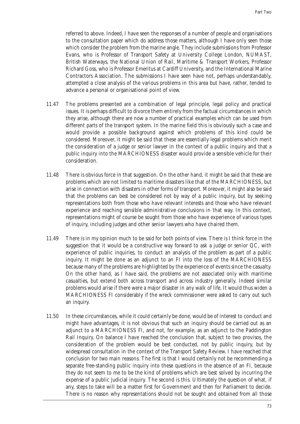referred to above. Indeed, I have seen the responses of a number of people and organisations to the consultation paper which do address those matters, although I have only seen those which consider the problem from the marine angle. They include submissions from Professor Evans, who is Professor of Transport Safety at University College London, NUMAST, British Waterways, the National Union of Rail, Maritime & Transport Workers, Professor Richard Goss, who is Professor Emeritus at Cardiff University, and the International Marine Contractors Association. The submissions I have seen have not, perhaps understandably, attempted a close analysis of the various problems in this area but have, rather, tended to advance a personal or organisational point of view.

- 11.47 The problems presented are a combination of legal principle, legal policy and practical issues. It is perhaps difficult to divorce them entirely from the factual circumstances in which they arise, although there are now a number of practical examples which can be used from different parts of the transport system. In the marine field this is obviously such a case and would provide a possible background against which problems of this kind could be considered. Moreover, it might be said that these are essentially legal problems which merit the consideration of a judge or senior lawyer in the context of a public inquiry and that a public inquiry into the MARCHIONESS disaster would provide a sensible vehicle for their consideration.
- 11.48 There is obvious force in that suggestion. On the other hand, it might be said that these are problems which are not limited to maritime disasters like that of the MARCHIONESS, but arise in connection with disasters in other forms of transport. Moreover, it might also be said that the problems can best be considered not by way of a public inquiry, but by seeking representations both from those who have relevant interests and those who have relevant experience and reaching sensible administrative conclusions in that way. In this context, representations might of course be sought from those who have experience of various types of inquiry, including judges and other senior lawyers who have chaired them.
- 11.49 There is in my opinion much to be said for both points of view. There is I think force in the suggestion that it would be a constructive way forward to ask a judge or senior QC, with experience of public inquiries, to conduct an analysis of the problem as part of a public inquiry. It might be done as an adjunct to an FI into the loss of the MARCHIONESS because many of the problems are highlighted by the experience of events since the casualty. On the other hand, as I have said, the problems are not associated only with maritime casualties, but extend both across transport and across industry generally. Indeed similar problems would arise if there were a major disaster in any walk of life. It would thus widen a MARCHIONESS FI considerably if the wreck commissioner were asked to carry out such an inquiry.
- 11.50 In these circumstances, while it could certainly be done, would be of interest to conduct and might have advantages, it is not obvious that such an inquiry should be carried out as an adjunct to a MARCHIONESS FI, and not, for example, as an adjunct to the Paddington Rail Inquiry. On balance I have reached the conclusion that, subject to two provisos, the consideration of the problem would be best conducted, not by public inquiry, but by widespread consultation in the context of the Transport Safety Review. I have reached that conclusion for two main reasons. The first is that I would certainly not be recommending a separate free-standing public inquiry into these questions in the absence of an FI, because they do not seem to me to be the kind of problems which are best solved by incurring the expense of a public judicial inquiry. The second is this. Ultimately the question of what, if any, steps to take will be a matter first for Government and then for Parliament to decide. There is no reason why representations should not be sought and obtained from all those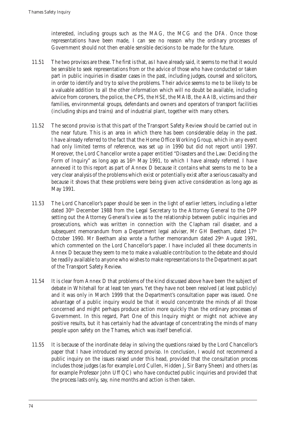interested, including groups such as the MAG, the MCG and the DFA. Once those representations have been made, I can see no reason why the ordinary processes of Government should not then enable sensible decisions to be made for the future.

- 11.51 The two provisos are these. The first is that, as I have already said, it seems to me that it would be sensible to seek representations from or the advice of those who have conducted or taken part in public inquiries in disaster cases in the past, including judges, counsel and solicitors, in order to identify and try to solve the problems. Their advice seems to me to be likely to be a valuable addition to all the other information which will no doubt be available, including advice from coroners, the police, the CPS, the HSE, the MAIB, the AAIB, victims and their families, environmental groups, defendants and owners and operators of transport facilities (including ships and trains) and of industrial plant, together with many others.
- 11.52 The second proviso is that this part of the Transport Safety Review should be carried out in the near future. This is an area in which there has been considerable delay in the past. I have already referred to the fact that the Home Office Working Group, which in any event had only limited terms of reference, was set up in 1990 but did not report until 1997. Moreover, the Lord Chancellor wrote a paper entitled "Disasters and the Law: Deciding the Form of Inquiry" as long ago as  $16<sup>th</sup>$  May 1991, to which I have already referred. I have annexed it to this report as part of Annex D because it contains what seems to me to be a very clear analysis of the problems which exist or potentially exist after a serious casualty and because it shows that these problems were being given active consideration as long ago as May 1991.
- 11.53 The Lord Chancellor's paper should be seen in the light of earlier letters, including a letter dated 30th December 1988 from the Legal Secretary to the Attorney General to the DPP setting out the Attorney General's view as to the relationship between public inquiries and prosecutions, which was written in connection with the Clapham rail disaster, and a subsequent memorandum from a Department legal adviser, Mr GH Beetham, dated 17<sup>th</sup> October 1990. Mr Beetham also wrote a further memorandum dated 29th August 1991, which commented on the Lord Chancellor's paper. I have included all these documents in Annex D because they seem to me to make a valuable contribution to the debate and should be readily available to anyone who wishes to make representations to the Department as part of the Transport Safety Review.
- 11.54 It is clear from Annex D that problems of the kind discussed above have been the subject of debate in Whitehall for at least ten years. Yet they have not been resolved (at least publicly) and it was only in March 1999 that the Department's consultation paper was issued. One advantage of a public inquiry would be that it would concentrate the minds of all those concerned and might perhaps produce action more quickly than the ordinary processes of Government. In this regard, Part One of this Inquiry might or might not achieve any positive results, but it has certainly had the advantage of concentrating the minds of many people upon safety on the Thames, which was itself beneficial.
- 11.55 It is because of the inordinate delay in solving the questions raised by the Lord Chancellor's paper that I have introduced my second proviso. In conclusion, I would not recommend a public inquiry on the issues raised under this head, provided that the consultation process includes those judges (as for example Lord Cullen, Hidden J, Sir Barry Sheen) and others (as for example Professor John Uff QC) who have conducted public inquiries and provided that the process lasts only, say, nine months and action is then taken.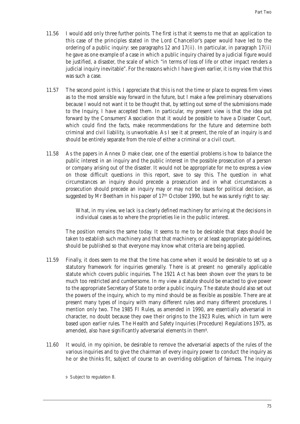- 11.56 I would add only three further points. The first is that it seems to me that an application to this case of the principles stated in the Lord Chancellor's paper would have led to the ordering of a public inquiry: see paragraphs 12 and 17(ii). In particular, in paragraph 17(ii) he gave as one example of a case in which a public inquiry chaired by a judicial figure would be justified, a disaster, the scale of which "in terms of loss of life or other impact renders a judicial inquiry inevitable". For the reasons which I have given earlier, it is my view that this was such a case.
- 11.57 The second point is this. I appreciate that this is not the time or place to express firm views as to the most sensible way forward in the future, but I make a few preliminary observations because I would not want it to be thought that, by setting out some of the submissions made to the Inquiry, I have accepted them. In particular, my present view is that the idea put forward by the Consumers' Association that it would be possible to have a Disaster Court, which could find the facts, make recommendations for the future and determine both criminal and civil liability, is unworkable. As I see it at present, the role of an inquiry is and should be entirely separate from the role of either a criminal or a civil court.
- 11.58 As the papers in Annex D make clear, one of the essential problems is how to balance the public interest in an inquiry and the public interest in the possible prosecution of a person or company arising out of the disaster. It would not be appropriate for me to express a view on those difficult questions in this report, save to say this. The question in what circumstances an inquiry should precede a prosecution and in what circumstances a prosecution should precede an inquiry may or may not be issues for political decision, as suggested by Mr Beetham in his paper of 17<sup>th</sup> October 1990, but he was surely right to say:

What, in my view, we lack is a clearly defined machinery for arriving at the decisions in individual cases as to where the proprieties lie in the public interest.

The position remains the same today. It seems to me to be desirable that steps should be taken to establish such machinery and that that machinery, or at least appropriate guidelines, should be published so that everyone may know what criteria are being applied.

- 11.59 Finally, it does seem to me that the time has come when it would be desirable to set up a statutory framework for inquiries generally. There is at present no generally applicable statute which covers public inquiries. The 1921 Act has been shown over the years to be much too restricted and cumbersome. In my view a statute should be enacted to give power to the appropriate Secretary of State to order a public inquiry. The statute should also set out the powers of the inquiry, which to my mind should be as flexible as possible. There are at present many types of inquiry with many different rules and many different procedures. I mention only two. The 1985 FI Rules, as amended in 1990, are essentially adversarial in character, no doubt because they owe their origins to the 1923 Rules, which in turn were based upon earlier rules. The Health and Safety Inquiries (Procedure) Regulations 1975, as amended, also have significantly adversarial elements in them9.
- 11.60 It would, in my opinion, be desirable to remove the adversarial aspects of the rules of the various inquiries and to give the chairman of every inquiry power to conduct the inquiry as he or she thinks fit, subject of course to an overriding obligation of fairness. The inquiry

<sup>9</sup> Subject to regulation 8.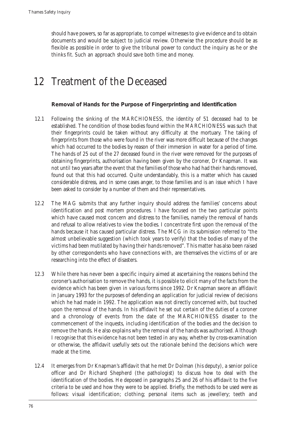should have powers, so far as appropriate, to compel witnesses to give evidence and to obtain documents and would be subject to judicial review. Otherwise the procedure should be as flexible as possible in order to give the tribunal power to conduct the inquiry as he or she thinks fit. Such an approach should save both time and money.

## 12 Treatment of the Deceased

#### **Removal of Hands for the Purpose of Fingerprinting and Identification**

- 12.1 Following the sinking of the MARCHIONESS, the identity of 51 deceased had to be established. The condition of those bodies found within the MARCHIONESS was such that their fingerprints could be taken without any difficulty at the mortuary. The taking of fingerprints from those who were found in the river was more difficult because of the changes which had occurred to the bodies by reason of their immersion in water for a period of time. The hands of 25 out of the 27 deceased found in the river were removed for the purposes of obtaining fingerprints, authorisation having been given by the coroner, Dr Knapman. It was not until two years after the event that the families of those who had had their hands removed, found out that this had occurred. Quite understandably, this is a matter which has caused considerable distress, and in some cases anger, to those families and is an issue which I have been asked to consider by a number of them and their representatives.
- 12.2 The MAG submits that any further inquiry should address the families' concerns about identification and post mortem procedures. I have focused on the two particular points which have caused most concern and distress to the families, namely the removal of hands and refusal to allow relatives to view the bodies. I concentrate first upon the removal of the hands because it has caused particular distress. The MCG in its submission referred to "the almost unbelievable suggestion (which took years to verify) that the bodies of many of the victims had been mutilated by having their hands removed". This matter has also been raised by other correspondents who have connections with, are themselves the victims of or are researching into the effect of disasters.
- 12.3 While there has never been a specific inquiry aimed at ascertaining the reasons behind the coroner's authorisation to remove the hands, it is possible to elicit many of the facts from the evidence which has been given in various forms since 1992. Dr Knapman swore an affidavit in January 1993 for the purposes of defending an application for judicial review of decisions which he had made in 1992. The application was not directly concerned with, but touched upon the removal of the hands. In his affidavit he set out certain of the duties of a coroner and a chronology of events from the date of the MARCHIONESS disaster to the commencement of the inquests, including identification of the bodies and the decision to remove the hands. He also explains why the removal of the hands was authorised. Although I recognise that this evidence has not been tested in any way, whether by cross-examination or otherwise, the affidavit usefully sets out the rationale behind the decisions which were made at the time.
- 12.4 It emerges from Dr Knapman's affidavit that he met Dr Dolman (his deputy), a senior police officer and Dr Richard Shepherd (the pathologist) to discuss how to deal with the identification of the bodies. He deposed in paragraphs 25 and 26 of his affidavit to the five criteria to be used and how they were to be applied. Briefly, the methods to be used were as follows: visual identification; clothing; personal items such as jewellery; teeth and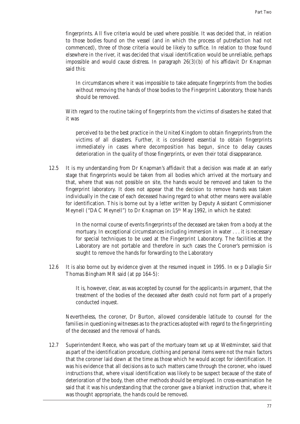fingerprints. All five criteria would be used where possible. It was decided that, in relation to those bodies found on the vessel (and in which the process of putrefaction had not commenced), three of those criteria would be likely to suffice. In relation to those found elsewhere in the river, it was decided that visual identification would be unreliable, perhaps impossible and would cause distress. In paragraph 26(3)(b) of his affidavit Dr Knapman said this:

In circumstances where it was impossible to take adequate fingerprints from the bodies without removing the hands of those bodies to the Fingerprint Laboratory, those hands should be removed.

With regard to the routine taking of fingerprints from the victims of disasters he stated that it was

perceived to be the best practice in the United Kingdom to obtain fingerprints from the victims of all disasters. Further, it is considered essential to obtain fingerprints immediately in cases where decomposition has begun, since to delay causes deterioration in the quality of those fingerprints, or even their total disappearance.

12.5 It is my understanding from Dr Knapman's affidavit that a decision was made at an early stage that fingerprints would be taken from all bodies which arrived at the mortuary and that, where that was not possible on site, the hands would be removed and taken to the fingerprint laboratory. It does not appear that the decision to remove hands was taken individually in the case of each deceased having regard to what other means were available for identification. This is borne out by a letter written by Deputy Assistant Commissioner Meynell ("DAC Meynell") to Dr Knapman on 15th May 1992, in which he stated:

> In the normal course of events fingerprints of the deceased are taken from a body at the mortuary. In exceptional circumstances including immersion in water . . . it is necessary for special techniques to be used at the Fingerprint Laboratory. The facilities at the Laboratory are not portable and therefore in such cases the Coroner's permission is sought to remove the hands for forwarding to the Laboratory

12.6 It is also borne out by evidence given at the resumed inquest in 1995. In *ex p Dallaglio* Sir Thomas Bingham MR said (at pp 164-5):

> It is, however, clear, as was accepted by counsel for the applicants in argument, that the treatment of the bodies of the deceased after death could not form part of a properly conducted inquest.

Nevertheless, the coroner, Dr Burton, allowed considerable latitude to counsel for the families in questioning witnesses as to the practices adopted with regard to the fingerprinting of the deceased and the removal of hands.

12.7 Superintendent Reece, who was part of the mortuary team set up at Westminster, said that as part of the identification procedure, clothing and personal items were not the main factors that the coroner laid down at the time as those which he would accept for identification. It was his evidence that all decisions as to such matters came through the coroner, who issued instructions that, where visual identification was likely to be suspect because of the state of deterioration of the body, then other methods should be employed. In cross-examination he said that it was his understanding that the coroner gave a blanket instruction that, where it was thought appropriate, the hands could be removed.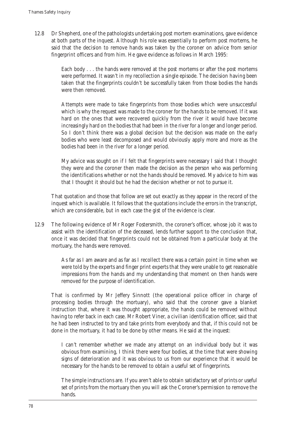12.8 Dr Shepherd, one of the pathologists undertaking post mortem examinations, gave evidence at both parts of the inquest. Although his role was essentially to perform post mortems, he said that the decision to remove hands was taken by the coroner on advice from senior fingerprint officers and from him. He gave evidence as follows in March 1995:

> Each body . . . the hands were removed at the post mortems or after the post mortems were performed. It wasn't in my recollection a single episode. The decision having been taken that the fingerprints couldn't be successfully taken from those bodies the hands were then removed.

> Attempts were made to take fingerprints from those bodies which were unsuccessful which is why the request was made to the coroner for the hands to be removed. If it was hard on the ones that were recovered quickly from the river it would have become increasingly hard on the bodies that had been in the river for a longer and longer period. So I don't think there was a global decision but the decision was made on the early bodies who were least decomposed and would obviously apply more and more as the bodies had been in the river for a longer period.

> My advice was sought on if I felt that fingerprints were necessary I said that I thought they were and the coroner then made the decision as the person who was performing the identifications whether or not the hands should be removed. My advice to him was that I thought it should but he had the decision whether or not to pursue it.

That quotation and those that follow are set out exactly as they appear in the record of the inquest which is available. It follows that the quotations include the errors in the transcript, which are considerable, but in each case the gist of the evidence is clear.

12.9 The following evidence of Mr Roger Fostersmith, the coroner's officer, whose job it was to assist with the identification of the deceased, lends further support to the conclusion that, once it was decided that fingerprints could not be obtained from a particular body at the mortuary, the hands were removed.

> As far as I am aware and as far as I recollect there was a certain point in time when we were told by the experts and finger print experts that they were unable to get reasonable impressions from the hands and my understanding that moment on then hands were removed for the purpose of identification.

That is confirmed by Mr Jeffery Sinnott (the operational police officer in charge of processing bodies through the mortuary), who said that the coroner gave a blanket instruction that, where it was thought appropriate, the hands could be removed without having to refer back in each case. Mr Robert Viner, a civilian identification officer, said that he had been instructed to try and take prints from everybody and that, if this could not be done in the mortuary, it had to be done by other means. He said at the inquest:

I can't remember whether we made any attempt on an individual body but it was obvious from examining, I think there were four bodies, at the time that were showing signs of deterioration and it was obvious to us from our experience that it would be necessary for the hands to be removed to obtain a useful set of fingerprints.

The simple instructions are. If you aren't able to obtain satisfactory set of prints or useful set of prints from the mortuary then you will ask the Coroner's permission to remove the hands.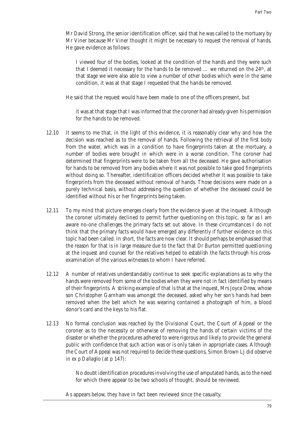Mr David Strong, the senior identification officer, said that he was called to the mortuary by Mr Viner because Mr Viner thought it might be necessary to request the removal of hands. He gave evidence as follows:

I viewed four of the bodies, looked at the condition of the hands and they were such that I deemed it necessary for the hands to be removed  $\ldots$  we returned on the 24<sup>th</sup>, at that stage we were also able to view a number of other bodies which were in the same condition, it was at that stage I requested that the hands be removed.

He said that the request would have been made to one of the officers present, but

it was at that stage that I was informed that the coroner had already given his permission for the hands to be removed.

- 12.10 It seems to me that, in the light of this evidence, it is reasonably clear why and how the decision was reached as to the removal of hands. Following the retrieval of the first body from the water, which was in a condition to have fingerprints taken at the mortuary, a number of bodies were brought in which were in a worse condition. The coroner had determined that fingerprints were to be taken from all the deceased. He gave authorisation for hands to be removed from any bodies where it was not possible to take good fingerprints without doing so. Thereafter, identification officers decided whether it was possible to take fingerprints from the deceased without removal of hands. Those decisions were made on a purely technical basis, without addressing the question of whether the deceased could be identified without his or her fingerprints being taken.
- 12.11 To my mind that picture emerges clearly from the evidence given at the inquest. Although the coroner ultimately declined to permit further questioning on this topic, so far as I am aware no-one challenges the primary facts set out above. In these circumstances I do not think that the primary facts would have emerged any differently if further evidence on this topic had been called. In short, the facts are now clear. It should perhaps be emphasised that the reason for that is in large measure due to the fact that Dr Burton permitted questioning at the inquest and counsel for the relatives helped to establish the facts through his crossexamination of the various witnesses to whom I have referred.
- 12.12 A number of relatives understandably continue to seek specific explanations as to why the hands were removed from some of the bodies when they were not in fact identified by means of their fingerprints. A striking example of that is that at the inquest, Mrs Joyce Drew, whose son Christopher Garnham was amongst the deceased, asked why her son's hands had been removed when the belt which he was wearing contained a photograph of him, a blood donor's card and the keys to his flat.
- 12.13 No formal conclusion was reached by the Divisional Court, the Court of Appeal or the coroner as to the necessity or otherwise of removing the hands of certain victims of the disaster or whether the procedures adhered to were rigorous and likely to provide the general public with confidence that such action was or is only taken in appropriate cases. Although the Court of Appeal was not required to decide these questions, Simon Brown LJ did observe in *ex p Dallaglio* (at p 147):

No doubt identification procedures involving the use of amputated hands, as to the need for which there appear to be two schools of thought, should be reviewed.

As appears below, they have in fact been reviewed since the casualty.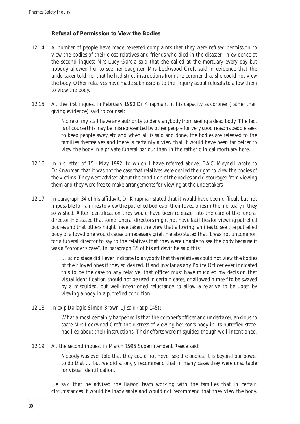## **Refusal of Permission to View the Bodies**

- 12.14 A number of people have made repeated complaints that they were refused permission to view the bodies of their close relatives and friends who died in the disaster. In evidence at the second inquest Mrs Lucy Garcia said that she called at the mortuary every day but nobody allowed her to see her daughter. Mrs Lockwood Croft said in evidence that the undertaker told her that he had strict instructions from the coroner that she could not view the body. Other relatives have made submissions to the Inquiry about refusals to allow them to view the body.
- 12.15 At the first inquest in February 1990 Dr Knapman, in his capacity as coroner (rather than giving evidence) said to counsel:

None of my staff have any authority to deny anybody from seeing a dead body. The fact is of course this may be misrepresented by other people for very good reasons people seek to keep people away etc and when all is said and done, the bodies are released to the families themselves and there is certainly a view that it would have been far better to view the body in a private funeral parlour than in the rather clinical mortuary here.

- 12.16 In his letter of 15th May 1992, to which I have referred above, DAC Meynell wrote to Dr Knapman that it was not the case that relatives were denied the right to view the bodies of the victims. They were advised about the condition of the bodies and discouraged from viewing them and they were free to make arrangements for viewing at the undertakers.
- 12.17 In paragraph 34 of his affidavit, Dr Knapman stated that it would have been difficult but not impossible for families to view the putrefied bodies of their loved ones in the mortuary if they so wished. After identification they would have been released into the care of the funeral director. He stated that some funeral directors might not have facilities for viewing putrefied bodies and that others might have taken the view that allowing families to see the putrefied body of a loved one would cause unnecessary grief. He also stated that it was not uncommon for a funeral director to say to the relatives that they were unable to see the body because it was a "coroner's case". In paragraph 35 of his affidavit he said this:

… at no stage did I ever indicate to anybody that the relatives could not view the bodies of their loved ones if they so desired. If and insofar as any Police Officer ever indicated this to be the case to any relative, that officer must have muddled my decision that visual identification should not be used in certain cases, or allowed himself to be swayed by a misguided, but well-intentioned reluctance to allow a relative to be upset by viewing a body in a putrefied condition

12.18 In *ex p Dallaglio* Simon Brown LJ said (at p 145):

What almost certainly happened is that the coroner's officer and undertaker, anxious to spare Mrs Lockwood Croft the distress of viewing her son's body in its putrefied state, had lied about their instructions. Their efforts were misguided though well-intentioned.

12.19 At the second inquest in March 1995 Superintendent Reece said:

Nobody was ever told that they could not never see the bodies. It is beyond our power to do that … but we did strongly recommend that in many cases they were unsuitable for visual identification.

He said that he advised the liaison team working with the families that in certain circumstances it would be inadvisable and would not recommend that they view the body.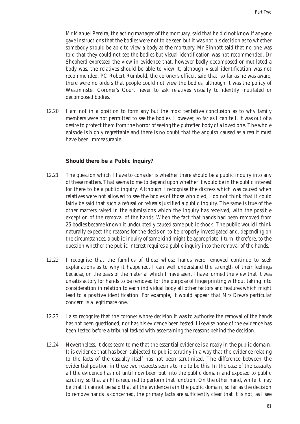Mr Manuel Pereira, the acting manager of the mortuary, said that he did not know if anyone gave instructions that the bodies were not to be seen but it was not his decision as to whether somebody should be able to view a body at the mortuary. Mr Sinnott said that no-one was told that they could not see the bodies but visual identification was not recommended. Dr Shepherd expressed the view in evidence that, however badly decomposed or mutilated a body was, the relatives should be able to view it, although visual identification was not recommended. PC Robert Rumbold, the coroner's officer, said that, so far as he was aware, there were no orders that people could not view the bodies, although it was the policy of Westminster Coroner's Court never to ask relatives visually to identify mutilated or decomposed bodies.

12.20 I am not in a position to form any but the most tentative conclusion as to why family members were not permitted to see the bodies. However, so far as I can tell, it was out of a desire to protect them from the horror of seeing the putrefied body of a loved one. The whole episode is highly regrettable and there is no doubt that the anguish caused as a result must have been immeasurable.

## **Should there be a Public Inquiry?**

- 12.21 The question which I have to consider is whether there should be a public inquiry into any of these matters. That seems to me to depend upon whether it would be in the public interest for there to be a public inquiry. Although I recognise the distress which was caused when relatives were not allowed to see the bodies of those who died, I do not think that it could fairly be said that such a refusal or refusals justified a public inquiry. The same is true of the other matters raised in the submissions which the Inquiry has received, with the possible exception of the removal of the hands. When the fact that hands had been removed from 25 bodies became known it undoubtedly caused some public shock. The public would I think naturally expect the reasons for the decision to be properly investigated and, depending on the circumstances, a public inquiry of some kind might be appropriate. I turn, therefore, to the question whether the public interest requires a public inquiry into the removal of the hands.
- 12.22 I recognise that the families of those whose hands were removed continue to seek explanations as to why it happened. I can well understand the strength of their feelings because, on the basis of the material which I have seen, I have formed the view that it was unsatisfactory for hands to be removed for the purpose of fingerprinting without taking into consideration in relation to each individual body all other factors and features which might lead to a positive identification. For example, it would appear that Mrs Drew's particular concern is a legitimate one.
- 12.23 I also recognise that the coroner whose decision it was to authorise the removal of the hands has not been questioned, nor has his evidence been tested. Likewise none of the evidence has been tested before a tribunal tasked with ascertaining the reasons behind the decision.
- 12.24 Nevertheless, it does seem to me that the essential evidence is already in the public domain. It is evidence that has been subjected to public scrutiny in a way that the evidence relating to the facts of the casualty itself has not been scrutinised. The difference between the evidential position in these two respects seems to me to be this. In the case of the casualty all the evidence has not until now been put into the public domain and exposed to public scrutiny, so that an FI is required to perform that function. On the other hand, while it may be that it cannot be said that all the evidence is in the public domain, so far as the decision to remove hands is concerned, the primary facts are sufficiently clear that it is not, as I see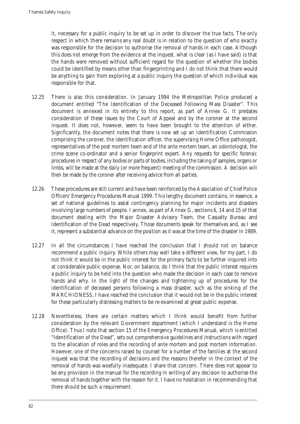it, necessary for a public inquiry to be set up in order to discover the true facts. The only respect in which there remains any real doubt is in relation to the question of who exactly was responsible for the decision to authorise the removal of hands in each case. Although this does not emerge from the evidence at the inquest, what is clear (as I have said) is that the hands were removed without sufficient regard for the question of whether the bodies could be identified by means other than fingerprinting and I do not think that there would be anything to gain from exploring at a public inquiry the question of which individual was responsible for that.

- 12.25 There is also this consideration. In January 1994 the Metropolitan Police produced a document entitled "The Identification of the Deceased Following Mass Disaster". This document is annexed in its entirety to this report, as part of Annex G. It predates consideration of these issues by the Court of Appeal and by the coroner at the second inquest. It does not, however, seem to have been brought to the attention of either. Significantly, the document notes that there is now set up an Identification Commission comprising the coroner, the identification officer, the supervising Home Office pathologist, representatives of the post mortem team and of the ante mortem team, an odontologist, the crime scene co-ordinator and a senior fingerprint expert. Any requests for specific forensic procedures in respect of any bodies or parts of bodies, including the taking of samples, organs or limbs, will be made at the daily (or more frequent) meeting of the commission. A decision will then be made by the coroner after receiving advice from all parties.
- 12.26 These procedures are still current and have been reinforced by the Association of Chief Police Officers' Emergency Procedures Manual 1999. This lengthy document contains, in essence, a set of national guidelines to assist contingency planning for major incidents and disasters involving large numbers of people. I annex, as part of Annex G, sections 6, 14 and 15 of that document dealing with the Major Disaster Advisory Team, the Casualty Bureau and Identification of the Dead respectively. Those documents speak for themselves and, as I see it, represent a substantial advance on the position as it was at the time of the disaster in 1989.
- 12.27 In all the circumstances I have reached the conclusion that I should not on balance recommend a public inquiry. While others may well take a different view, for my part, I do not think it would be in the public interest for the primary facts to be further inquired into at considerable public expense. Nor, on balance, do I think that the public interest requires a public inquiry to be held into the question who made the decision in each case to remove hands and why. In the light of the changes and tightening up of procedures for the identification of deceased persons following a mass disaster, such as the sinking of the MARCHIONESS, I have reached the conclusion that it would not be in the public interest for these particularly distressing matters to be re-examined at great public expense.
- 12.28 Nevertheless, there are certain matters which I think would benefit from further consideration by the relevant Government department (which I understand is the Home Office). Thus I note that section 15 of the Emergency Procedures Manual, which is entitled "Identification of the Dead", sets out comprehensive guidelines and instructions with regard to the allocation of roles and the recording of ante mortem and post mortem information. However, one of the concerns raised by counsel for a number of the families at the second inquest was that the recording of decisions and the reasons therefor in the context of the removal of hands was woefully inadequate. I share that concern. There does not appear to be any provision in the manual for the recording in writing of any decision to authorise the removal of hands together with the reason for it. I have no hesitation in recommending that there should be such a requirement.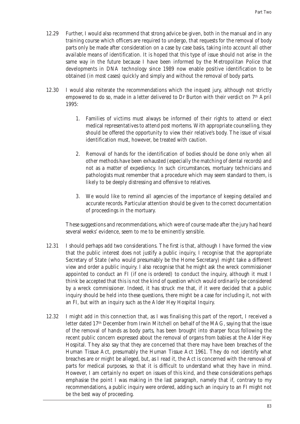- 12.29 Further, I would also recommend that strong advice be given, both in the manual and in any training course which officers are required to undergo, that requests for the removal of body parts only be made after consideration on a case by case basis, taking into account all other available means of identification. It is hoped that this type of issue should not arise in the same way in the future because I have been informed by the Metropolitan Police that developments in DNA technology since 1989 now enable positive identification to be obtained (in most cases) quickly and simply and without the removal of body parts.
- 12.30 I would also reiterate the recommendations which the inquest jury, although not strictly empowered to do so, made in a letter delivered to Dr Burton with their verdict on 7th April 1995:
	- 1. Families of victims must always be informed of their rights to attend or elect medical representatives to attend post mortems. With appropriate counselling, they should be offered the opportunity to view their relative's body. The issue of visual identification must, however, be treated with caution.
	- 2. Removal of hands for the identification of bodies should be done only when all other methods have been exhausted (especially the matching of dental records) and not as a matter of expediency. In such circumstances, mortuary technicians and pathologists must remember that a procedure which may seem standard to them, is likely to be deeply distressing and offensive to relatives.
	- 3. We would like to remind all agencies of the importance of keeping detailed and accurate records. Particular attention should be given to the correct documentation of proceedings in the mortuary.

These suggestions and recommendations, which were of course made after the jury had heard several weeks' evidence, seem to me to be eminently sensible.

- 12.31 I should perhaps add two considerations. The first is that, although I have formed the view that the public interest does not justify a public inquiry, I recognise that the appropriate Secretary of State (who would presumably be the Home Secretary) might take a different view and order a public inquiry. I also recognise that he might ask the wreck commissioner appointed to conduct an FI (if one is ordered) to conduct the inquiry, although it must I think be accepted that this is not the kind of question which would ordinarily be considered by a wreck commissioner. Indeed, it has struck me that, if it were decided that a public inquiry should be held into these questions, there might be a case for including it, not with an FI, but with an inquiry such as the Alder Hey Hospital Inquiry.
- 12.32 I might add in this connection that, as I was finalising this part of the report, I received a letter dated 17th December from Irwin Mitchell on behalf of the MAG, saying that the issue of the removal of hands as body parts, has been brought into sharper focus following the recent public concern expressed about the removal of organs from babies at the Alder Hey Hospital. They also say that they are concerned that there may have been breaches of the Human Tissue Act, presumably the Human Tissue Act 1961. They do not identify what breaches are or might be alleged, but, as I read it, the Act is concerned with the removal of parts for medical purposes, so that it is difficult to understand what they have in mind. However, I am certainly no expert on issues of this kind, and these considerations perhaps emphasise the point I was making in the last paragraph, namely that if, contrary to my recommendations, a public inquiry were ordered, adding such an inquiry to an FI might not be the best way of proceeding.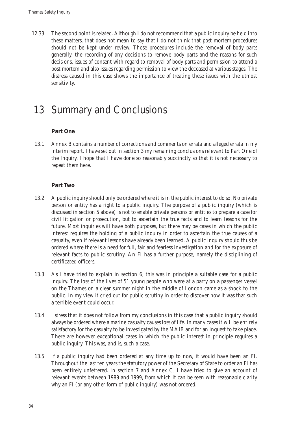12.33 The second point is related. Although I do not recommend that a public inquiry be held into these matters, that does not mean to say that I do not think that post mortem procedures should not be kept under review. Those procedures include the removal of body parts generally, the recording of any decisions to remove body parts and the reasons for such decisions, issues of consent with regard to removal of body parts and permission to attend a post mortem and also issues regarding permission to view the deceased at various stages. The distress caused in this case shows the importance of treating these issues with the utmost sensitivity.

# 13 Summary and Conclusions

## **Part One**

13.1 Annex B contains a number of corrections and comments on errata and alleged errata in my interim report. I have set out in section 3 my remaining conclusions relevant to Part One of the Inquiry. I hope that I have done so reasonably succinctly so that it is not necessary to repeat them here.

## **Part Two**

- 13.2 A public inquiry should only be ordered where it is in the public interest to do so. No private person or entity has a right to a public inquiry. The purpose of a public inquiry (which is discussed in section 5 above) is not to enable private persons or entities to prepare a case for civil litigation or prosecution, but to ascertain the true facts and to learn lessons for the future. Most inquiries will have both purposes, but there may be cases in which the public interest requires the holding of a public inquiry in order to ascertain the true causes of a casualty, even if relevant lessons have already been learned. A public inquiry should thus be ordered where there is a need for full, fair and fearless investigation and for the exposure of relevant facts to public scrutiny. An FI has a further purpose, namely the disciplining of certificated officers.
- 13.3 As I have tried to explain in section 6, this was in principle a suitable case for a public inquiry. The loss of the lives of 51 young people who were at a party on a passenger vessel on the Thames on a clear summer night in the middle of London came as a shock to the public. In my view it cried out for public scrutiny in order to discover how it was that such a terrible event could occur.
- 13.4 I stress that it does not follow from my conclusions in this case that a public inquiry should always be ordered where a marine casualty causes loss of life. In many cases it will be entirely satisfactory for the casualty to be investigated by the MAIB and for an inquest to take place. There are however exceptional cases in which the public interest in principle requires a public inquiry. This was, and is, such a case.
- 13.5 If a public inquiry had been ordered at any time up to now, it would have been an FI. Throughout the last ten years the statutory power of the Secretary of State to order an FI has been entirely unfettered. In section 7 and Annex C, I have tried to give an account of relevant events between 1989 and 1999, from which it can be seen with reasonable clarity why an FI (or any other form of public inquiry) was not ordered.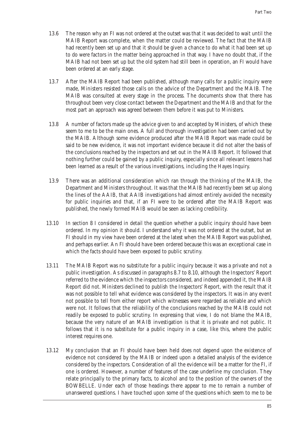- 13.6 The reason why an FI was not ordered at the outset was that it was decided to wait until the MAIB Report was complete, when the matter could be reviewed. The fact that the MAIB had recently been set up and that it should be given a chance to do what it had been set up to do were factors in the matter being approached in that way. I have no doubt that, if the MAIB had not been set up but the old system had still been in operation, an FI would have been ordered at an early stage.
- 13.7 After the MAIB Report had been published, although many calls for a public inquiry were made, Ministers resisted those calls on the advice of the Department and the MAIB. The MAIB was consulted at every stage in the process. The documents show that there has throughout been very close contact between the Department and the MAIB and that for the most part an approach was agreed between them before it was put to Ministers.
- 13.8 A number of factors made up the advice given to and accepted by Ministers, of which these seem to me to be the main ones. A full and thorough investigation had been carried out by the MAIB. Although some evidence produced after the MAIB Report was made could be said to be new evidence, it was not important evidence because it did not alter the basis of the conclusions reached by the inspectors and set out in the MAIB Report. It followed that nothing further could be gained by a public inquiry, especially since all relevant lessons had been learned as a result of the various investigations, including the Hayes Inquiry.
- 13.9 There was an additional consideration which ran through the thinking of the MAIB, the Department and Ministers throughout. It was that the MAIB had recently been set up along the lines of the AAIB, that AAIB investigations had almost entirely avoided the necessity for public inquiries and that, if an FI were to be ordered after the MAIB Report was published, the newly formed MAIB would be seen as lacking credibility.
- 13.10 In section 8 I considered in detail the question whether a public inquiry should have been ordered. In my opinion it should. I understand why it was not ordered at the outset, but an FI should in my view have been ordered at the latest when the MAIB Report was published, and perhaps earlier. An FI should have been ordered because this was an exceptional case in which the facts should have been exposed to public scrutiny.
- 13.11 The MAIB Report was no substitute for a public inquiry because it was a private and not a public investigation. As discussed in paragraphs 8.7 to 8.10, although the Inspectors' Report referred to the evidence which the inspectors considered, and indeed appended it, the MAIB Report did not. Ministers declined to publish the Inspectors' Report, with the result that it was not possible to tell what evidence was considered by the inspectors. It was in any event not possible to tell from either report which witnesses were regarded as reliable and which were not. It follows that the reliability of the conclusions reached by the MAIB could not readily be exposed to public scrutiny. In expressing that view, I do not blame the MAIB, because the very nature of an MAIB investigation is that it is private and not public. It follows that it is no substitute for a public inquiry in a case, like this, where the public interest requires one.
- 13.12 My conclusion that an FI should have been held does not depend upon the existence of evidence not considered by the MAIB or indeed upon a detailed analysis of the evidence considered by the inspectors. Consideration of all the evidence will be a matter for the FI, if one is ordered. However, a number of features of the case underline my conclusion. They relate principally to the primary facts, to alcohol and to the position of the owners of the BOWBELLE. Under each of those headings there appear to me to remain a number of unanswered questions. I have touched upon some of the questions which seem to me to be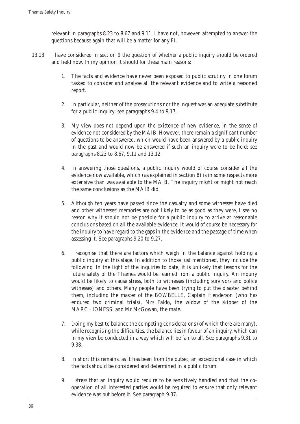relevant in paragraphs 8.23 to 8.67 and 9.11. I have not, however, attempted to answer the questions because again that will be a matter for any FI.

- 13.13 I have considered in section 9 the question of whether a public inquiry should be ordered and held now. In my opinion it should for these main reasons:
	- 1. The facts and evidence have never been exposed to public scrutiny in one forum tasked to consider and analyse all the relevant evidence and to write a reasoned report.
	- 2. In particular, neither of the prosecutions nor the inquest was an adequate substitute for a public inquiry: see paragraphs 9.4 to 9.17.
	- 3. My view does not depend upon the existence of new evidence, in the sense of evidence not considered by the MAIB. However, there remain a significant number of questions to be answered, which would have been answered by a public inquiry in the past and would now be answered if such an inquiry were to be held: see paragraphs 8.23 to 8.67, 9.11 and 13.12.
	- 4. In answering those questions, a public inquiry would of course consider all the evidence now available, which (as explained in section 8) is in some respects more extensive than was available to the MAIB. The inquiry might or might not reach the same conclusions as the MAIB did.
	- 5. Although ten years have passed since the casualty and some witnesses have died and other witnesses' memories are not likely to be as good as they were, I see no reason why it should not be possible for a public inquiry to arrive at reasonable conclusions based on all the available evidence. It would of course be necessary for the inquiry to have regard to the gaps in the evidence and the passage of time when assessing it. See paragraphs 9.20 to 9.27.
	- 6. I recognise that there are factors which weigh in the balance against holding a public inquiry at this stage. In addition to those just mentioned, they include the following. In the light of the inquiries to date, it is unlikely that lessons for the future safety of the Thames would be learned from a public inquiry. An inquiry would be likely to cause stress, both to witnesses (including survivors and police witnesses) and others. Many people have been trying to put the disaster behind them, including the master of the BOWBELLE, Captain Henderson (who has endured two criminal trials), Mrs Faldo, the widow of the skipper of the MARCHIONESS, and Mr McGowan, the mate.
	- 7. Doing my best to balance the competing considerations (of which there are many), while recognising the difficulties, the balance lies in favour of an inquiry, which can in my view be conducted in a way which will be fair to all. See paragraphs 9.31 to 9.38.
	- 8. In short this remains, as it has been from the outset, an exceptional case in which the facts should be considered and determined in a public forum.
	- 9. I stress that an inquiry would require to be sensitively handled and that the cooperation of all interested parties would be required to ensure that only relevant evidence was put before it. See paragraph 9.37.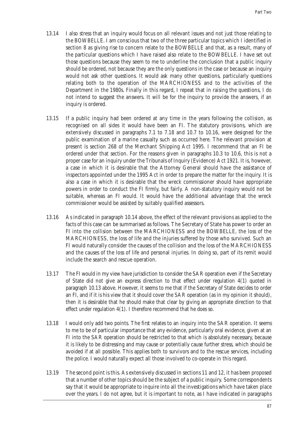- 13.14 I also stress that an inquiry would focus on all relevant issues and not just those relating to the BOWBELLE. I am conscious that two of the three particular topics which I identified in section 8 as giving rise to concern relate to the BOWBELLE and that, as a result, many of the particular questions which I have raised also relate to the BOWBELLE. I have set out those questions because they seem to me to underline the conclusion that a public inquiry should be ordered, not because they are the only questions in the case or because an inquiry would not ask other questions. It would ask many other questions, particularly questions relating both to the operation of the MARCHIONESS and to the activities of the Department in the 1980s. Finally in this regard, I repeat that in raising the questions, I do not intend to suggest the answers. It will be for the inquiry to provide the answers, if an inquiry is ordered.
- 13.15 If a public inquiry had been ordered at any time in the years following the collision, as recognised on all sides it would have been an FI. The statutory provisions, which are extensively discussed in paragraphs 7.1 to 7.18 and 10.7 to 10.16, were designed for the public examination of a marine casualty such as occurred here. The relevant provision at present is section 268 of the Merchant Shipping Act 1995. I recommend that an FI be ordered under that section. For the reasons given in paragraphs 10.3 to 10.6, this is not a proper case for an inquiry under the Tribunals of Inquiry (Evidence) Act 1921. It is, however, a case in which it is desirable that the Attorney General should have the assistance of inspectors appointed under the 1995 Act in order to prepare the matter for the inquiry. It is also a case in which it is desirable that the wreck commissioner should have appropriate powers in order to conduct the FI firmly, but fairly. A non-statutory inquiry would not be suitable, whereas an FI would. It would have the additional advantage that the wreck commissioner would be assisted by suitably qualified assessors.
- 13.16 As indicated in paragraph 10.14 above, the effect of the relevant provisions as applied to the facts of this case can be summarised as follows. The Secretary of State has power to order an FI into the collision between the MARCHIONESS and the BOWBELLE, the loss of the MARCHIONESS, the loss of life and the injuries suffered by those who survived. Such an FI would naturally consider the causes of the collision and the loss of the MARCHIONESS and the causes of the loss of life and personal injuries. In doing so, part of its remit would include the search and rescue operation.
- 13.17 The FI would in my view have jurisdiction to consider the SAR operation even if the Secretary of State did not give an express direction to that effect under regulation 4(1) quoted in paragraph 10.13 above. However, it seems to me that if the Secretary of State decides to order an FI, and if it is his view that it should cover the SAR operation (as in my opinion it should), then it is desirable that he should make that clear by giving an appropriate direction to that effect under regulation 4(1). I therefore recommend that he does so.
- 13.18 I would only add two points. The first relates to an inquiry into the SAR operation. It seems to me to be of particular importance that any evidence, particularly oral evidence, given at an FI into the SAR operation should be restricted to that which is absolutely necessary, because it is likely to be distressing and may cause or potentially cause further stress, which should be avoided if at all possible. This applies both to survivors and to the rescue services, including the police. I would naturally expect all those involved to co-operate in this regard.
- 13.19 The second point is this. As extensively discussed in sections 11 and 12, it has been proposed that a number of other topics should be the subject of a public inquiry. Some correspondents say that it would be appropriate to inquire into all the investigations which have taken place over the years. I do not agree, but it is important to note, as I have indicated in paragraphs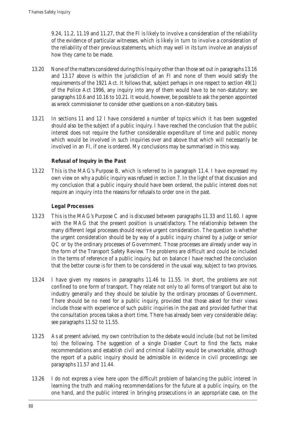9.24, 11.2, 11.19 and 11.27, that the FI is likely to involve a consideration of the reliability of the evidence of particular witnesses, which is likely in turn to involve a consideration of the reliability of their previous statements, which may well in its turn involve an analysis of how they came to be made.

- 13.20 None of the matters considered during this Inquiry other than those set out in paragraphs 13.16 and 13.17 above is within the jurisdiction of an FI and none of them would satisfy the requirements of the 1921 Act. It follows that, subject perhaps in one respect to section 49(1) of the Police Act 1996, any inquiry into any of them would have to be non-statutory: see paragraphs 10.6 and 10.16 to 10.21. It would, however, be possible to ask the person appointed as wreck commissioner to consider other questions on a non-statutory basis.
- 13.21 In sections 11 and 12 I have considered a number of topics which it has been suggested should also be the subject of a public inquiry. I have reached the conclusion that the public interest does not require the further considerable expenditure of time and public money which would be involved in such inquiries over and above that which will necessarily be involved in an FI, if one is ordered. My conclusions may be summarised in this way.

## **Refusal of Inquiry in the Past**

13.22 This is the MAG's Purpose B, which is referred to in paragraph 11.4. I have expressed my own view on why a public inquiry was refused in section 7. In the light of that discussion and my conclusion that a public inquiry should have been ordered, the public interest does not require an inquiry into the reasons for refusals to order one in the past.

#### **Legal Processes**

- 13.23 This is the MAG's Purpose C and is discussed between paragraphs 11.33 and 11.60. I agree with the MAG that the present position is unsatisfactory. The relationship between the many different legal processes should receive urgent consideration. The question is whether the urgent consideration should be by way of a public inquiry chaired by a judge or senior QC or by the ordinary processes of Government. Those processes are already under way in the form of the Transport Safety Review. The problems are difficult and could be included in the terms of reference of a public inquiry, but on balance I have reached the conclusion that the better course is for them to be considered in the usual way, subject to two provisos.
- 13.24 I have given my reasons in paragraphs 11.46 to 11.55. In short, the problems are not confined to one form of transport. They relate not only to all forms of transport but also to industry generally and they should be soluble by the ordinary processes of Government. There should be no need for a public inquiry, provided that those asked for their views include those with experience of such public inquiries in the past and provided further that the consultation process takes a short time. There has already been very considerable delay: see paragraphs 11.52 to 11.55.
- 13.25 As at present advised, my own contribution to the debate would include (but not be limited to) the following. The suggestion of a single Disaster Court to find the facts, make recommendations and establish civil and criminal liability would be unworkable, although the report of a public inquiry should be admissible in evidence in civil proceedings: see paragraphs 11.57 and 11.44.
- 13.26 I do not express a view here upon the difficult problem of balancing the public interest in learning the truth and making recommendations for the future at a public inquiry, on the one hand, and the public interest in bringing prosecutions in an appropriate case, on the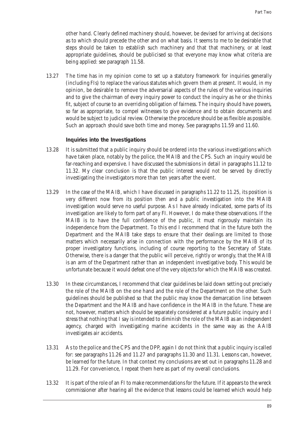other hand. Clearly defined machinery should, however, be devised for arriving at decisions as to which should precede the other and on what basis. It seems to me to be desirable that steps should be taken to establish such machinery and that that machinery, or at least appropriate guidelines, should be publicised so that everyone may know what criteria are being applied: see paragraph 11.58.

13.27 The time has in my opinion come to set up a statutory framework for inquiries generally (including FIs) to replace the various statutes which govern them at present. It would, in my opinion, be desirable to remove the adversarial aspects of the rules of the various inquiries and to give the chairman of every inquiry power to conduct the inquiry as he or she thinks fit, subject of course to an overriding obligation of fairness. The inquiry should have powers, so far as appropriate, to compel witnesses to give evidence and to obtain documents and would be subject to judicial review. Otherwise the procedure should be as flexible as possible. Such an approach should save both time and money. See paragraphs 11.59 and 11.60.

#### **Inquiries into the Investigations**

- 13.28 It is submitted that a public inquiry should be ordered into the various investigations which have taken place, notably by the police, the MAIB and the CPS. Such an inquiry would be far-reaching and expensive. I have discussed the submissions in detail in paragraphs 11.12 to 11.32. My clear conclusion is that the public interest would not be served by directly investigating the investigators more than ten years after the event.
- 13.29 In the case of the MAIB, which I have discussed in paragraphs 11.22 to 11.25, its position is very different now from its position then and a public investigation into the MAIB investigation would serve no useful purpose. As I have already indicated, some parts of its investigation are likely to form part of any FI. However, I do make these observations. If the MAIB is to have the full confidence of the public, it must rigorously maintain its independence from the Department. To this end I recommend that in the future both the Department and the MAIB take steps to ensure that their dealings are limited to those matters which necessarily arise in connection with the performance by the MAIB of its proper investigatory functions, including of course reporting to the Secretary of State. Otherwise, there is a danger that the public will perceive, rightly or wrongly, that the MAIB is an arm of the Department rather than an independent investigative body. This would be unfortunate because it would defeat one of the very objects for which the MAIB was created.
- 13.30 In these circumstances, I recommend that clear guidelines be laid down setting out precisely the role of the MAIB on the one hand and the role of the Department on the other. Such guidelines should be published so that the public may know the demarcation line between the Department and the MAIB and have confidence in the MAIB in the future. These are not, however, matters which should be separately considered at a future public inquiry and I stress that nothing that I say is intended to diminish the role of the MAIB as an independent agency, charged with investigating marine accidents in the same way as the AAIB investigates air accidents.
- 13.31 As to the police and the CPS and the DPP, again I do not think that a public inquiry is called for: see paragraphs 11.26 and 11.27 and paragraphs 11.30 and 11.31. Lessons can, however, be learned for the future. In that context my conclusions are set out in paragraphs 11.28 and 11.29. For convenience, I repeat them here as part of my overall conclusions.
- 13.32 It is part of the role of an FI to make recommendations for the future. If it appears to the wreck commissioner after hearing all the evidence that lessons could be learned which would help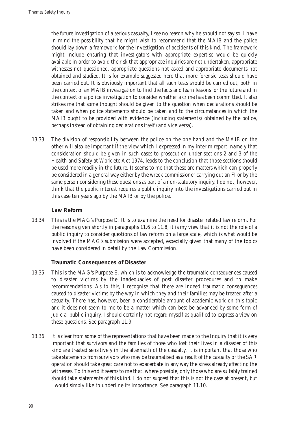the future investigation of a serious casualty, I see no reason why he should not say so. I have in mind the possibility that he might wish to recommend that the MAIB and the police should lay down a framework for the investigation of accidents of this kind. The framework might include ensuring that investigators with appropriate expertise would be quickly available in order to avoid the risk that appropriate inquiries are not undertaken, appropriate witnesses not questioned, appropriate questions not asked and appropriate documents not obtained and studied. It is for example suggested here that more forensic tests should have been carried out. It is obviously important that all such tests should be carried out, both in the context of an MAIB investigation to find the facts and learn lessons for the future and in the context of a police investigation to consider whether a crime has been committed. It also strikes me that some thought should be given to the question when declarations should be taken and when police statements should be taken and to the circumstances in which the MAIB ought to be provided with evidence (including statements) obtained by the police, perhaps instead of obtaining declarations itself (and vice versa).

13.33 The division of responsibility between the police on the one hand and the MAIB on the other will also be important if the view which I expressed in my interim report, namely that consideration should be given in such cases to prosecution under sections 2 and 3 of the Health and Safety at Work etc Act 1974, leads to the conclusion that those sections should be used more readily in the future. It seems to me that these are matters which can properly be considered in a general way either by the wreck commissioner carrying out an FI or by the same person considering these questions as part of a non-statutory inquiry. I do not, however, think that the public interest requires a public inquiry into the investigations carried out in this case ten years ago by the MAIB or by the police.

#### **Law Reform**

13.34 This is the MAG's Purpose D. It is to examine the need for disaster related law reform. For the reasons given shortly in paragraphs 11.6 to 11.8, it is my view that it is not the role of a public inquiry to consider questions of law reform on a large scale, which is what would be involved if the MAG's submission were accepted, especially given that many of the topics have been considered in detail by the Law Commission.

#### **Traumatic Consequences of Disaster**

- 13.35 This is the MAG's Purpose E, which is to acknowledge the traumatic consequences caused to disaster victims by the inadequacies of post disaster procedures and to make recommendations. As to this, I recognise that there are indeed traumatic consequences caused to disaster victims by the way in which they and their families may be treated after a casualty. There has, however, been a considerable amount of academic work on this topic and it does not seem to me to be a matter which can best be advanced by some form of judicial public inquiry. I should certainly not regard myself as qualified to express a view on these questions. See paragraph 11.9.
- 13.36 It is clear from some of the representations that have been made to the Inquiry that it is very important that survivors and the families of those who lost their lives in a disaster of this kind are treated sensitively in the aftermath of the casualty. It is important that those who take statements from survivors who may be traumatised as a result of the casualty or the SAR operation should take great care not to exacerbate in any way the stress already affecting the witnesses. To this end it seems to me that, where possible, only those who are suitably trained should take statements of this kind. I do not suggest that this is not the case at present, but I would simply like to underline its importance. See paragraph 11.10.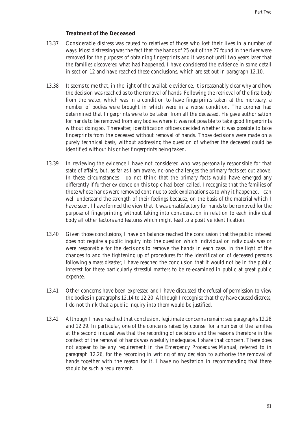**Treatment of the Deceased**

- 13.37 Considerable distress was caused to relatives of those who lost their lives in a number of ways. Most distressing was the fact that the hands of 25 out of the 27 found in the river were removed for the purposes of obtaining fingerprints and it was not until two years later that the families discovered what had happened. I have considered the evidence in some detail in section 12 and have reached these conclusions, which are set out in paragraph 12.10.
- 13.38 It seems to me that, in the light of the available evidence, it is reasonably clear why and how the decision was reached as to the removal of hands. Following the retrieval of the first body from the water, which was in a condition to have fingerprints taken at the mortuary, a number of bodies were brought in which were in a worse condition. The coroner had determined that fingerprints were to be taken from all the deceased. He gave authorisation for hands to be removed from any bodies where it was not possible to take good fingerprints without doing so. Thereafter, identification officers decided whether it was possible to take fingerprints from the deceased without removal of hands. Those decisions were made on a purely technical basis, without addressing the question of whether the deceased could be identified without his or her fingerprints being taken.
- 13.39 In reviewing the evidence I have not considered who was personally responsible for that state of affairs, but, as far as I am aware, no-one challenges the primary facts set out above. In these circumstances I do not think that the primary facts would have emerged any differently if further evidence on this topic had been called. I recognise that the families of those whose hands were removed continue to seek explanations as to why it happened. I can well understand the strength of their feelings because, on the basis of the material which I have seen, I have formed the view that it was unsatisfactory for hands to be removed for the purpose of fingerprinting without taking into consideration in relation to each individual body all other factors and features which might lead to a positive identification.
- 13.40 Given those conclusions, I have on balance reached the conclusion that the public interest does not require a public inquiry into the question which individual or individuals was or were responsible for the decisions to remove the hands in each case. In the light of the changes to and the tightening up of procedures for the identification of deceased persons following a mass disaster, I have reached the conclusion that it would not be in the public interest for these particularly stressful matters to be re-examined in public at great public expense.
- 13.41 Other concerns have been expressed and I have discussed the refusal of permission to view the bodies in paragraphs 12.14 to 12.20. Although I recognise that they have caused distress, I do not think that a public inquiry into them would be justified.
- 13.42 Although I have reached that conclusion, legitimate concerns remain: see paragraphs 12.28 and 12.29. In particular, one of the concerns raised by counsel for a number of the families at the second inquest was that the recording of decisions and the reasons therefore in the context of the removal of hands was woefully inadequate. I share that concern. There does not appear to be any requirement in the Emergency Procedures Manual, referred to in paragraph 12.26, for the recording in writing of any decision to authorise the removal of hands together with the reason for it. I have no hesitation in recommending that there should be such a requirement.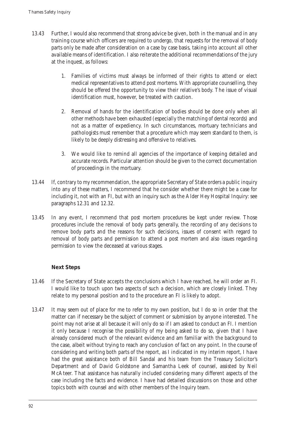- 13.43 Further, I would also recommend that strong advice be given, both in the manual and in any training course which officers are required to undergo, that requests for the removal of body parts only be made after consideration on a case by case basis, taking into account all other available means of identification. I also reiterate the additional recommendations of the jury at the inquest, as follows:
	- 1. Families of victims must always be informed of their rights to attend or elect medical representatives to attend post mortems. With appropriate counselling, they should be offered the opportunity to view their relative's body. The issue of visual identification must, however, be treated with caution.
	- 2. Removal of hands for the identification of bodies should be done only when all other methods have been exhausted (especially the matching of dental records) and not as a matter of expediency. In such circumstances, mortuary technicians and pathologists must remember that a procedure which may seem standard to them, is likely to be deeply distressing and offensive to relatives.
	- 3. We would like to remind all agencies of the importance of keeping detailed and accurate records. Particular attention should be given to the correct documentation of proceedings in the mortuary.
- 13.44 If, contrary to my recommendation, the appropriate Secretary of State orders a public inquiry into any of these matters, I recommend that he consider whether there might be a case for including it, not with an FI, but with an inquiry such as the Alder Hey Hospital Inquiry: see paragraphs 12.31 and 12.32.
- 13.45 In any event, I recommend that post mortem procedures be kept under review. Those procedures include the removal of body parts generally, the recording of any decisions to remove body parts and the reasons for such decisions, issues of consent with regard to removal of body parts and permission to attend a post mortem and also issues regarding permission to view the deceased at various stages.

#### **Next Steps**

- 13.46 If the Secretary of State accepts the conclusions which I have reached, he will order an FI. I would like to touch upon two aspects of such a decision, which are closely linked. They relate to my personal position and to the procedure an FI is likely to adopt.
- 13.47 It may seem out of place for me to refer to my own position, but I do so in order that the matter can if necessary be the subject of comment or submission by anyone interested. The point may not arise at all because it will only do so if I am asked to conduct an FI. I mention it only because I recognise the possibility of my being asked to do so, given that I have already considered much of the relevant evidence and am familiar with the background to the case, albeit without trying to reach any conclusion of fact on any point. In the course of considering and writing both parts of the report, as I indicated in my interim report, I have had the great assistance both of Bill Sandal and his team from the Treasury Solicitor's Department and of David Goldstone and Samantha Leek of counsel, assisted by Neil McAteer. That assistance has naturally included considering many different aspects of the case including the facts and evidence. I have had detailed discussions on those and other topics both with counsel and with other members of the Inquiry team.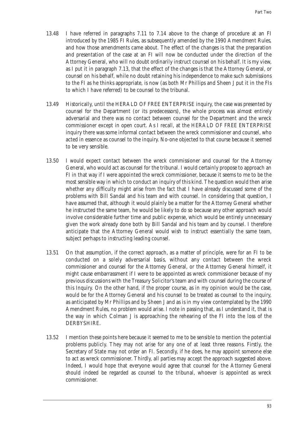- 13.48 I have referred in paragraphs 7.11 to 7.14 above to the change of procedure at an FI introduced by the 1985 FI Rules, as subsequently amended by the 1990 Amendment Rules, and how those amendments came about. The effect of the changes is that the preparation and presentation of the case at an FI will now be conducted under the direction of the Attorney General, who will no doubt ordinarily instruct counsel on his behalf. It is my view, as I put it in paragraph 7.13, that the effect of the changes is that the Attorney General, or counsel on his behalf, while no doubt retaining his independence to make such submissions to the FI as he thinks appropriate, is now (as both Mr Phillips and Sheen J put it in the FIs to which I have referred) to be counsel to the tribunal.
- 13.49 Historically, until the HERALD OF FREE ENTERPRISE inquiry, the case was presented by counsel for the Department (or its predecessors), the whole process was almost entirely adversarial and there was no contact between counsel for the Department and the wreck commissioner except in open court. As I recall, at the HERALD OF FREE ENTERPRISE inquiry there was some informal contact between the wreck commissioner and counsel, who acted in essence as counsel to the inquiry. No-one objected to that course because it seemed to be very sensible.
- 13.50 I would expect contact between the wreck commissioner and counsel for the Attorney General, who would act as counsel for the tribunal. I would certainly propose to approach an FI in that way if I were appointed the wreck commissioner, because it seems to me to be the most sensible way in which to conduct an inquiry of this kind. The question would then arise whether any difficulty might arise from the fact that I have already discussed some of the problems with Bill Sandal and his team and with counsel. In considering that question, I have assumed that, although it would plainly be a matter for the Attorney General whether he instructed the same team, he would be likely to do so because any other approach would involve considerable further time and public expense, which would be entirely unnecessary given the work already done both by Bill Sandal and his team and by counsel. I therefore anticipate that the Attorney General would wish to instruct essentially the same team, subject perhaps to instructing leading counsel.
- 13.51 On that assumption, if the correct approach, as a matter of principle, were for an FI to be conducted on a solely adversarial basis, without any contact between the wreck commissioner and counsel for the Attorney General, or the Attorney General himself, it might cause embarrassment if I were to be appointed as wreck commissioner because of my previous discussions with the Treasury Solicitor's team and with counsel during the course of this Inquiry. On the other hand, if the proper course, as in my opinion would be the case, would be for the Attorney General and his counsel to be treated as counsel to the inquiry, as anticipated by Mr Phillips and by Sheen J and as is in my view contemplated by the 1990 Amendment Rules, no problem would arise. I note in passing that, as I understand it, that is the way in which Colman J is approaching the rehearing of the FI into the loss of the DERBYSHIRE.
- 13.52 I mention these points here because it seemed to me to be sensible to mention the potential problems publicly. They may not arise for any one of at least three reasons. Firstly, the Secretary of State may not order an FI. Secondly, if he does, he may appoint someone else to act as wreck commissioner. Thirdly, all parties may accept the approach suggested above. Indeed, I would hope that everyone would agree that counsel for the Attorney General should indeed be regarded as counsel to the tribunal, whoever is appointed as wreck commissioner.